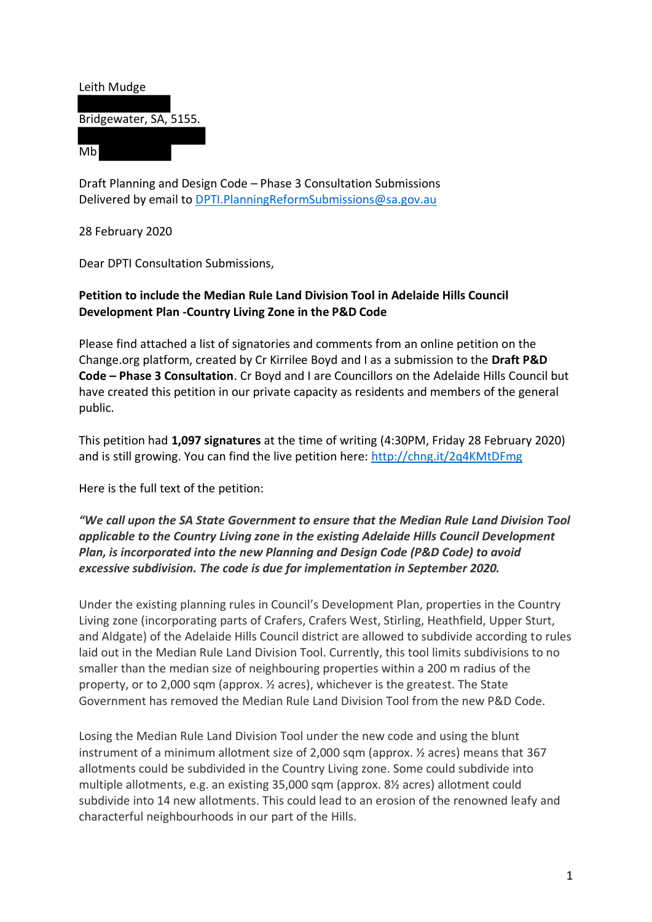

Draft Planning and Design Code – Phase 3 Consultation Submissions Delivered by email to [DPTI.PlanningReformSubmissions@sa.gov.au](mailto:DPTI.PlanningReformSubmissions@sa.gov.au)

28 February 2020

Dear DPTI Consultation Submissions,

#### **Petition to include the Median Rule Land Division Tool in Adelaide Hills Council Development Plan -Country Living Zone in the P&D Code**

Please find attached a list of signatories and comments from an online petition on the Change.org platform, created by Cr Kirrilee Boyd and I as a submission to the **Draft P&D Code – Phase 3 Consultation**. Cr Boyd and I are Councillors on the Adelaide Hills Council but have created this petition in our private capacity as residents and members of the general public.

This petition had **1,097 signatures** at the time of writing (4:30PM, Friday 28 February 2020) and is still growing. You can find the live petition here:<http://chng.it/2q4KMtDFmg>

Here is the full text of the petition:

*"We call upon the SA State Government to ensure that the Median Rule Land Division Tool applicable to the Country Living zone in the existing Adelaide Hills Council Development Plan, is incorporated into the new Planning and Design Code (P&D Code) to avoid excessive subdivision. The code is due for implementation in September 2020.*

Under the existing planning rules in Council's Development Plan, properties in the Country Living zone (incorporating parts of Crafers, Crafers West, Stirling, Heathfield, Upper Sturt, and Aldgate) of the Adelaide Hills Council district are allowed to subdivide according to rules laid out in the Median Rule Land Division Tool. Currently, this tool limits subdivisions to no smaller than the median size of neighbouring properties within a 200 m radius of the property, or to 2,000 sqm (approx. ½ acres), whichever is the greatest. The State Government has removed the Median Rule Land Division Tool from the new P&D Code.

Losing the Median Rule Land Division Tool under the new code and using the blunt instrument of a minimum allotment size of 2,000 sqm (approx. ½ acres) means that 367 allotments could be subdivided in the Country Living zone. Some could subdivide into multiple allotments, e.g. an existing 35,000 sqm (approx. 8½ acres) allotment could subdivide into 14 new allotments. This could lead to an erosion of the renowned leafy and characterful neighbourhoods in our part of the Hills.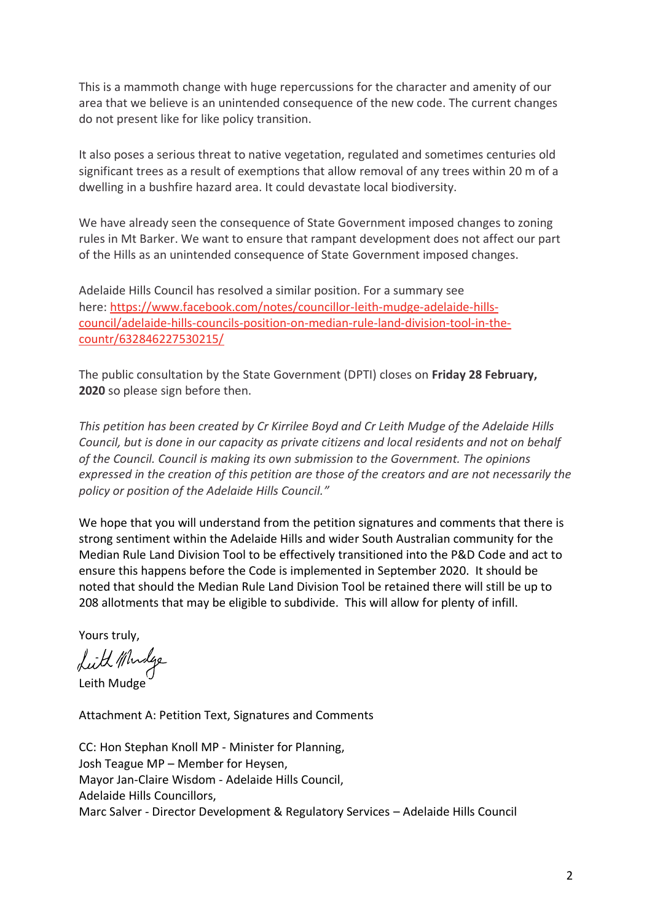This is a mammoth change with huge repercussions for the character and amenity of our area that we believe is an unintended consequence of the new code. The current changes do not present like for like policy transition.

It also poses a serious threat to native vegetation, regulated and sometimes centuries old significant trees as a result of exemptions that allow removal of any trees within 20 m of a dwelling in a bushfire hazard area. It could devastate local biodiversity.

We have already seen the consequence of State Government imposed changes to zoning rules in Mt Barker. We want to ensure that rampant development does not affect our part of the Hills as an unintended consequence of State Government imposed changes.

Adelaide Hills Council has resolved a similar position. For a summary see here: [https://www.facebook.com/notes/councillor-leith-mudge-adelaide-hills](https://www.facebook.com/notes/councillor-leith-mudge-adelaide-hills-council/adelaide-hills-councils-position-on-median-rule-land-division-tool-in-the-countr/632846227530215/)[council/adelaide-hills-councils-position-on-median-rule-land-division-tool-in-the](https://www.facebook.com/notes/councillor-leith-mudge-adelaide-hills-council/adelaide-hills-councils-position-on-median-rule-land-division-tool-in-the-countr/632846227530215/)[countr/632846227530215/](https://www.facebook.com/notes/councillor-leith-mudge-adelaide-hills-council/adelaide-hills-councils-position-on-median-rule-land-division-tool-in-the-countr/632846227530215/)

The public consultation by the State Government (DPTI) closes on **Friday 28 February, 2020** so please sign before then.

*This petition has been created by Cr Kirrilee Boyd and Cr Leith Mudge of the Adelaide Hills Council, but is done in our capacity as private citizens and local residents and not on behalf of the Council. Council is making its own submission to the Government. The opinions expressed in the creation of this petition are those of the creators and are not necessarily the policy or position of the Adelaide Hills Council."*

We hope that you will understand from the petition signatures and comments that there is strong sentiment within the Adelaide Hills and wider South Australian community for the Median Rule Land Division Tool to be effectively transitioned into the P&D Code and act to ensure this happens before the Code is implemented in September 2020. It should be noted that should the Median Rule Land Division Tool be retained there will still be up to 208 allotments that may be eligible to subdivide. This will allow for plenty of infill.

Yours truly,<br>Luth Whidge

Leith Mudge

Attachment A: Petition Text, Signatures and Comments

CC: Hon Stephan Knoll MP - Minister for Planning, Josh Teague MP – Member for Heysen, Mayor Jan-Claire Wisdom - Adelaide Hills Council, Adelaide Hills Councillors, Marc Salver - Director Development & Regulatory Services – Adelaide Hills Council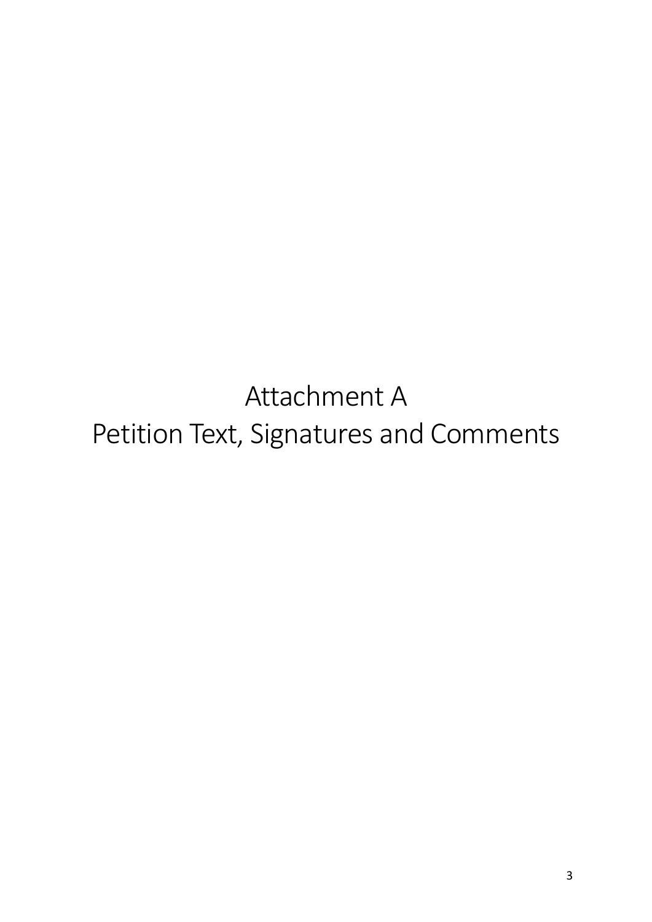Attachment A Petition Text, Signatures and Comments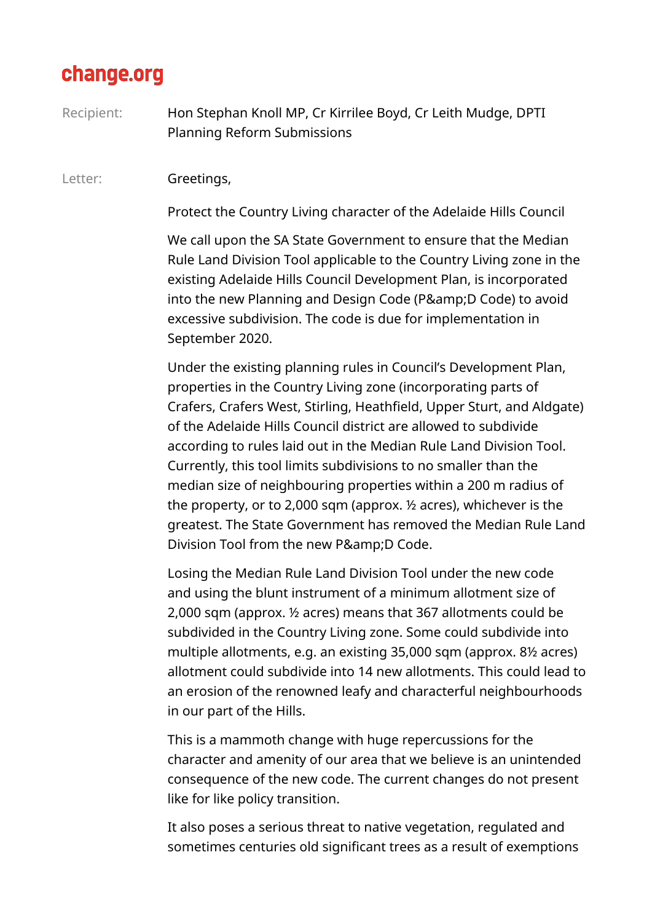### change.org

Recipient: Hon Stephan Knoll MP, Cr Kirrilee Boyd, Cr Leith Mudge, DPTI Planning Reform Submissions

#### Letter: **Greetings,**

Protect the Country Living character of the Adelaide Hills Council

We call upon the SA State Government to ensure that the Median Rule Land Division Tool applicable to the Country Living zone in the existing Adelaide Hills Council Development Plan, is incorporated into the new Planning and Design Code (P&D Code) to avoid excessive subdivision. The code is due for implementation in September 2020.

Under the existing planning rules in Council's Development Plan, properties in the Country Living zone (incorporating parts of Crafers, Crafers West, Stirling, Heathfield, Upper Sturt, and Aldgate) of the Adelaide Hills Council district are allowed to subdivide according to rules laid out in the Median Rule Land Division Tool. Currently, this tool limits subdivisions to no smaller than the median size of neighbouring properties within a 200 m radius of the property, or to 2,000 sqm (approx. ½ acres), whichever is the greatest. The State Government has removed the Median Rule Land Division Tool from the new P&D Code.

Losing the Median Rule Land Division Tool under the new code and using the blunt instrument of a minimum allotment size of 2,000 sqm (approx. ½ acres) means that 367 allotments could be subdivided in the Country Living zone. Some could subdivide into multiple allotments, e.g. an existing 35,000 sqm (approx. 8½ acres) allotment could subdivide into 14 new allotments. This could lead to an erosion of the renowned leafy and characterful neighbourhoods in our part of the Hills.

This is a mammoth change with huge repercussions for the character and amenity of our area that we believe is an unintended consequence of the new code. The current changes do not present like for like policy transition.

It also poses a serious threat to native vegetation, regulated and sometimes centuries old significant trees as a result of exemptions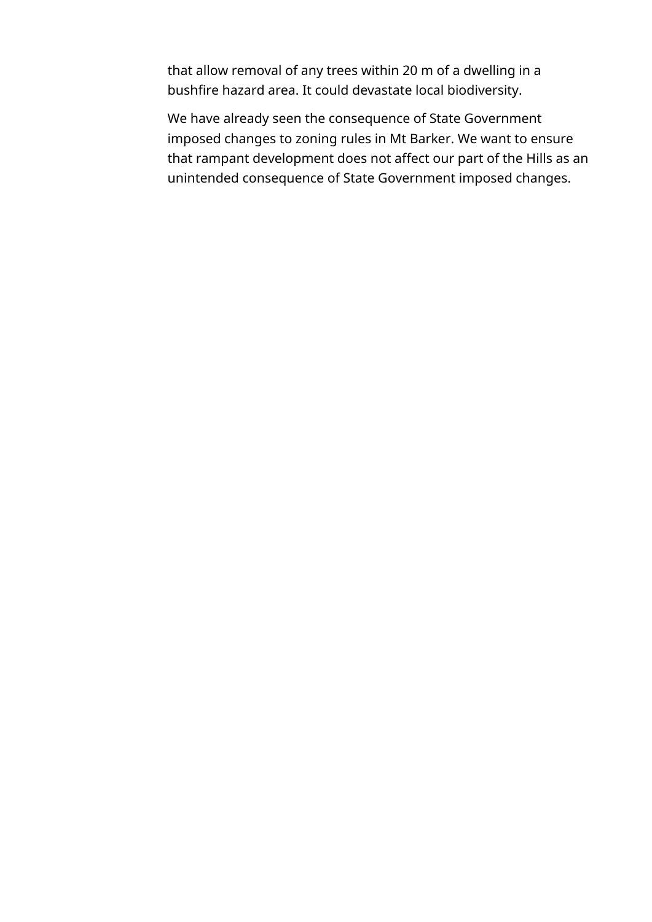that allow removal of any trees within 20 m of a dwelling in a bushfire hazard area. It could devastate local biodiversity.

We have already seen the consequence of State Government imposed changes to zoning rules in Mt Barker. We want to ensure that rampant development does not affect our part of the Hills as an unintended consequence of State Government imposed changes.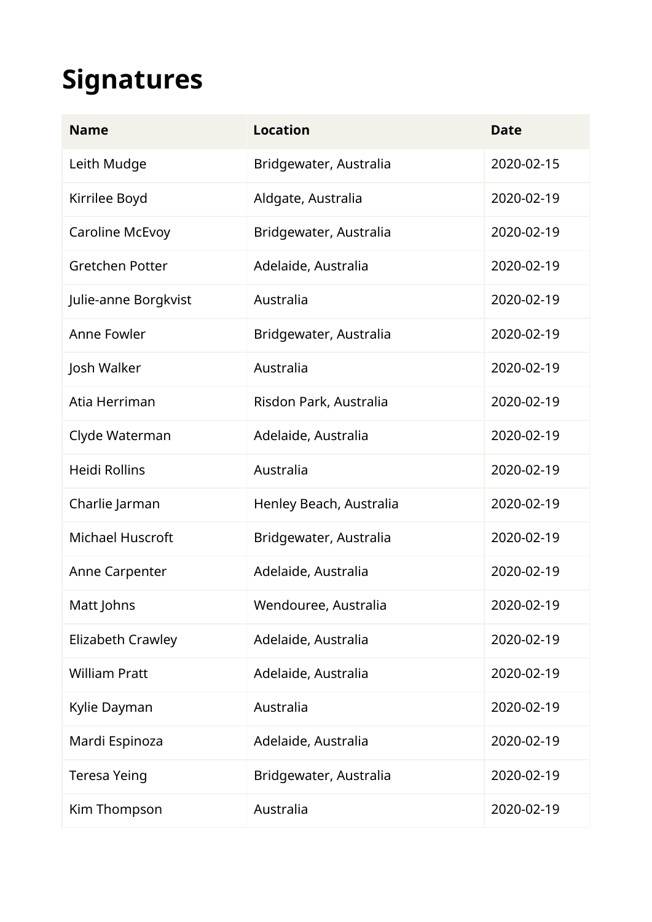# **Signatures**

| <b>Name</b>              | <b>Location</b>         | <b>Date</b> |
|--------------------------|-------------------------|-------------|
| Leith Mudge              | Bridgewater, Australia  | 2020-02-15  |
| Kirrilee Boyd            | Aldgate, Australia      | 2020-02-19  |
| Caroline McEvoy          | Bridgewater, Australia  | 2020-02-19  |
| <b>Gretchen Potter</b>   | Adelaide, Australia     | 2020-02-19  |
| Julie-anne Borgkvist     | Australia               | 2020-02-19  |
| Anne Fowler              | Bridgewater, Australia  | 2020-02-19  |
| Josh Walker              | Australia               | 2020-02-19  |
| Atia Herriman            | Risdon Park, Australia  | 2020-02-19  |
| Clyde Waterman           | Adelaide, Australia     | 2020-02-19  |
| <b>Heidi Rollins</b>     | Australia               | 2020-02-19  |
| Charlie Jarman           | Henley Beach, Australia | 2020-02-19  |
| <b>Michael Huscroft</b>  | Bridgewater, Australia  | 2020-02-19  |
| Anne Carpenter           | Adelaide, Australia     | 2020-02-19  |
| Matt Johns               | Wendouree, Australia    | 2020-02-19  |
| <b>Elizabeth Crawley</b> | Adelaide, Australia     | 2020-02-19  |
| <b>William Pratt</b>     | Adelaide, Australia     | 2020-02-19  |
| Kylie Dayman             | Australia               | 2020-02-19  |
| Mardi Espinoza           | Adelaide, Australia     | 2020-02-19  |
| <b>Teresa Yeing</b>      | Bridgewater, Australia  | 2020-02-19  |
| Kim Thompson             | Australia               | 2020-02-19  |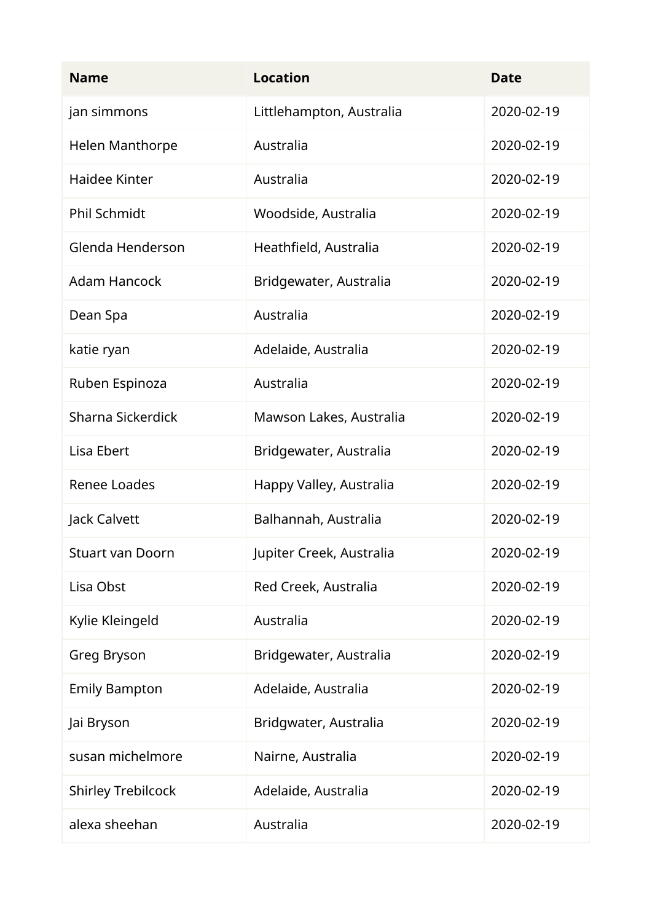| <b>Name</b>               | <b>Location</b>          | <b>Date</b> |
|---------------------------|--------------------------|-------------|
| jan simmons               | Littlehampton, Australia | 2020-02-19  |
| Helen Manthorpe           | Australia                | 2020-02-19  |
| Haidee Kinter             | Australia                | 2020-02-19  |
| <b>Phil Schmidt</b>       | Woodside, Australia      | 2020-02-19  |
| Glenda Henderson          | Heathfield, Australia    | 2020-02-19  |
| <b>Adam Hancock</b>       | Bridgewater, Australia   | 2020-02-19  |
| Dean Spa                  | Australia                | 2020-02-19  |
| katie ryan                | Adelaide, Australia      | 2020-02-19  |
| Ruben Espinoza            | Australia                | 2020-02-19  |
| Sharna Sickerdick         | Mawson Lakes, Australia  | 2020-02-19  |
| Lisa Ebert                | Bridgewater, Australia   | 2020-02-19  |
| <b>Renee Loades</b>       | Happy Valley, Australia  | 2020-02-19  |
| Jack Calvett              | Balhannah, Australia     | 2020-02-19  |
| <b>Stuart van Doorn</b>   | Jupiter Creek, Australia | 2020-02-19  |
| Lisa Obst                 | Red Creek, Australia     | 2020-02-19  |
| Kylie Kleingeld           | Australia                | 2020-02-19  |
| Greg Bryson               | Bridgewater, Australia   | 2020-02-19  |
| <b>Emily Bampton</b>      | Adelaide, Australia      | 2020-02-19  |
| Jai Bryson                | Bridgwater, Australia    | 2020-02-19  |
| susan michelmore          | Nairne, Australia        | 2020-02-19  |
| <b>Shirley Trebilcock</b> | Adelaide, Australia      | 2020-02-19  |
| alexa sheehan             | Australia                | 2020-02-19  |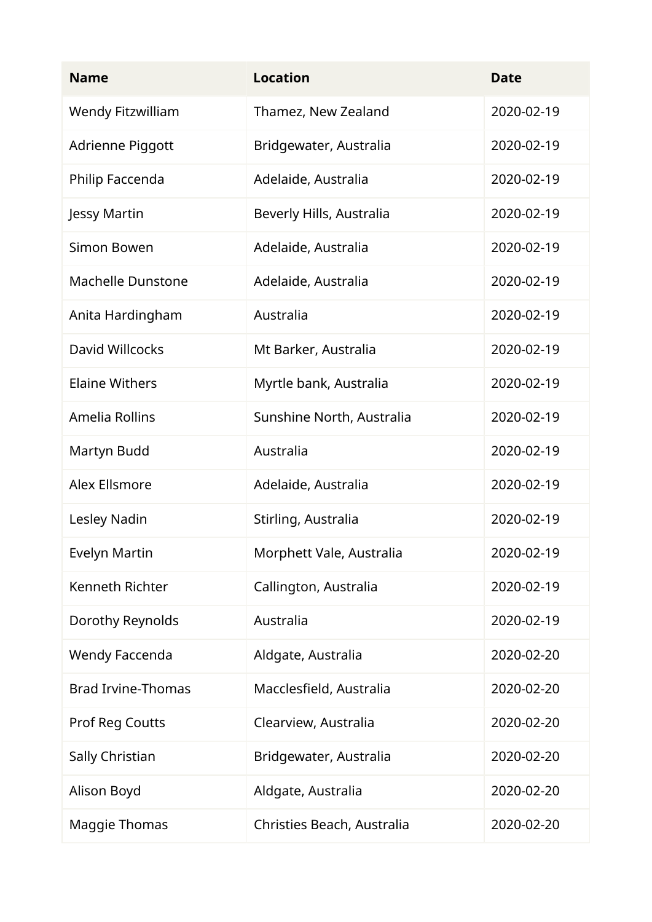| <b>Name</b>               | <b>Location</b>            | <b>Date</b> |
|---------------------------|----------------------------|-------------|
| <b>Wendy Fitzwilliam</b>  | Thamez, New Zealand        | 2020-02-19  |
| Adrienne Piggott          | Bridgewater, Australia     | 2020-02-19  |
| Philip Faccenda           | Adelaide, Australia        | 2020-02-19  |
| Jessy Martin              | Beverly Hills, Australia   | 2020-02-19  |
| Simon Bowen               | Adelaide, Australia        | 2020-02-19  |
| <b>Machelle Dunstone</b>  | Adelaide, Australia        | 2020-02-19  |
| Anita Hardingham          | Australia                  | 2020-02-19  |
| David Willcocks           | Mt Barker, Australia       | 2020-02-19  |
| <b>Elaine Withers</b>     | Myrtle bank, Australia     | 2020-02-19  |
| Amelia Rollins            | Sunshine North, Australia  | 2020-02-19  |
| Martyn Budd               | Australia                  | 2020-02-19  |
| <b>Alex Ellsmore</b>      | Adelaide, Australia        | 2020-02-19  |
| Lesley Nadin              | Stirling, Australia        | 2020-02-19  |
| Evelyn Martin             | Morphett Vale, Australia   | 2020-02-19  |
| Kenneth Richter           | Callington, Australia      | 2020-02-19  |
| Dorothy Reynolds          | Australia                  | 2020-02-19  |
| Wendy Faccenda            | Aldgate, Australia         | 2020-02-20  |
| <b>Brad Irvine-Thomas</b> | Macclesfield, Australia    | 2020-02-20  |
| <b>Prof Reg Coutts</b>    | Clearview, Australia       | 2020-02-20  |
| Sally Christian           | Bridgewater, Australia     | 2020-02-20  |
| Alison Boyd               | Aldgate, Australia         | 2020-02-20  |
| <b>Maggie Thomas</b>      | Christies Beach, Australia | 2020-02-20  |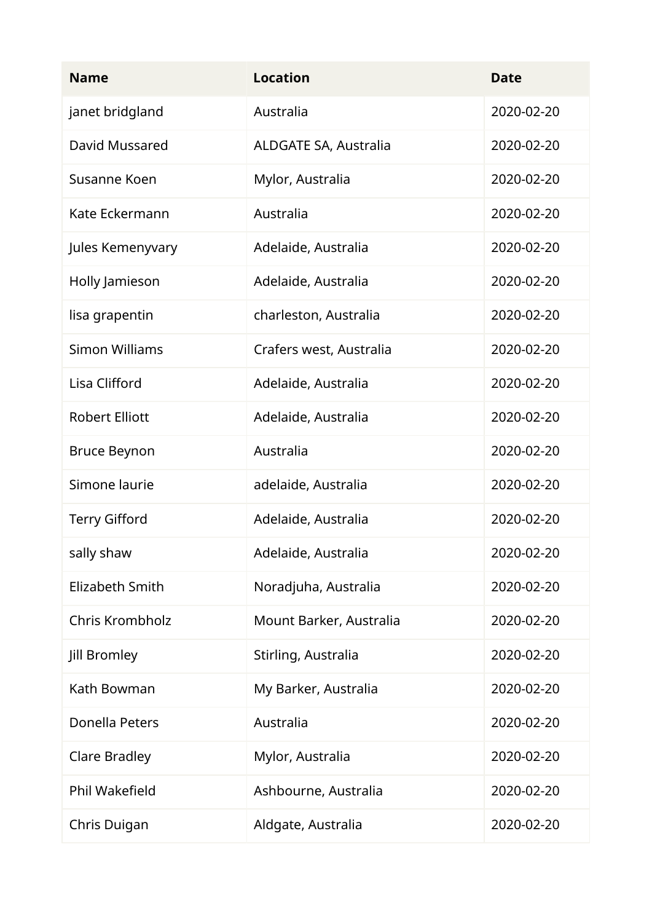| <b>Name</b>            | <b>Location</b>              | <b>Date</b> |
|------------------------|------------------------------|-------------|
| janet bridgland        | Australia                    | 2020-02-20  |
| David Mussared         | <b>ALDGATE SA, Australia</b> | 2020-02-20  |
| Susanne Koen           | Mylor, Australia             | 2020-02-20  |
| Kate Eckermann         | Australia                    | 2020-02-20  |
| Jules Kemenyvary       | Adelaide, Australia          | 2020-02-20  |
| Holly Jamieson         | Adelaide, Australia          | 2020-02-20  |
| lisa grapentin         | charleston, Australia        | 2020-02-20  |
| <b>Simon Williams</b>  | Crafers west, Australia      | 2020-02-20  |
| Lisa Clifford          | Adelaide, Australia          | 2020-02-20  |
| <b>Robert Elliott</b>  | Adelaide, Australia          | 2020-02-20  |
| <b>Bruce Beynon</b>    | Australia                    | 2020-02-20  |
| Simone laurie          | adelaide, Australia          | 2020-02-20  |
| <b>Terry Gifford</b>   | Adelaide, Australia          | 2020-02-20  |
| sally shaw             | Adelaide, Australia          | 2020-02-20  |
| <b>Elizabeth Smith</b> | Noradjuha, Australia         | 2020-02-20  |
| Chris Krombholz        | Mount Barker, Australia      | 2020-02-20  |
| Jill Bromley           | Stirling, Australia          | 2020-02-20  |
| Kath Bowman            | My Barker, Australia         | 2020-02-20  |
| Donella Peters         | Australia                    | 2020-02-20  |
| <b>Clare Bradley</b>   | Mylor, Australia             | 2020-02-20  |
| Phil Wakefield         | Ashbourne, Australia         | 2020-02-20  |
| Chris Duigan           | Aldgate, Australia           | 2020-02-20  |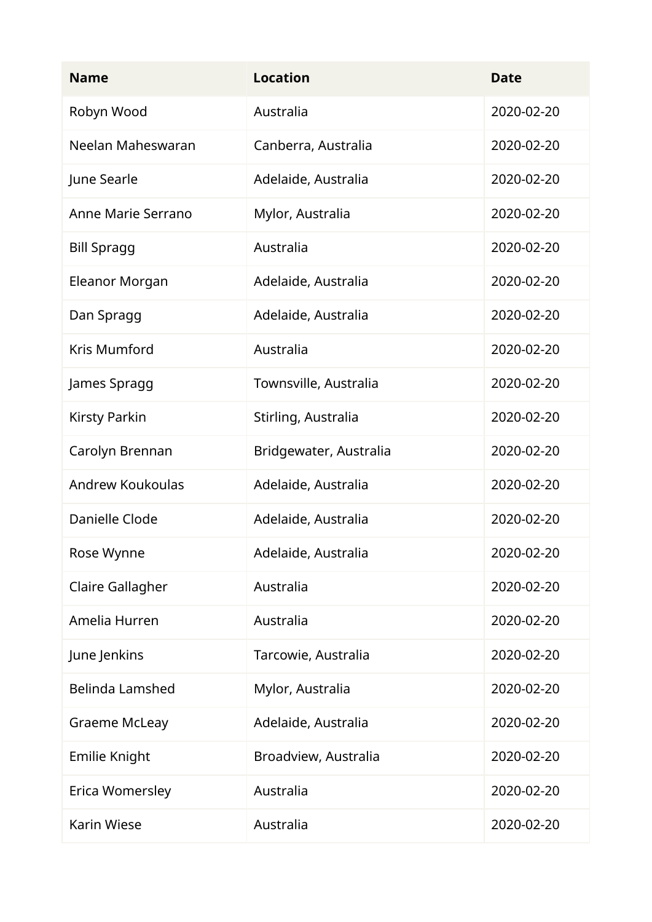| <b>Name</b>             | <b>Location</b>        | <b>Date</b> |
|-------------------------|------------------------|-------------|
| Robyn Wood              | Australia              | 2020-02-20  |
| Neelan Maheswaran       | Canberra, Australia    | 2020-02-20  |
| June Searle             | Adelaide, Australia    | 2020-02-20  |
| Anne Marie Serrano      | Mylor, Australia       | 2020-02-20  |
| <b>Bill Spragg</b>      | Australia              | 2020-02-20  |
| Eleanor Morgan          | Adelaide, Australia    | 2020-02-20  |
| Dan Spragg              | Adelaide, Australia    | 2020-02-20  |
| Kris Mumford            | Australia              | 2020-02-20  |
| James Spragg            | Townsville, Australia  | 2020-02-20  |
| <b>Kirsty Parkin</b>    | Stirling, Australia    | 2020-02-20  |
| Carolyn Brennan         | Bridgewater, Australia | 2020-02-20  |
| <b>Andrew Koukoulas</b> | Adelaide, Australia    | 2020-02-20  |
| Danielle Clode          | Adelaide, Australia    | 2020-02-20  |
| Rose Wynne              | Adelaide, Australia    | 2020-02-20  |
| Claire Gallagher        | Australia              | 2020-02-20  |
| Amelia Hurren           | Australia              | 2020-02-20  |
| June Jenkins            | Tarcowie, Australia    | 2020-02-20  |
| <b>Belinda Lamshed</b>  | Mylor, Australia       | 2020-02-20  |
| <b>Graeme McLeay</b>    | Adelaide, Australia    | 2020-02-20  |
| Emilie Knight           | Broadview, Australia   | 2020-02-20  |
| Erica Womersley         | Australia              | 2020-02-20  |
| <b>Karin Wiese</b>      | Australia              | 2020-02-20  |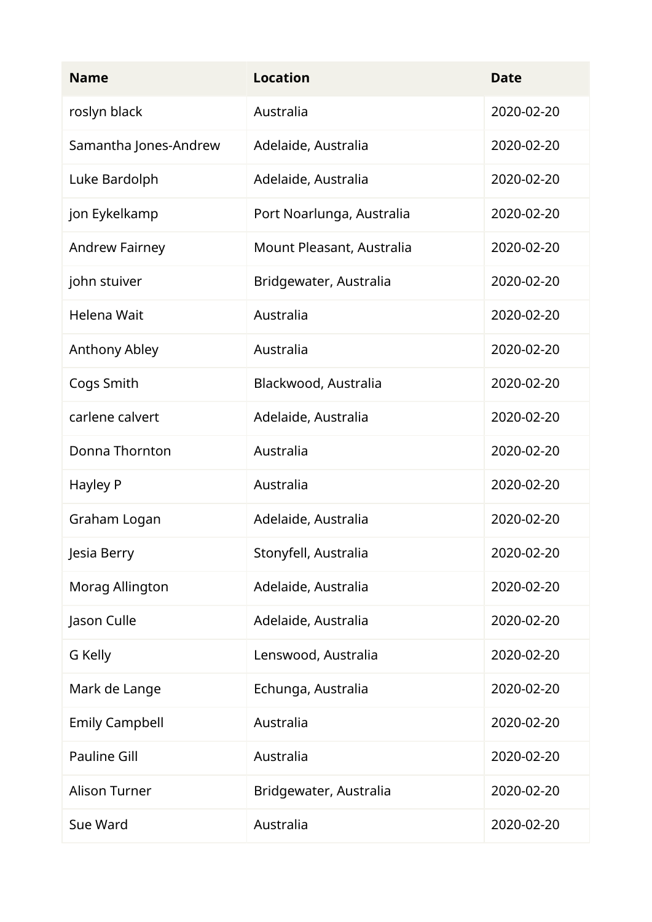| <b>Name</b>           | <b>Location</b>           | <b>Date</b> |
|-----------------------|---------------------------|-------------|
| roslyn black          | Australia                 | 2020-02-20  |
| Samantha Jones-Andrew | Adelaide, Australia       | 2020-02-20  |
| Luke Bardolph         | Adelaide, Australia       | 2020-02-20  |
| jon Eykelkamp         | Port Noarlunga, Australia | 2020-02-20  |
| <b>Andrew Fairney</b> | Mount Pleasant, Australia | 2020-02-20  |
| john stuiver          | Bridgewater, Australia    | 2020-02-20  |
| Helena Wait           | Australia                 | 2020-02-20  |
| Anthony Abley         | Australia                 | 2020-02-20  |
| Cogs Smith            | Blackwood, Australia      | 2020-02-20  |
| carlene calvert       | Adelaide, Australia       | 2020-02-20  |
| Donna Thornton        | Australia                 | 2020-02-20  |
| Hayley P              | Australia                 | 2020-02-20  |
| Graham Logan          | Adelaide, Australia       | 2020-02-20  |
| Jesia Berry           | Stonyfell, Australia      | 2020-02-20  |
| Morag Allington       | Adelaide, Australia       | 2020-02-20  |
| Jason Culle           | Adelaide, Australia       | 2020-02-20  |
| G Kelly               | Lenswood, Australia       | 2020-02-20  |
| Mark de Lange         | Echunga, Australia        | 2020-02-20  |
| <b>Emily Campbell</b> | Australia                 | 2020-02-20  |
| <b>Pauline Gill</b>   | Australia                 | 2020-02-20  |
| <b>Alison Turner</b>  | Bridgewater, Australia    | 2020-02-20  |
| Sue Ward              | Australia                 | 2020-02-20  |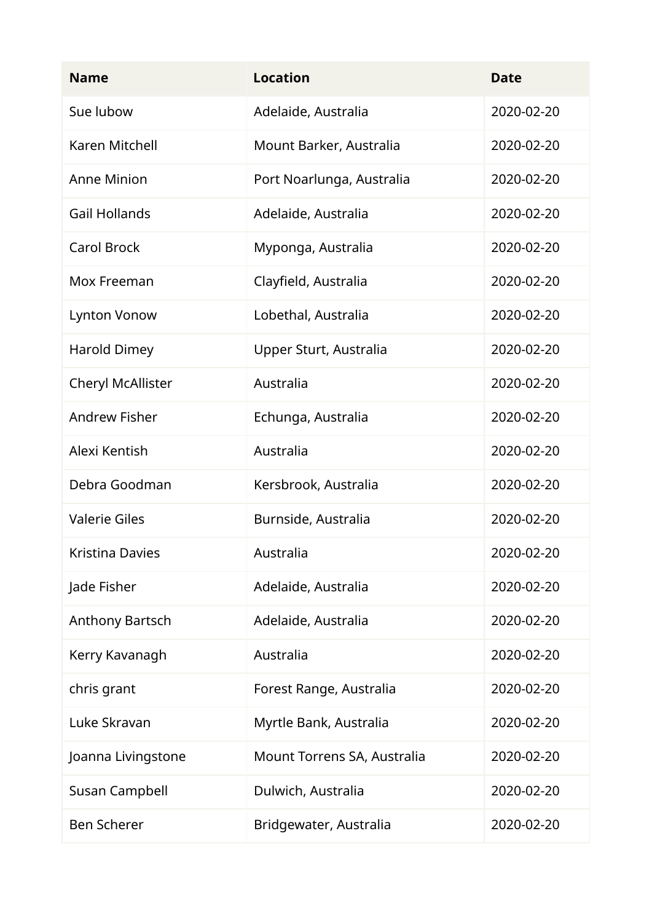| <b>Name</b>          | <b>Location</b>             | <b>Date</b> |
|----------------------|-----------------------------|-------------|
| Sue lubow            | Adelaide, Australia         | 2020-02-20  |
| Karen Mitchell       | Mount Barker, Australia     | 2020-02-20  |
| <b>Anne Minion</b>   | Port Noarlunga, Australia   | 2020-02-20  |
| <b>Gail Hollands</b> | Adelaide, Australia         | 2020-02-20  |
| <b>Carol Brock</b>   | Myponga, Australia          | 2020-02-20  |
| Mox Freeman          | Clayfield, Australia        | 2020-02-20  |
| <b>Lynton Vonow</b>  | Lobethal, Australia         | 2020-02-20  |
| <b>Harold Dimey</b>  | Upper Sturt, Australia      | 2020-02-20  |
| Cheryl McAllister    | Australia                   | 2020-02-20  |
| <b>Andrew Fisher</b> | Echunga, Australia          | 2020-02-20  |
| Alexi Kentish        | Australia                   | 2020-02-20  |
| Debra Goodman        | Kersbrook, Australia        | 2020-02-20  |
| <b>Valerie Giles</b> | Burnside, Australia         | 2020-02-20  |
| Kristina Davies      | Australia                   | 2020-02-20  |
| Jade Fisher          | Adelaide, Australia         | 2020-02-20  |
| Anthony Bartsch      | Adelaide, Australia         | 2020-02-20  |
| Kerry Kavanagh       | Australia                   | 2020-02-20  |
| chris grant          | Forest Range, Australia     | 2020-02-20  |
| Luke Skravan         | Myrtle Bank, Australia      | 2020-02-20  |
| Joanna Livingstone   | Mount Torrens SA, Australia | 2020-02-20  |
| Susan Campbell       | Dulwich, Australia          | 2020-02-20  |
| <b>Ben Scherer</b>   | Bridgewater, Australia      | 2020-02-20  |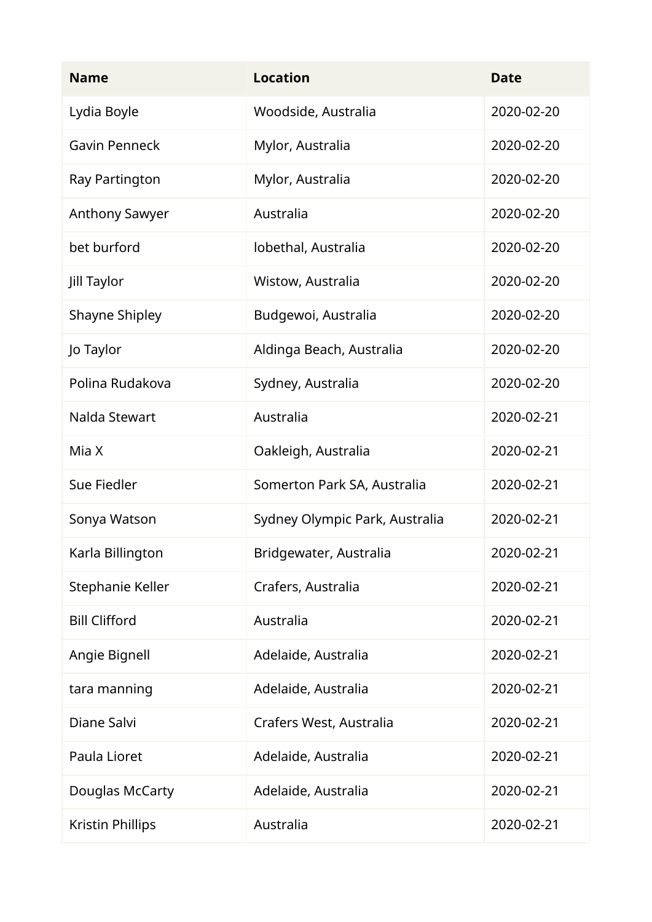| <b>Name</b>             | <b>Location</b>                | <b>Date</b> |
|-------------------------|--------------------------------|-------------|
| Lydia Boyle             | Woodside, Australia            | 2020-02-20  |
| <b>Gavin Penneck</b>    | Mylor, Australia               | 2020-02-20  |
| Ray Partington          | Mylor, Australia               | 2020-02-20  |
| <b>Anthony Sawyer</b>   | Australia                      | 2020-02-20  |
| bet burford             | lobethal, Australia            | 2020-02-20  |
| Jill Taylor             | Wistow, Australia              | 2020-02-20  |
| <b>Shayne Shipley</b>   | Budgewoi, Australia            | 2020-02-20  |
| Jo Taylor               | Aldinga Beach, Australia       | 2020-02-20  |
| Polina Rudakova         | Sydney, Australia              | 2020-02-20  |
| Nalda Stewart           | Australia                      | 2020-02-21  |
| Mia X                   | Oakleigh, Australia            | 2020-02-21  |
| Sue Fiedler             | Somerton Park SA, Australia    | 2020-02-21  |
| Sonya Watson            | Sydney Olympic Park, Australia | 2020-02-21  |
| Karla Billington        | Bridgewater, Australia         | 2020-02-21  |
| Stephanie Keller        | Crafers, Australia             | 2020-02-21  |
| <b>Bill Clifford</b>    | Australia                      | 2020-02-21  |
| Angie Bignell           | Adelaide, Australia            | 2020-02-21  |
| tara manning            | Adelaide, Australia            | 2020-02-21  |
| Diane Salvi             | Crafers West, Australia        | 2020-02-21  |
| Paula Lioret            | Adelaide, Australia            | 2020-02-21  |
| Douglas McCarty         | Adelaide, Australia            | 2020-02-21  |
| <b>Kristin Phillips</b> | Australia                      | 2020-02-21  |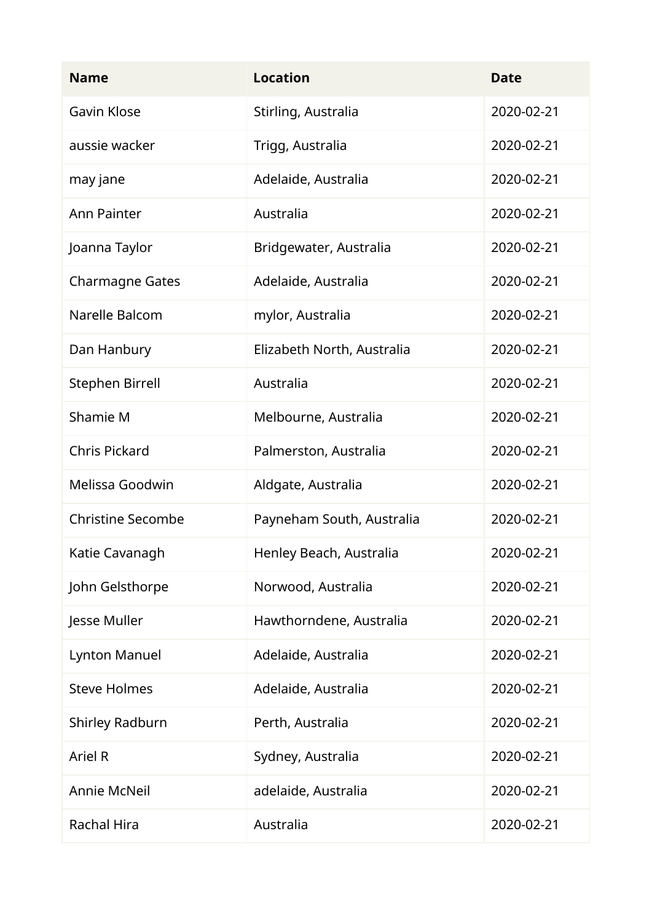| <b>Name</b>              | <b>Location</b>            | <b>Date</b> |
|--------------------------|----------------------------|-------------|
| <b>Gavin Klose</b>       | Stirling, Australia        | 2020-02-21  |
| aussie wacker            | Trigg, Australia           | 2020-02-21  |
| may jane                 | Adelaide, Australia        | 2020-02-21  |
| <b>Ann Painter</b>       | Australia                  | 2020-02-21  |
| Joanna Taylor            | Bridgewater, Australia     | 2020-02-21  |
| <b>Charmagne Gates</b>   | Adelaide, Australia        | 2020-02-21  |
| Narelle Balcom           | mylor, Australia           | 2020-02-21  |
| Dan Hanbury              | Elizabeth North, Australia | 2020-02-21  |
| <b>Stephen Birrell</b>   | Australia                  | 2020-02-21  |
| Shamie M                 | Melbourne, Australia       | 2020-02-21  |
| <b>Chris Pickard</b>     | Palmerston, Australia      | 2020-02-21  |
| Melissa Goodwin          | Aldgate, Australia         | 2020-02-21  |
| <b>Christine Secombe</b> | Payneham South, Australia  | 2020-02-21  |
| Katie Cavanagh           | Henley Beach, Australia    | 2020-02-21  |
| John Gelsthorpe          | Norwood, Australia         | 2020-02-21  |
| Jesse Muller             | Hawthorndene, Australia    | 2020-02-21  |
| Lynton Manuel            | Adelaide, Australia        | 2020-02-21  |
| <b>Steve Holmes</b>      | Adelaide, Australia        | 2020-02-21  |
| Shirley Radburn          | Perth, Australia           | 2020-02-21  |
| Ariel R                  | Sydney, Australia          | 2020-02-21  |
| Annie McNeil             | adelaide, Australia        | 2020-02-21  |
| Rachal Hira              | Australia                  | 2020-02-21  |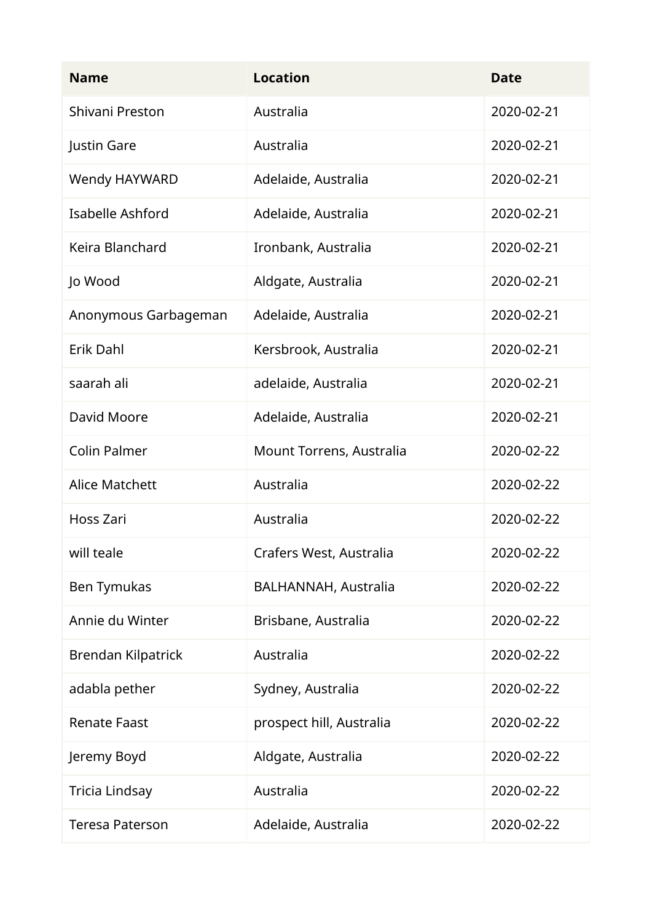| <b>Name</b>            | <b>Location</b>             | <b>Date</b> |
|------------------------|-----------------------------|-------------|
| Shivani Preston        | Australia                   | 2020-02-21  |
| Justin Gare            | Australia                   | 2020-02-21  |
| Wendy HAYWARD          | Adelaide, Australia         | 2020-02-21  |
| Isabelle Ashford       | Adelaide, Australia         | 2020-02-21  |
| Keira Blanchard        | Ironbank, Australia         | 2020-02-21  |
| Jo Wood                | Aldgate, Australia          | 2020-02-21  |
| Anonymous Garbageman   | Adelaide, Australia         | 2020-02-21  |
| Erik Dahl              | Kersbrook, Australia        | 2020-02-21  |
| saarah ali             | adelaide, Australia         | 2020-02-21  |
| David Moore            | Adelaide, Australia         | 2020-02-21  |
| Colin Palmer           | Mount Torrens, Australia    | 2020-02-22  |
| <b>Alice Matchett</b>  | Australia                   | 2020-02-22  |
| Hoss Zari              | Australia                   | 2020-02-22  |
| will teale             | Crafers West, Australia     | 2020-02-22  |
| Ben Tymukas            | <b>BALHANNAH, Australia</b> | 2020-02-22  |
| Annie du Winter        | Brisbane, Australia         | 2020-02-22  |
| Brendan Kilpatrick     | Australia                   | 2020-02-22  |
| adabla pether          | Sydney, Australia           | 2020-02-22  |
| <b>Renate Faast</b>    | prospect hill, Australia    | 2020-02-22  |
| Jeremy Boyd            | Aldgate, Australia          | 2020-02-22  |
| Tricia Lindsay         | Australia                   | 2020-02-22  |
| <b>Teresa Paterson</b> | Adelaide, Australia         | 2020-02-22  |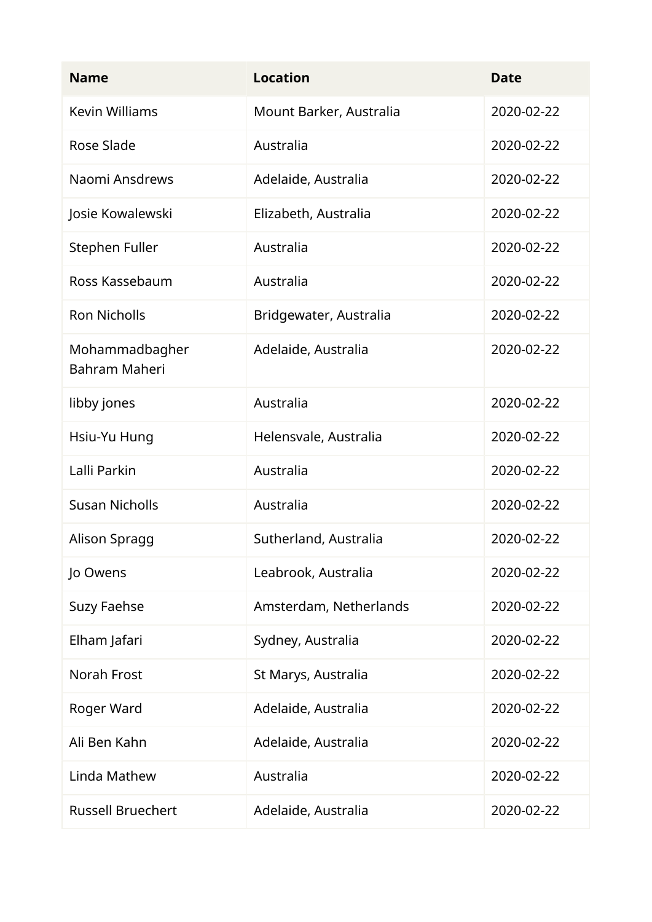| <b>Name</b>                            | <b>Location</b>         | <b>Date</b> |
|----------------------------------------|-------------------------|-------------|
| <b>Kevin Williams</b>                  | Mount Barker, Australia | 2020-02-22  |
| Rose Slade                             | Australia               | 2020-02-22  |
| Naomi Ansdrews                         | Adelaide, Australia     | 2020-02-22  |
| Josie Kowalewski                       | Elizabeth, Australia    | 2020-02-22  |
| Stephen Fuller                         | Australia               | 2020-02-22  |
| Ross Kassebaum                         | Australia               | 2020-02-22  |
| <b>Ron Nicholls</b>                    | Bridgewater, Australia  | 2020-02-22  |
| Mohammadbagher<br><b>Bahram Maheri</b> | Adelaide, Australia     | 2020-02-22  |
| libby jones                            | Australia               | 2020-02-22  |
| Hsiu-Yu Hung                           | Helensvale, Australia   | 2020-02-22  |
| Lalli Parkin                           | Australia               | 2020-02-22  |
| <b>Susan Nicholls</b>                  | Australia               | 2020-02-22  |
| Alison Spragg                          | Sutherland, Australia   | 2020-02-22  |
| Jo Owens                               | Leabrook, Australia     | 2020-02-22  |
| <b>Suzy Faehse</b>                     | Amsterdam, Netherlands  | 2020-02-22  |
| Elham Jafari                           | Sydney, Australia       | 2020-02-22  |
| Norah Frost                            | St Marys, Australia     | 2020-02-22  |
| Roger Ward                             | Adelaide, Australia     | 2020-02-22  |
| Ali Ben Kahn                           | Adelaide, Australia     | 2020-02-22  |
| Linda Mathew                           | Australia               | 2020-02-22  |
| <b>Russell Bruechert</b>               | Adelaide, Australia     | 2020-02-22  |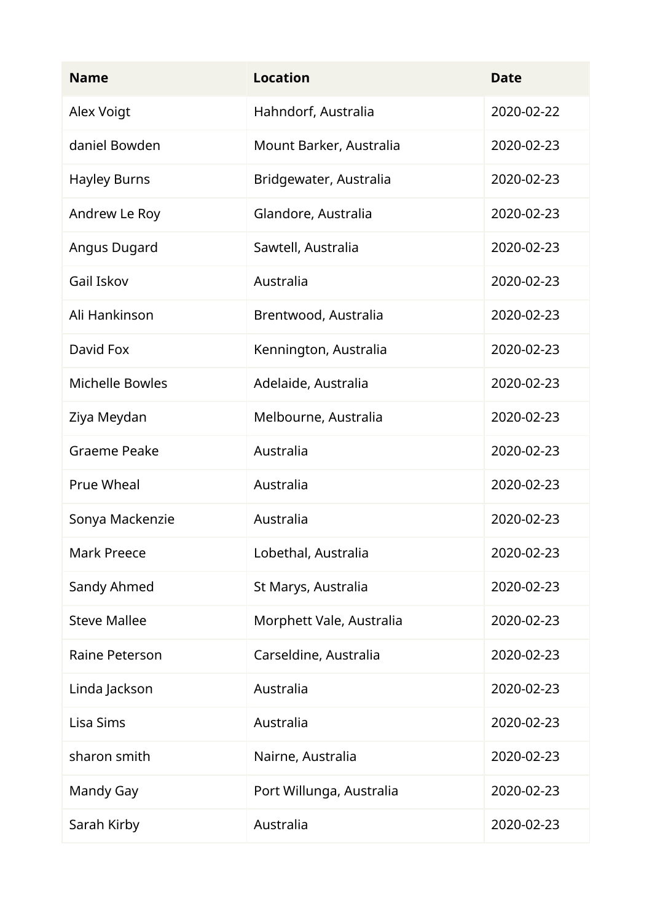| <b>Name</b>            | <b>Location</b>          | <b>Date</b> |
|------------------------|--------------------------|-------------|
| Alex Voigt             | Hahndorf, Australia      | 2020-02-22  |
| daniel Bowden          | Mount Barker, Australia  | 2020-02-23  |
| <b>Hayley Burns</b>    | Bridgewater, Australia   | 2020-02-23  |
| Andrew Le Roy          | Glandore, Australia      | 2020-02-23  |
| Angus Dugard           | Sawtell, Australia       | 2020-02-23  |
| Gail Iskov             | Australia                | 2020-02-23  |
| Ali Hankinson          | Brentwood, Australia     | 2020-02-23  |
| David Fox              | Kennington, Australia    | 2020-02-23  |
| <b>Michelle Bowles</b> | Adelaide, Australia      | 2020-02-23  |
| Ziya Meydan            | Melbourne, Australia     | 2020-02-23  |
| Graeme Peake           | Australia                | 2020-02-23  |
| <b>Prue Wheal</b>      | Australia                | 2020-02-23  |
| Sonya Mackenzie        | Australia                | 2020-02-23  |
| Mark Preece            | Lobethal, Australia      | 2020-02-23  |
| Sandy Ahmed            | St Marys, Australia      | 2020-02-23  |
| <b>Steve Mallee</b>    | Morphett Vale, Australia | 2020-02-23  |
| Raine Peterson         | Carseldine, Australia    | 2020-02-23  |
| Linda Jackson          | Australia                | 2020-02-23  |
| Lisa Sims              | Australia                | 2020-02-23  |
| sharon smith           | Nairne, Australia        | 2020-02-23  |
| Mandy Gay              | Port Willunga, Australia | 2020-02-23  |
| Sarah Kirby            | Australia                | 2020-02-23  |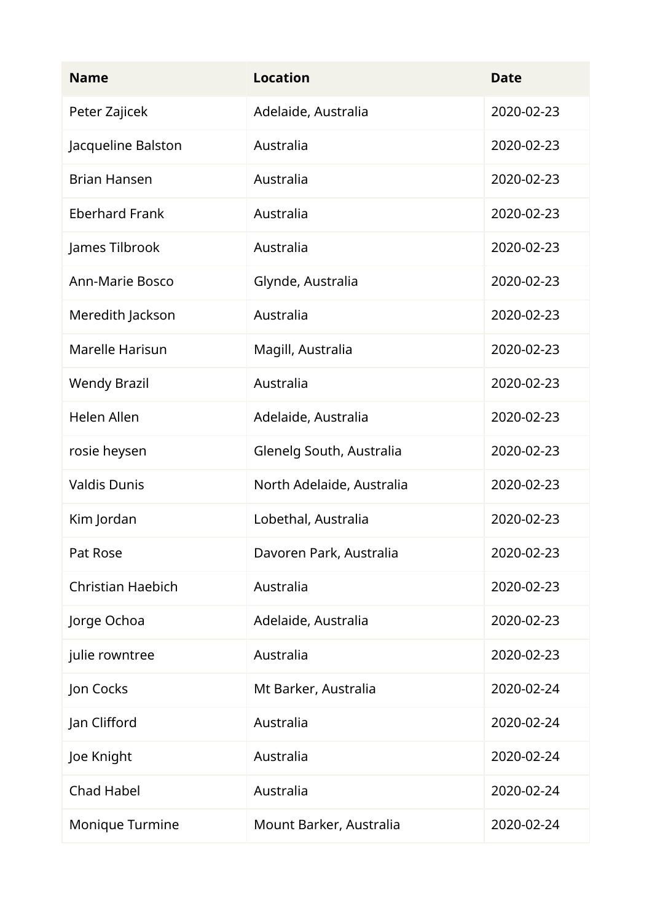| <b>Name</b>              | <b>Location</b>           | <b>Date</b> |
|--------------------------|---------------------------|-------------|
| Peter Zajicek            | Adelaide, Australia       | 2020-02-23  |
| Jacqueline Balston       | Australia                 | 2020-02-23  |
| <b>Brian Hansen</b>      | Australia                 | 2020-02-23  |
| <b>Eberhard Frank</b>    | Australia                 | 2020-02-23  |
| James Tilbrook           | Australia                 | 2020-02-23  |
| <b>Ann-Marie Bosco</b>   | Glynde, Australia         | 2020-02-23  |
| Meredith Jackson         | Australia                 | 2020-02-23  |
| Marelle Harisun          | Magill, Australia         | 2020-02-23  |
| <b>Wendy Brazil</b>      | Australia                 | 2020-02-23  |
| <b>Helen Allen</b>       | Adelaide, Australia       | 2020-02-23  |
| rosie heysen             | Glenelg South, Australia  | 2020-02-23  |
| <b>Valdis Dunis</b>      | North Adelaide, Australia | 2020-02-23  |
| Kim Jordan               | Lobethal, Australia       | 2020-02-23  |
| Pat Rose                 | Davoren Park, Australia   | 2020-02-23  |
| <b>Christian Haebich</b> | Australia                 | 2020-02-23  |
| Jorge Ochoa              | Adelaide, Australia       | 2020-02-23  |
| julie rowntree           | Australia                 | 2020-02-23  |
| Jon Cocks                | Mt Barker, Australia      | 2020-02-24  |
| Jan Clifford             | Australia                 | 2020-02-24  |
| Joe Knight               | Australia                 | 2020-02-24  |
| <b>Chad Habel</b>        | Australia                 | 2020-02-24  |
| Monique Turmine          | Mount Barker, Australia   | 2020-02-24  |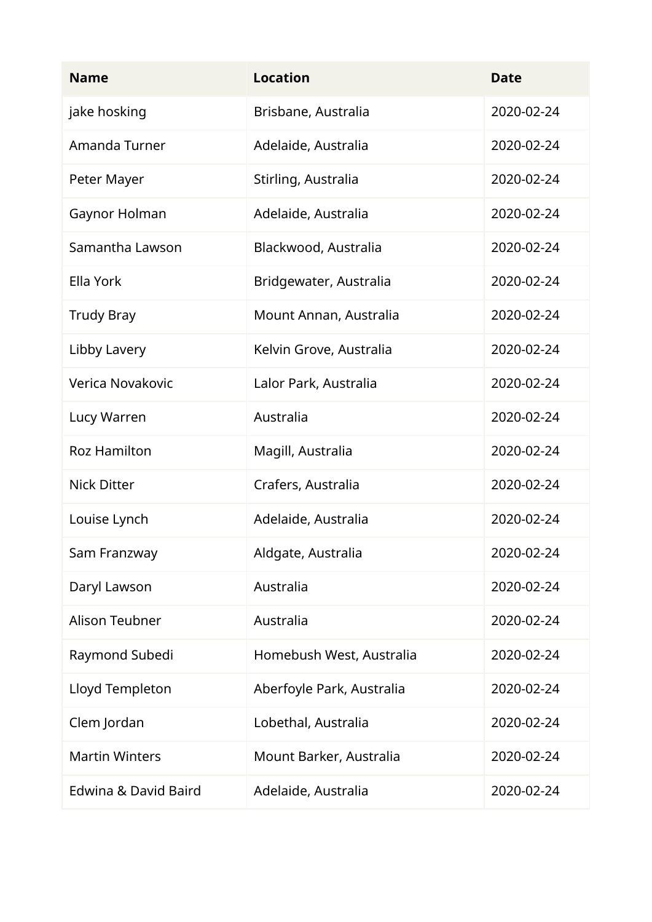| <b>Name</b>           | <b>Location</b>           | <b>Date</b> |
|-----------------------|---------------------------|-------------|
| jake hosking          | Brisbane, Australia       | 2020-02-24  |
| Amanda Turner         | Adelaide, Australia       | 2020-02-24  |
| Peter Mayer           | Stirling, Australia       | 2020-02-24  |
| Gaynor Holman         | Adelaide, Australia       | 2020-02-24  |
| Samantha Lawson       | Blackwood, Australia      | 2020-02-24  |
| Ella York             | Bridgewater, Australia    | 2020-02-24  |
| <b>Trudy Bray</b>     | Mount Annan, Australia    | 2020-02-24  |
| Libby Lavery          | Kelvin Grove, Australia   | 2020-02-24  |
| Verica Novakovic      | Lalor Park, Australia     | 2020-02-24  |
| Lucy Warren           | Australia                 | 2020-02-24  |
| <b>Roz Hamilton</b>   | Magill, Australia         | 2020-02-24  |
| <b>Nick Ditter</b>    | Crafers, Australia        | 2020-02-24  |
| Louise Lynch          | Adelaide, Australia       | 2020-02-24  |
| Sam Franzway          | Aldgate, Australia        | 2020-02-24  |
| Daryl Lawson          | Australia                 | 2020-02-24  |
| Alison Teubner        | Australia                 | 2020-02-24  |
| Raymond Subedi        | Homebush West, Australia  | 2020-02-24  |
| Lloyd Templeton       | Aberfoyle Park, Australia | 2020-02-24  |
| Clem Jordan           | Lobethal, Australia       | 2020-02-24  |
| <b>Martin Winters</b> | Mount Barker, Australia   | 2020-02-24  |
| Edwina & David Baird  | Adelaide, Australia       | 2020-02-24  |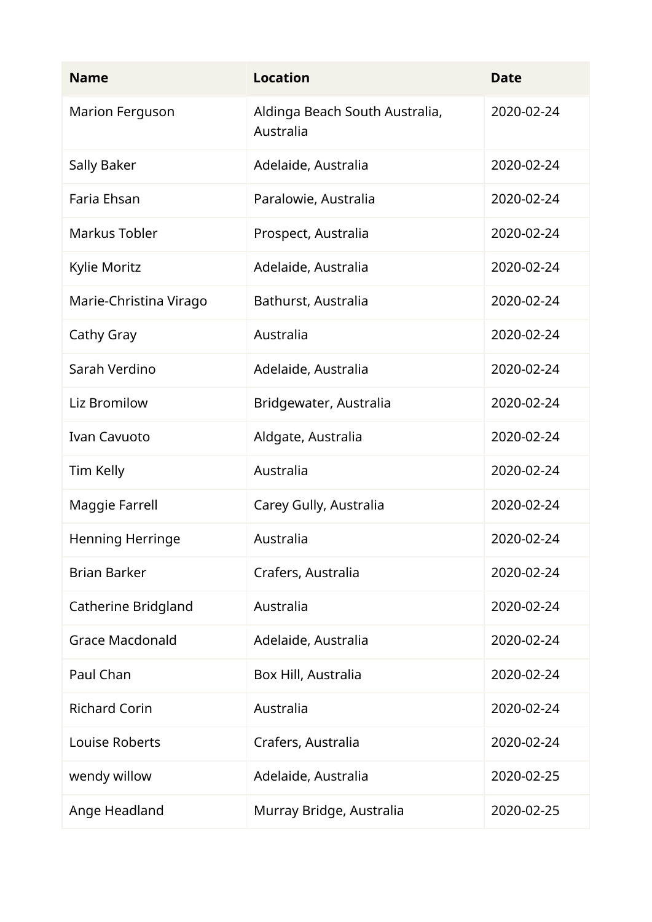| <b>Name</b>             | <b>Location</b>                             | <b>Date</b> |
|-------------------------|---------------------------------------------|-------------|
| <b>Marion Ferguson</b>  | Aldinga Beach South Australia,<br>Australia | 2020-02-24  |
| Sally Baker             | Adelaide, Australia                         | 2020-02-24  |
| Faria Ehsan             | Paralowie, Australia                        | 2020-02-24  |
| Markus Tobler           | Prospect, Australia                         | 2020-02-24  |
| Kylie Moritz            | Adelaide, Australia                         | 2020-02-24  |
| Marie-Christina Virago  | Bathurst, Australia                         | 2020-02-24  |
| Cathy Gray              | Australia                                   | 2020-02-24  |
| Sarah Verdino           | Adelaide, Australia                         | 2020-02-24  |
| Liz Bromilow            | Bridgewater, Australia                      | 2020-02-24  |
| <b>Ivan Cavuoto</b>     | Aldgate, Australia                          | 2020-02-24  |
| Tim Kelly               | Australia                                   | 2020-02-24  |
| Maggie Farrell          | Carey Gully, Australia                      | 2020-02-24  |
| <b>Henning Herringe</b> | Australia                                   | 2020-02-24  |
| <b>Brian Barker</b>     | Crafers, Australia                          | 2020-02-24  |
| Catherine Bridgland     | Australia                                   | 2020-02-24  |
| <b>Grace Macdonald</b>  | Adelaide, Australia                         | 2020-02-24  |
| Paul Chan               | Box Hill, Australia                         | 2020-02-24  |
| <b>Richard Corin</b>    | Australia                                   | 2020-02-24  |
| Louise Roberts          | Crafers, Australia                          | 2020-02-24  |
| wendy willow            | Adelaide, Australia                         | 2020-02-25  |
| Ange Headland           | Murray Bridge, Australia                    | 2020-02-25  |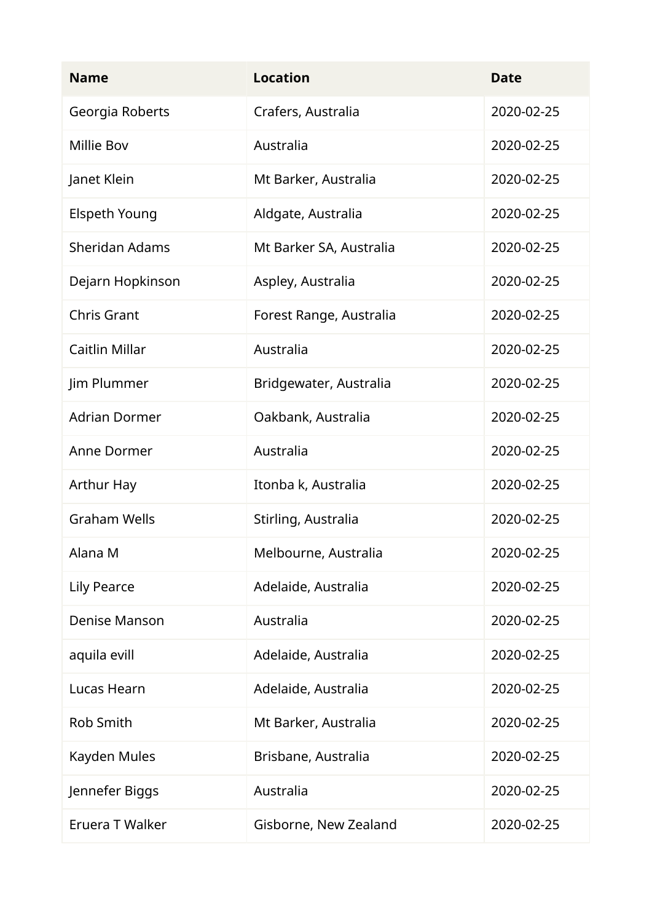| <b>Name</b>           | <b>Location</b>         | <b>Date</b> |
|-----------------------|-------------------------|-------------|
| Georgia Roberts       | Crafers, Australia      | 2020-02-25  |
| <b>Millie Bov</b>     | Australia               | 2020-02-25  |
| Janet Klein           | Mt Barker, Australia    | 2020-02-25  |
| <b>Elspeth Young</b>  | Aldgate, Australia      | 2020-02-25  |
| <b>Sheridan Adams</b> | Mt Barker SA, Australia | 2020-02-25  |
| Dejarn Hopkinson      | Aspley, Australia       | 2020-02-25  |
| <b>Chris Grant</b>    | Forest Range, Australia | 2020-02-25  |
| Caitlin Millar        | Australia               | 2020-02-25  |
| Jim Plummer           | Bridgewater, Australia  | 2020-02-25  |
| <b>Adrian Dormer</b>  | Oakbank, Australia      | 2020-02-25  |
| Anne Dormer           | Australia               | 2020-02-25  |
| <b>Arthur Hay</b>     | Itonba k, Australia     | 2020-02-25  |
| <b>Graham Wells</b>   | Stirling, Australia     | 2020-02-25  |
| Alana M               | Melbourne, Australia    | 2020-02-25  |
| <b>Lily Pearce</b>    | Adelaide, Australia     | 2020-02-25  |
| Denise Manson         | Australia               | 2020-02-25  |
| aquila evill          | Adelaide, Australia     | 2020-02-25  |
| Lucas Hearn           | Adelaide, Australia     | 2020-02-25  |
| Rob Smith             | Mt Barker, Australia    | 2020-02-25  |
| Kayden Mules          | Brisbane, Australia     | 2020-02-25  |
| Jennefer Biggs        | Australia               | 2020-02-25  |
| Eruera T Walker       | Gisborne, New Zealand   | 2020-02-25  |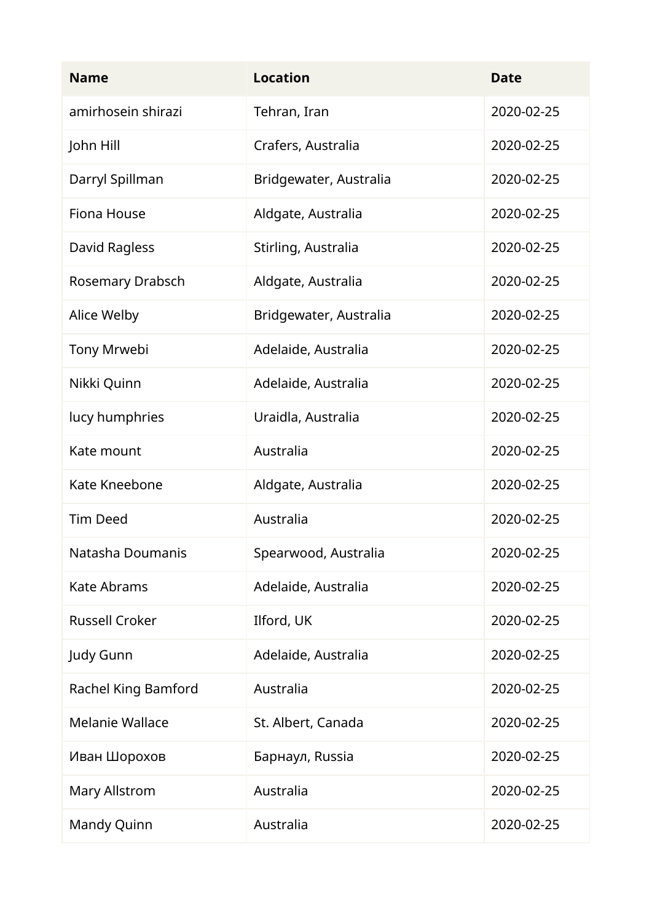| <b>Name</b>            | <b>Location</b>        | <b>Date</b> |
|------------------------|------------------------|-------------|
| amirhosein shirazi     | Tehran, Iran           | 2020-02-25  |
| John Hill              | Crafers, Australia     | 2020-02-25  |
| Darryl Spillman        | Bridgewater, Australia | 2020-02-25  |
| Fiona House            | Aldgate, Australia     | 2020-02-25  |
| David Ragless          | Stirling, Australia    | 2020-02-25  |
| Rosemary Drabsch       | Aldgate, Australia     | 2020-02-25  |
| Alice Welby            | Bridgewater, Australia | 2020-02-25  |
| Tony Mrwebi            | Adelaide, Australia    | 2020-02-25  |
| Nikki Quinn            | Adelaide, Australia    | 2020-02-25  |
| lucy humphries         | Uraidla, Australia     | 2020-02-25  |
| Kate mount             | Australia              | 2020-02-25  |
| Kate Kneebone          | Aldgate, Australia     | 2020-02-25  |
| <b>Tim Deed</b>        | Australia              | 2020-02-25  |
| Natasha Doumanis       | Spearwood, Australia   | 2020-02-25  |
| <b>Kate Abrams</b>     | Adelaide, Australia    | 2020-02-25  |
| <b>Russell Croker</b>  | Ilford, UK             | 2020-02-25  |
| Judy Gunn              | Adelaide, Australia    | 2020-02-25  |
| Rachel King Bamford    | Australia              | 2020-02-25  |
| <b>Melanie Wallace</b> | St. Albert, Canada     | 2020-02-25  |
| Иван Шорохов           | Барнаул, Russia        | 2020-02-25  |
| Mary Allstrom          | Australia              | 2020-02-25  |
| Mandy Quinn            | Australia              | 2020-02-25  |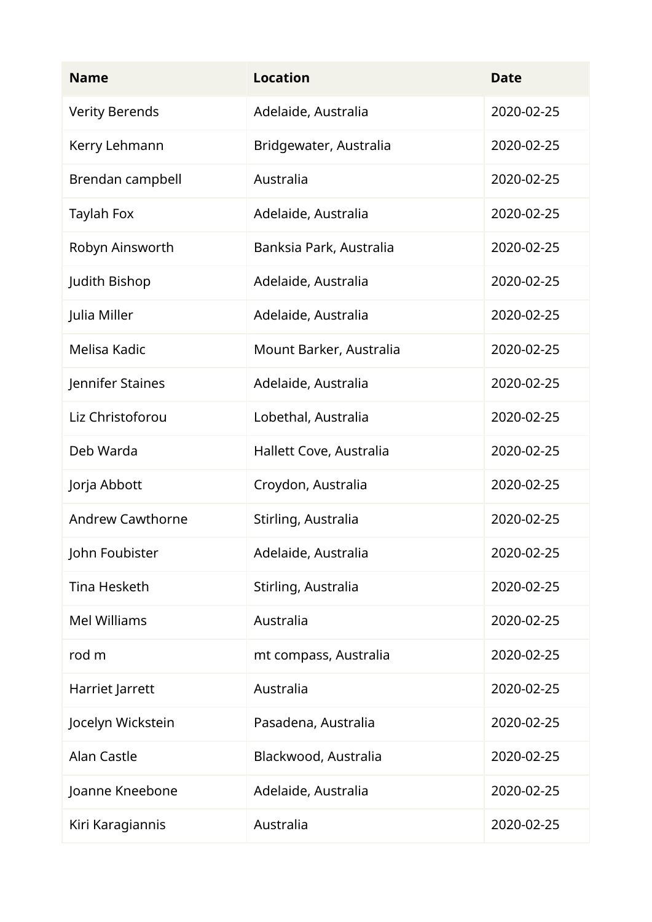| <b>Name</b>             | <b>Location</b>         | <b>Date</b> |
|-------------------------|-------------------------|-------------|
| <b>Verity Berends</b>   | Adelaide, Australia     | 2020-02-25  |
| Kerry Lehmann           | Bridgewater, Australia  | 2020-02-25  |
| Brendan campbell        | Australia               | 2020-02-25  |
| <b>Taylah Fox</b>       | Adelaide, Australia     | 2020-02-25  |
| Robyn Ainsworth         | Banksia Park, Australia | 2020-02-25  |
| Judith Bishop           | Adelaide, Australia     | 2020-02-25  |
| Julia Miller            | Adelaide, Australia     | 2020-02-25  |
| Melisa Kadic            | Mount Barker, Australia | 2020-02-25  |
| Jennifer Staines        | Adelaide, Australia     | 2020-02-25  |
| Liz Christoforou        | Lobethal, Australia     | 2020-02-25  |
| Deb Warda               | Hallett Cove, Australia | 2020-02-25  |
| Jorja Abbott            | Croydon, Australia      | 2020-02-25  |
| <b>Andrew Cawthorne</b> | Stirling, Australia     | 2020-02-25  |
| John Foubister          | Adelaide, Australia     | 2020-02-25  |
| Tina Hesketh            | Stirling, Australia     | 2020-02-25  |
| <b>Mel Williams</b>     | Australia               | 2020-02-25  |
| rod m                   | mt compass, Australia   | 2020-02-25  |
| Harriet Jarrett         | Australia               | 2020-02-25  |
| Jocelyn Wickstein       | Pasadena, Australia     | 2020-02-25  |
| Alan Castle             | Blackwood, Australia    | 2020-02-25  |
| Joanne Kneebone         | Adelaide, Australia     | 2020-02-25  |
| Kiri Karagiannis        | Australia               | 2020-02-25  |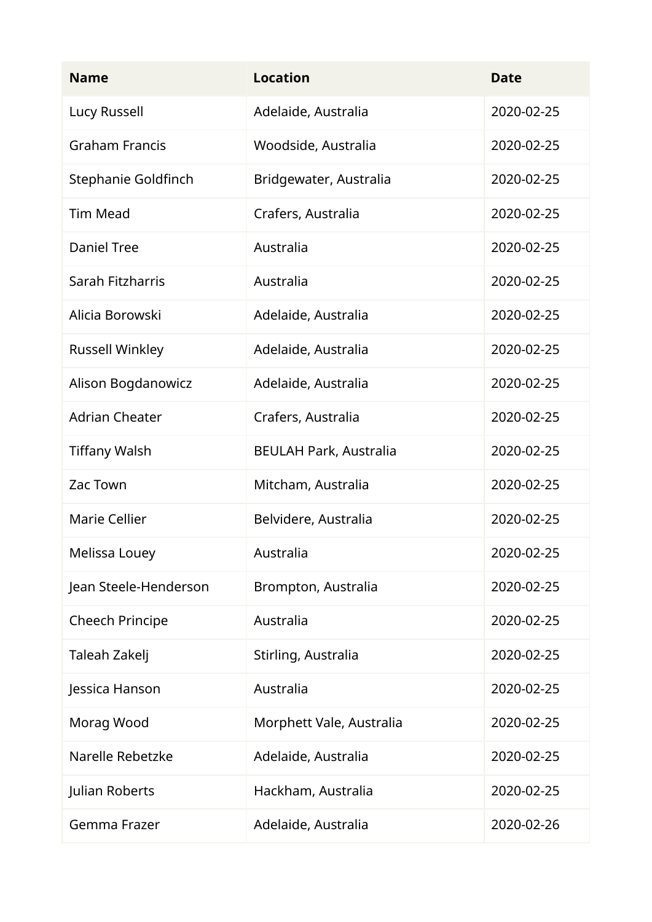| <b>Name</b>            | <b>Location</b>               | <b>Date</b> |
|------------------------|-------------------------------|-------------|
| Lucy Russell           | Adelaide, Australia           | 2020-02-25  |
| <b>Graham Francis</b>  | Woodside, Australia           | 2020-02-25  |
| Stephanie Goldfinch    | Bridgewater, Australia        | 2020-02-25  |
| <b>Tim Mead</b>        | Crafers, Australia            | 2020-02-25  |
| <b>Daniel Tree</b>     | Australia                     | 2020-02-25  |
| Sarah Fitzharris       | Australia                     | 2020-02-25  |
| Alicia Borowski        | Adelaide, Australia           | 2020-02-25  |
| <b>Russell Winkley</b> | Adelaide, Australia           | 2020-02-25  |
| Alison Bogdanowicz     | Adelaide, Australia           | 2020-02-25  |
| <b>Adrian Cheater</b>  | Crafers, Australia            | 2020-02-25  |
| <b>Tiffany Walsh</b>   | <b>BEULAH Park, Australia</b> | 2020-02-25  |
| Zac Town               | Mitcham, Australia            | 2020-02-25  |
| <b>Marie Cellier</b>   | Belvidere, Australia          | 2020-02-25  |
| Melissa Louey          | Australia                     | 2020-02-25  |
| Jean Steele-Henderson  | Brompton, Australia           | 2020-02-25  |
| <b>Cheech Principe</b> | Australia                     | 2020-02-25  |
| Taleah Zakelj          | Stirling, Australia           | 2020-02-25  |
| Jessica Hanson         | Australia                     | 2020-02-25  |
| Morag Wood             | Morphett Vale, Australia      | 2020-02-25  |
| Narelle Rebetzke       | Adelaide, Australia           | 2020-02-25  |
| Julian Roberts         | Hackham, Australia            | 2020-02-25  |
| Gemma Frazer           | Adelaide, Australia           | 2020-02-26  |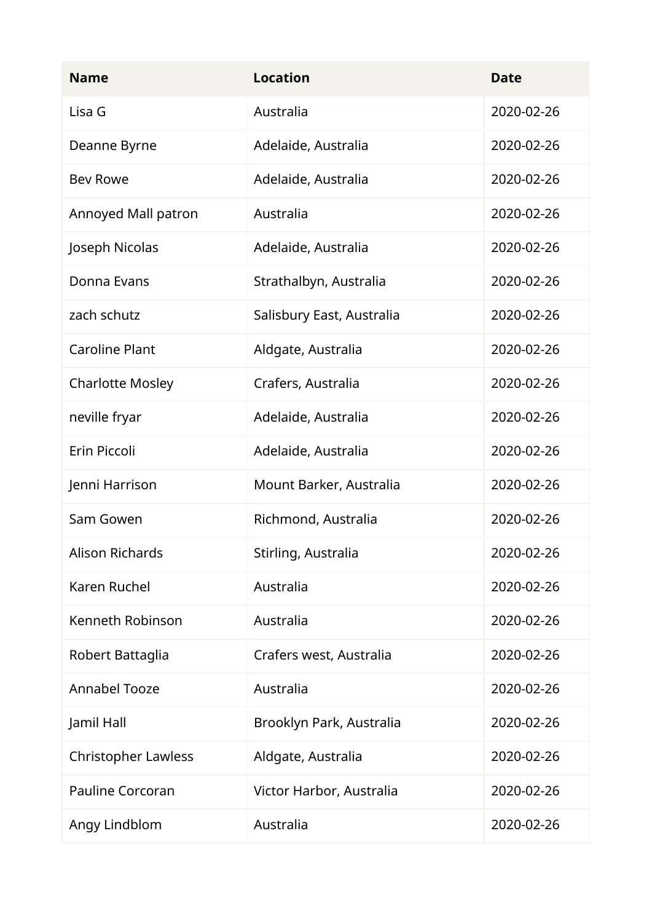| <b>Name</b>                | <b>Location</b>           | <b>Date</b> |
|----------------------------|---------------------------|-------------|
| Lisa G                     | Australia                 | 2020-02-26  |
| Deanne Byrne               | Adelaide, Australia       | 2020-02-26  |
| <b>Bev Rowe</b>            | Adelaide, Australia       | 2020-02-26  |
| Annoyed Mall patron        | Australia                 | 2020-02-26  |
| Joseph Nicolas             | Adelaide, Australia       | 2020-02-26  |
| Donna Evans                | Strathalbyn, Australia    | 2020-02-26  |
| zach schutz                | Salisbury East, Australia | 2020-02-26  |
| <b>Caroline Plant</b>      | Aldgate, Australia        | 2020-02-26  |
| <b>Charlotte Mosley</b>    | Crafers, Australia        | 2020-02-26  |
| neville fryar              | Adelaide, Australia       | 2020-02-26  |
| Erin Piccoli               | Adelaide, Australia       | 2020-02-26  |
| Jenni Harrison             | Mount Barker, Australia   | 2020-02-26  |
| Sam Gowen                  | Richmond, Australia       | 2020-02-26  |
| Alison Richards            | Stirling, Australia       | 2020-02-26  |
| Karen Ruchel               | Australia                 | 2020-02-26  |
| Kenneth Robinson           | Australia                 | 2020-02-26  |
| Robert Battaglia           | Crafers west, Australia   | 2020-02-26  |
| <b>Annabel Tooze</b>       | Australia                 | 2020-02-26  |
| Jamil Hall                 | Brooklyn Park, Australia  | 2020-02-26  |
| <b>Christopher Lawless</b> | Aldgate, Australia        | 2020-02-26  |
| <b>Pauline Corcoran</b>    | Victor Harbor, Australia  | 2020-02-26  |
| Angy Lindblom              | Australia                 | 2020-02-26  |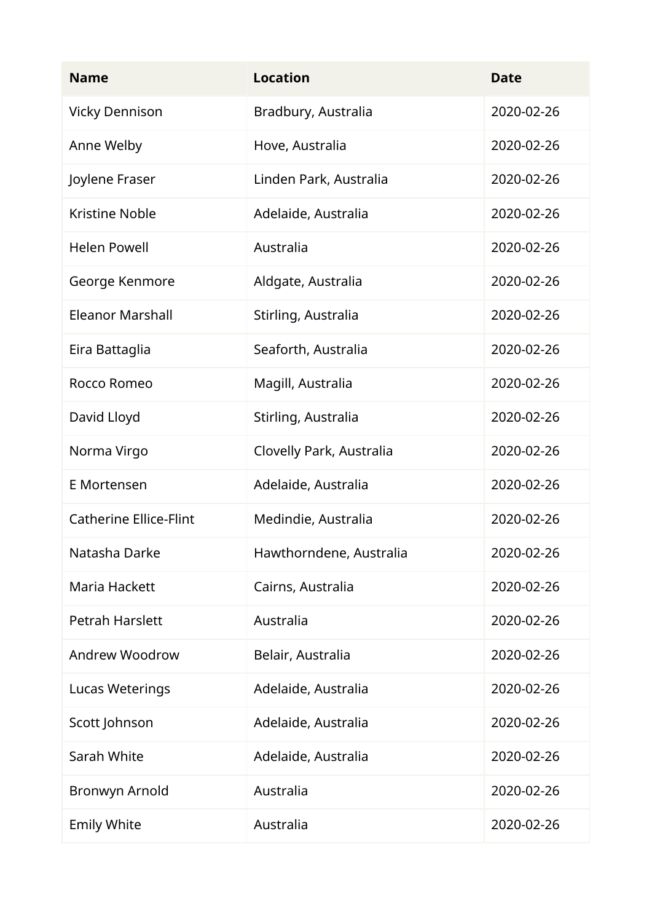| <b>Name</b>                   | <b>Location</b>          | <b>Date</b> |
|-------------------------------|--------------------------|-------------|
| <b>Vicky Dennison</b>         | Bradbury, Australia      | 2020-02-26  |
| Anne Welby                    | Hove, Australia          | 2020-02-26  |
| Joylene Fraser                | Linden Park, Australia   | 2020-02-26  |
| <b>Kristine Noble</b>         | Adelaide, Australia      | 2020-02-26  |
| <b>Helen Powell</b>           | Australia                | 2020-02-26  |
| George Kenmore                | Aldgate, Australia       | 2020-02-26  |
| <b>Eleanor Marshall</b>       | Stirling, Australia      | 2020-02-26  |
| Eira Battaglia                | Seaforth, Australia      | 2020-02-26  |
| Rocco Romeo                   | Magill, Australia        | 2020-02-26  |
| David Lloyd                   | Stirling, Australia      | 2020-02-26  |
| Norma Virgo                   | Clovelly Park, Australia | 2020-02-26  |
| E Mortensen                   | Adelaide, Australia      | 2020-02-26  |
| <b>Catherine Ellice-Flint</b> | Medindie, Australia      | 2020-02-26  |
| Natasha Darke                 | Hawthorndene, Australia  | 2020-02-26  |
| Maria Hackett                 | Cairns, Australia        | 2020-02-26  |
| <b>Petrah Harslett</b>        | Australia                | 2020-02-26  |
| Andrew Woodrow                | Belair, Australia        | 2020-02-26  |
| Lucas Weterings               | Adelaide, Australia      | 2020-02-26  |
| Scott Johnson                 | Adelaide, Australia      | 2020-02-26  |
| Sarah White                   | Adelaide, Australia      | 2020-02-26  |
| Bronwyn Arnold                | Australia                | 2020-02-26  |
| <b>Emily White</b>            | Australia                | 2020-02-26  |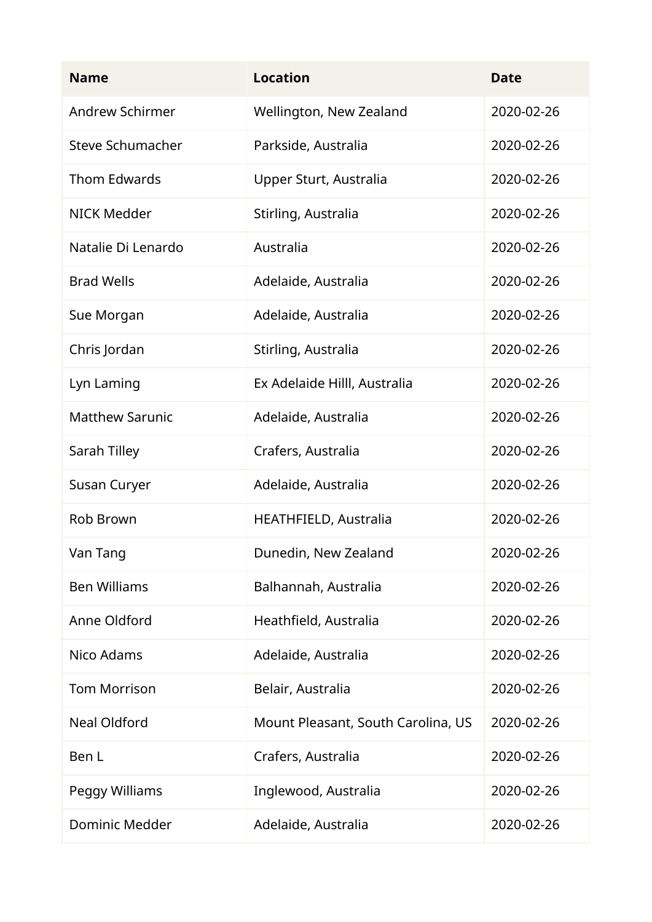| <b>Name</b>             | <b>Location</b>                    | <b>Date</b> |
|-------------------------|------------------------------------|-------------|
| <b>Andrew Schirmer</b>  | Wellington, New Zealand            | 2020-02-26  |
| <b>Steve Schumacher</b> | Parkside, Australia                | 2020-02-26  |
| <b>Thom Edwards</b>     | Upper Sturt, Australia             | 2020-02-26  |
| <b>NICK Medder</b>      | Stirling, Australia                | 2020-02-26  |
| Natalie Di Lenardo      | Australia                          | 2020-02-26  |
| <b>Brad Wells</b>       | Adelaide, Australia                | 2020-02-26  |
| Sue Morgan              | Adelaide, Australia                | 2020-02-26  |
| Chris Jordan            | Stirling, Australia                | 2020-02-26  |
| Lyn Laming              | Ex Adelaide Hilll, Australia       | 2020-02-26  |
| <b>Matthew Sarunic</b>  | Adelaide, Australia                | 2020-02-26  |
| Sarah Tilley            | Crafers, Australia                 | 2020-02-26  |
| Susan Curyer            | Adelaide, Australia                | 2020-02-26  |
| Rob Brown               | HEATHFIELD, Australia              | 2020-02-26  |
| Van Tang                | Dunedin, New Zealand               | 2020-02-26  |
| <b>Ben Williams</b>     | Balhannah, Australia               | 2020-02-26  |
| Anne Oldford            | Heathfield, Australia              | 2020-02-26  |
| Nico Adams              | Adelaide, Australia                | 2020-02-26  |
| <b>Tom Morrison</b>     | Belair, Australia                  | 2020-02-26  |
| <b>Neal Oldford</b>     | Mount Pleasant, South Carolina, US | 2020-02-26  |
| Ben L                   | Crafers, Australia                 | 2020-02-26  |
| Peggy Williams          | Inglewood, Australia               | 2020-02-26  |
| Dominic Medder          | Adelaide, Australia                | 2020-02-26  |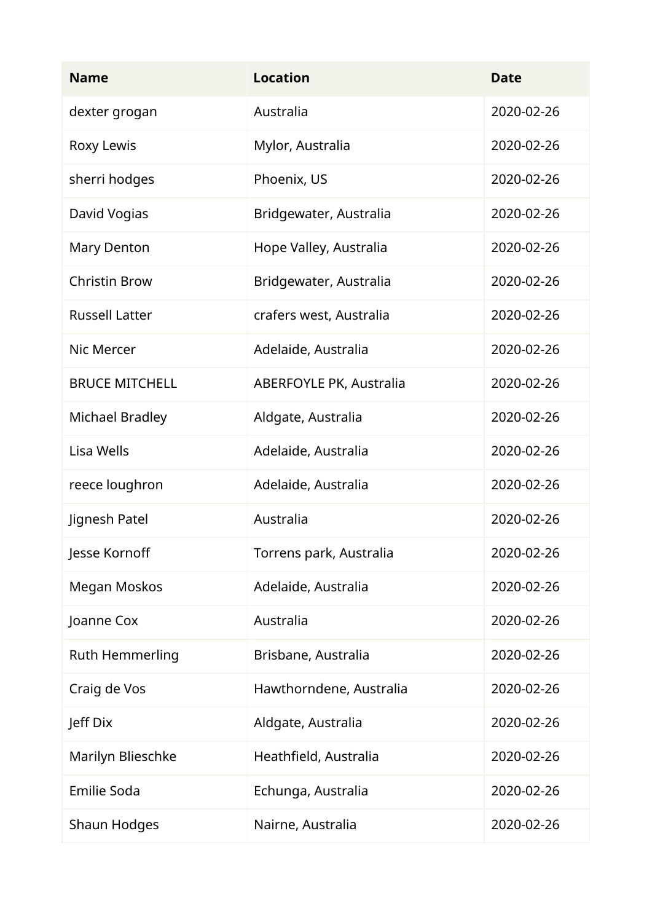| <b>Name</b>            | <b>Location</b>                | <b>Date</b> |
|------------------------|--------------------------------|-------------|
| dexter grogan          | Australia                      | 2020-02-26  |
| Roxy Lewis             | Mylor, Australia               | 2020-02-26  |
| sherri hodges          | Phoenix, US                    | 2020-02-26  |
| David Vogias           | Bridgewater, Australia         | 2020-02-26  |
| <b>Mary Denton</b>     | Hope Valley, Australia         | 2020-02-26  |
| <b>Christin Brow</b>   | Bridgewater, Australia         | 2020-02-26  |
| <b>Russell Latter</b>  | crafers west, Australia        | 2020-02-26  |
| Nic Mercer             | Adelaide, Australia            | 2020-02-26  |
| <b>BRUCE MITCHELL</b>  | <b>ABERFOYLE PK, Australia</b> | 2020-02-26  |
| <b>Michael Bradley</b> | Aldgate, Australia             | 2020-02-26  |
| Lisa Wells             | Adelaide, Australia            | 2020-02-26  |
| reece loughron         | Adelaide, Australia            | 2020-02-26  |
| Jignesh Patel          | Australia                      | 2020-02-26  |
| Jesse Kornoff          | Torrens park, Australia        | 2020-02-26  |
| Megan Moskos           | Adelaide, Australia            | 2020-02-26  |
| Joanne Cox             | Australia                      | 2020-02-26  |
| Ruth Hemmerling        | Brisbane, Australia            | 2020-02-26  |
| Craig de Vos           | Hawthorndene, Australia        | 2020-02-26  |
| Jeff Dix               | Aldgate, Australia             | 2020-02-26  |
| Marilyn Blieschke      | Heathfield, Australia          | 2020-02-26  |
| <b>Emilie Soda</b>     | Echunga, Australia             | 2020-02-26  |
| Shaun Hodges           | Nairne, Australia              | 2020-02-26  |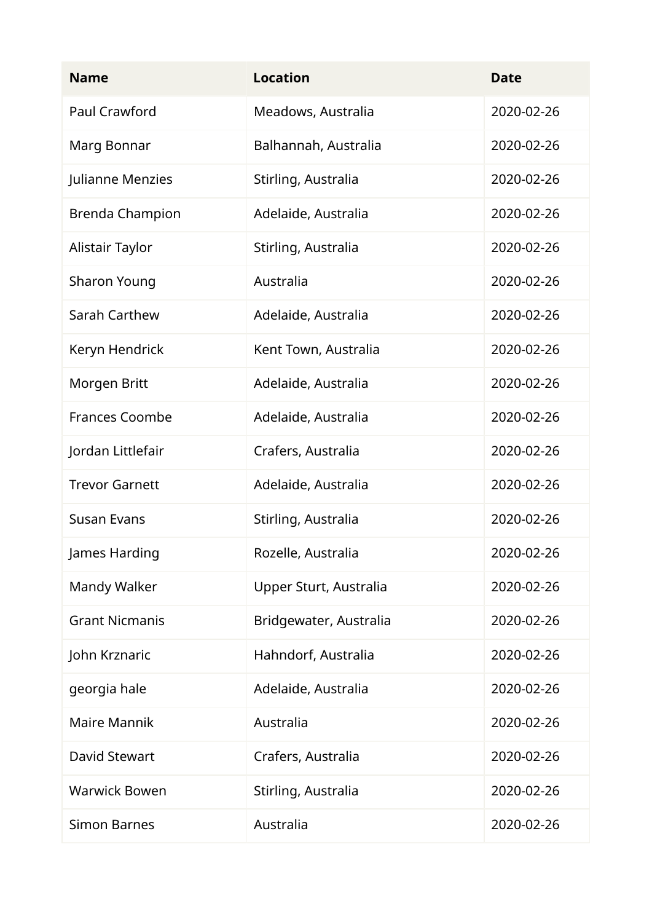| <b>Name</b>            | <b>Location</b>        | <b>Date</b> |
|------------------------|------------------------|-------------|
| Paul Crawford          | Meadows, Australia     | 2020-02-26  |
| Marg Bonnar            | Balhannah, Australia   | 2020-02-26  |
| Julianne Menzies       | Stirling, Australia    | 2020-02-26  |
| <b>Brenda Champion</b> | Adelaide, Australia    | 2020-02-26  |
| Alistair Taylor        | Stirling, Australia    | 2020-02-26  |
| <b>Sharon Young</b>    | Australia              | 2020-02-26  |
| Sarah Carthew          | Adelaide, Australia    | 2020-02-26  |
| Keryn Hendrick         | Kent Town, Australia   | 2020-02-26  |
| Morgen Britt           | Adelaide, Australia    | 2020-02-26  |
| <b>Frances Coombe</b>  | Adelaide, Australia    | 2020-02-26  |
| Jordan Littlefair      | Crafers, Australia     | 2020-02-26  |
| <b>Trevor Garnett</b>  | Adelaide, Australia    | 2020-02-26  |
| <b>Susan Evans</b>     | Stirling, Australia    | 2020-02-26  |
| James Harding          | Rozelle, Australia     | 2020-02-26  |
| Mandy Walker           | Upper Sturt, Australia | 2020-02-26  |
| <b>Grant Nicmanis</b>  | Bridgewater, Australia | 2020-02-26  |
| John Krznaric          | Hahndorf, Australia    | 2020-02-26  |
| georgia hale           | Adelaide, Australia    | 2020-02-26  |
| <b>Maire Mannik</b>    | Australia              | 2020-02-26  |
| David Stewart          | Crafers, Australia     | 2020-02-26  |
| <b>Warwick Bowen</b>   | Stirling, Australia    | 2020-02-26  |
| <b>Simon Barnes</b>    | Australia              | 2020-02-26  |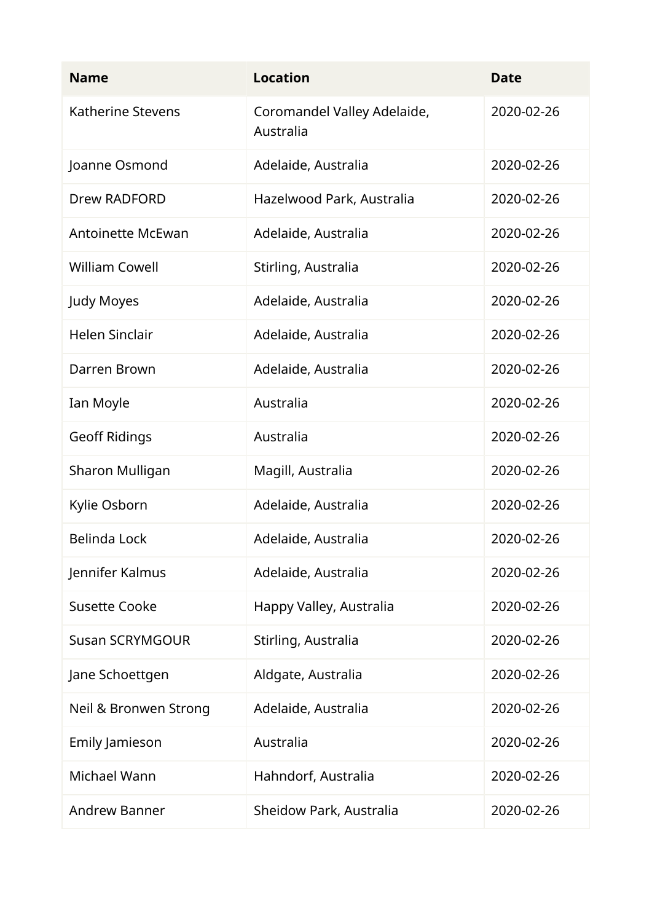| <b>Name</b>              | <b>Location</b>                          | <b>Date</b> |
|--------------------------|------------------------------------------|-------------|
| Katherine Stevens        | Coromandel Valley Adelaide,<br>Australia | 2020-02-26  |
| Joanne Osmond            | Adelaide, Australia                      | 2020-02-26  |
| <b>Drew RADFORD</b>      | Hazelwood Park, Australia                | 2020-02-26  |
| <b>Antoinette McEwan</b> | Adelaide, Australia                      | 2020-02-26  |
| <b>William Cowell</b>    | Stirling, Australia                      | 2020-02-26  |
| Judy Moyes               | Adelaide, Australia                      | 2020-02-26  |
| <b>Helen Sinclair</b>    | Adelaide, Australia                      | 2020-02-26  |
| Darren Brown             | Adelaide, Australia                      | 2020-02-26  |
| Ian Moyle                | Australia                                | 2020-02-26  |
| <b>Geoff Ridings</b>     | Australia                                | 2020-02-26  |
| Sharon Mulligan          | Magill, Australia                        | 2020-02-26  |
| Kylie Osborn             | Adelaide, Australia                      | 2020-02-26  |
| <b>Belinda Lock</b>      | Adelaide, Australia                      | 2020-02-26  |
| Jennifer Kalmus          | Adelaide, Australia                      | 2020-02-26  |
| <b>Susette Cooke</b>     | Happy Valley, Australia                  | 2020-02-26  |
| <b>Susan SCRYMGOUR</b>   | Stirling, Australia                      | 2020-02-26  |
| Jane Schoettgen          | Aldgate, Australia                       | 2020-02-26  |
| Neil & Bronwen Strong    | Adelaide, Australia                      | 2020-02-26  |
| Emily Jamieson           | Australia                                | 2020-02-26  |
| Michael Wann             | Hahndorf, Australia                      | 2020-02-26  |
| <b>Andrew Banner</b>     | Sheidow Park, Australia                  | 2020-02-26  |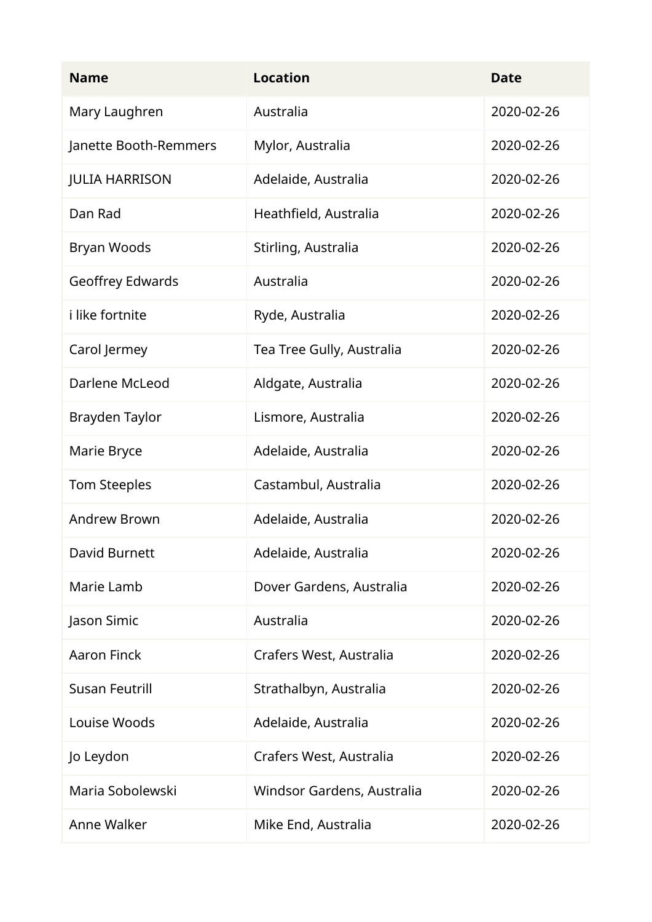| <b>Name</b>             | <b>Location</b>            | <b>Date</b> |
|-------------------------|----------------------------|-------------|
| Mary Laughren           | Australia                  | 2020-02-26  |
| Janette Booth-Remmers   | Mylor, Australia           | 2020-02-26  |
| <b>JULIA HARRISON</b>   | Adelaide, Australia        | 2020-02-26  |
| Dan Rad                 | Heathfield, Australia      | 2020-02-26  |
| Bryan Woods             | Stirling, Australia        | 2020-02-26  |
| <b>Geoffrey Edwards</b> | Australia                  | 2020-02-26  |
| i like fortnite         | Ryde, Australia            | 2020-02-26  |
| Carol Jermey            | Tea Tree Gully, Australia  | 2020-02-26  |
| Darlene McLeod          | Aldgate, Australia         | 2020-02-26  |
| Brayden Taylor          | Lismore, Australia         | 2020-02-26  |
| Marie Bryce             | Adelaide, Australia        | 2020-02-26  |
| Tom Steeples            | Castambul, Australia       | 2020-02-26  |
| <b>Andrew Brown</b>     | Adelaide, Australia        | 2020-02-26  |
| David Burnett           | Adelaide, Australia        | 2020-02-26  |
| Marie Lamb              | Dover Gardens, Australia   | 2020-02-26  |
| Jason Simic             | Australia                  | 2020-02-26  |
| <b>Aaron Finck</b>      | Crafers West, Australia    | 2020-02-26  |
| <b>Susan Feutrill</b>   | Strathalbyn, Australia     | 2020-02-26  |
| Louise Woods            | Adelaide, Australia        | 2020-02-26  |
| Jo Leydon               | Crafers West, Australia    | 2020-02-26  |
| Maria Sobolewski        | Windsor Gardens, Australia | 2020-02-26  |
| Anne Walker             | Mike End, Australia        | 2020-02-26  |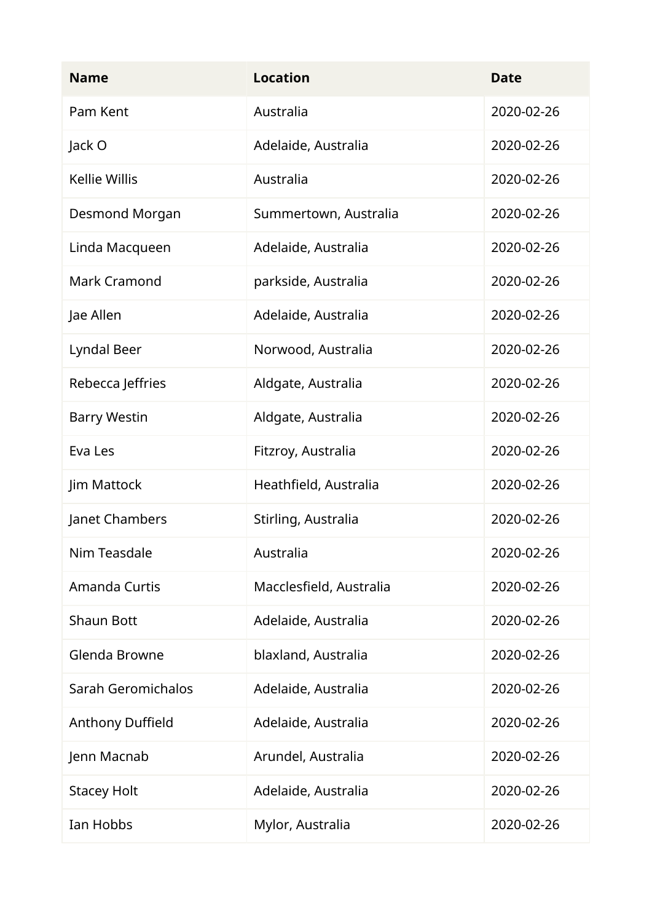| <b>Name</b>             | <b>Location</b>         | <b>Date</b> |
|-------------------------|-------------------------|-------------|
| Pam Kent                | Australia               | 2020-02-26  |
| Jack O                  | Adelaide, Australia     | 2020-02-26  |
| <b>Kellie Willis</b>    | Australia               | 2020-02-26  |
| Desmond Morgan          | Summertown, Australia   | 2020-02-26  |
| Linda Macqueen          | Adelaide, Australia     | 2020-02-26  |
| <b>Mark Cramond</b>     | parkside, Australia     | 2020-02-26  |
| Jae Allen               | Adelaide, Australia     | 2020-02-26  |
| Lyndal Beer             | Norwood, Australia      | 2020-02-26  |
| Rebecca Jeffries        | Aldgate, Australia      | 2020-02-26  |
| <b>Barry Westin</b>     | Aldgate, Australia      | 2020-02-26  |
| Eva Les                 | Fitzroy, Australia      | 2020-02-26  |
| Jim Mattock             | Heathfield, Australia   | 2020-02-26  |
| Janet Chambers          | Stirling, Australia     | 2020-02-26  |
| Nim Teasdale            | Australia               | 2020-02-26  |
| Amanda Curtis           | Macclesfield, Australia | 2020-02-26  |
| <b>Shaun Bott</b>       | Adelaide, Australia     | 2020-02-26  |
| Glenda Browne           | blaxland, Australia     | 2020-02-26  |
| Sarah Geromichalos      | Adelaide, Australia     | 2020-02-26  |
| <b>Anthony Duffield</b> | Adelaide, Australia     | 2020-02-26  |
| Jenn Macnab             | Arundel, Australia      | 2020-02-26  |
| <b>Stacey Holt</b>      | Adelaide, Australia     | 2020-02-26  |
| Ian Hobbs               | Mylor, Australia        | 2020-02-26  |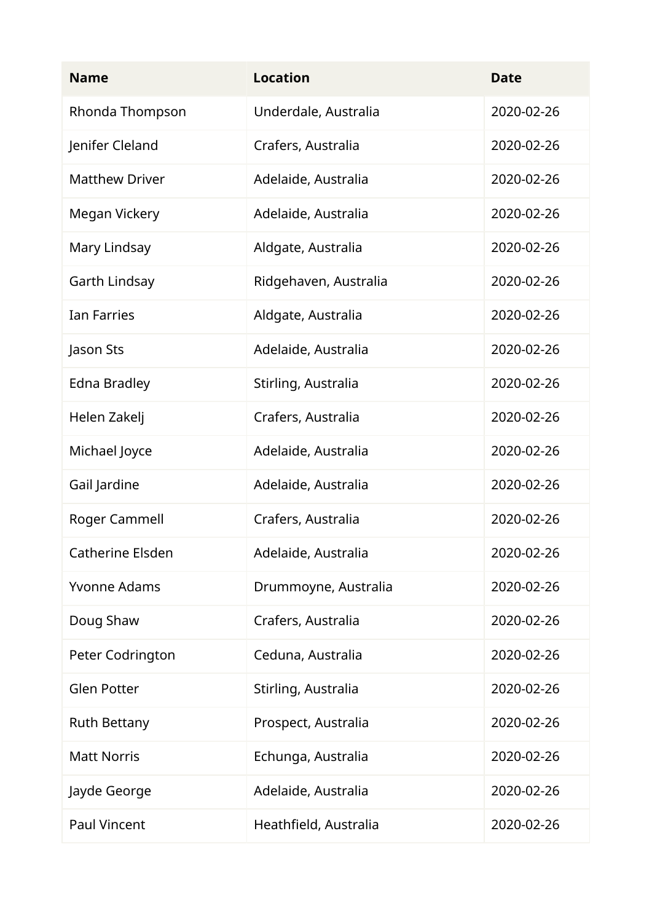| <b>Name</b>           | <b>Location</b>       | <b>Date</b> |
|-----------------------|-----------------------|-------------|
| Rhonda Thompson       | Underdale, Australia  | 2020-02-26  |
| Jenifer Cleland       | Crafers, Australia    | 2020-02-26  |
| <b>Matthew Driver</b> | Adelaide, Australia   | 2020-02-26  |
| Megan Vickery         | Adelaide, Australia   | 2020-02-26  |
| Mary Lindsay          | Aldgate, Australia    | 2020-02-26  |
| Garth Lindsay         | Ridgehaven, Australia | 2020-02-26  |
| <b>Ian Farries</b>    | Aldgate, Australia    | 2020-02-26  |
| Jason Sts             | Adelaide, Australia   | 2020-02-26  |
| Edna Bradley          | Stirling, Australia   | 2020-02-26  |
| Helen Zakelj          | Crafers, Australia    | 2020-02-26  |
| Michael Joyce         | Adelaide, Australia   | 2020-02-26  |
| Gail Jardine          | Adelaide, Australia   | 2020-02-26  |
| Roger Cammell         | Crafers, Australia    | 2020-02-26  |
| Catherine Elsden      | Adelaide, Australia   | 2020-02-26  |
| <b>Yvonne Adams</b>   | Drummoyne, Australia  | 2020-02-26  |
| Doug Shaw             | Crafers, Australia    | 2020-02-26  |
| Peter Codrington      | Ceduna, Australia     | 2020-02-26  |
| <b>Glen Potter</b>    | Stirling, Australia   | 2020-02-26  |
| <b>Ruth Bettany</b>   | Prospect, Australia   | 2020-02-26  |
| <b>Matt Norris</b>    | Echunga, Australia    | 2020-02-26  |
| Jayde George          | Adelaide, Australia   | 2020-02-26  |
| <b>Paul Vincent</b>   | Heathfield, Australia | 2020-02-26  |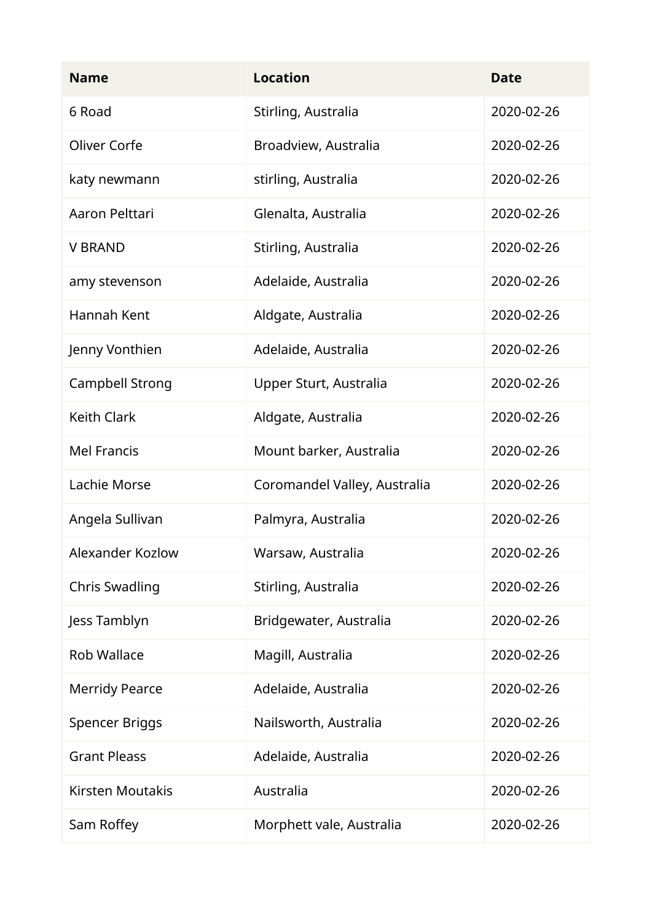| <b>Name</b>             | <b>Location</b>              | <b>Date</b> |
|-------------------------|------------------------------|-------------|
| 6 Road                  | Stirling, Australia          | 2020-02-26  |
| Oliver Corfe            | Broadview, Australia         | 2020-02-26  |
| katy newmann            | stirling, Australia          | 2020-02-26  |
| Aaron Pelttari          | Glenalta, Australia          | 2020-02-26  |
| <b>V BRAND</b>          | Stirling, Australia          | 2020-02-26  |
| amy stevenson           | Adelaide, Australia          | 2020-02-26  |
| Hannah Kent             | Aldgate, Australia           | 2020-02-26  |
| Jenny Vonthien          | Adelaide, Australia          | 2020-02-26  |
| Campbell Strong         | Upper Sturt, Australia       | 2020-02-26  |
| <b>Keith Clark</b>      | Aldgate, Australia           | 2020-02-26  |
| <b>Mel Francis</b>      | Mount barker, Australia      | 2020-02-26  |
| Lachie Morse            | Coromandel Valley, Australia | 2020-02-26  |
| Angela Sullivan         | Palmyra, Australia           | 2020-02-26  |
| Alexander Kozlow        | Warsaw, Australia            | 2020-02-26  |
| <b>Chris Swadling</b>   | Stirling, Australia          | 2020-02-26  |
| Jess Tamblyn            | Bridgewater, Australia       | 2020-02-26  |
| <b>Rob Wallace</b>      | Magill, Australia            | 2020-02-26  |
| <b>Merridy Pearce</b>   | Adelaide, Australia          | 2020-02-26  |
| <b>Spencer Briggs</b>   | Nailsworth, Australia        | 2020-02-26  |
| <b>Grant Pleass</b>     | Adelaide, Australia          | 2020-02-26  |
| <b>Kirsten Moutakis</b> | Australia                    | 2020-02-26  |
| Sam Roffey              | Morphett vale, Australia     | 2020-02-26  |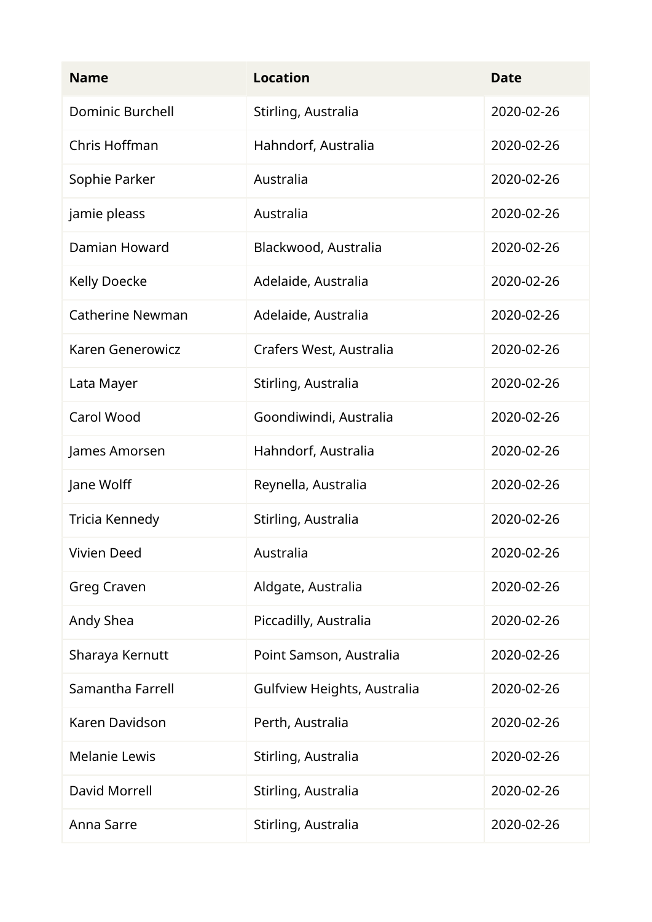| <b>Name</b>             | <b>Location</b>             | <b>Date</b> |
|-------------------------|-----------------------------|-------------|
| <b>Dominic Burchell</b> | Stirling, Australia         | 2020-02-26  |
| Chris Hoffman           | Hahndorf, Australia         | 2020-02-26  |
| Sophie Parker           | Australia                   | 2020-02-26  |
| jamie pleass            | Australia                   | 2020-02-26  |
| Damian Howard           | Blackwood, Australia        | 2020-02-26  |
| <b>Kelly Doecke</b>     | Adelaide, Australia         | 2020-02-26  |
| <b>Catherine Newman</b> | Adelaide, Australia         | 2020-02-26  |
| Karen Generowicz        | Crafers West, Australia     | 2020-02-26  |
| Lata Mayer              | Stirling, Australia         | 2020-02-26  |
| <b>Carol Wood</b>       | Goondiwindi, Australia      | 2020-02-26  |
| James Amorsen           | Hahndorf, Australia         | 2020-02-26  |
| Jane Wolff              | Reynella, Australia         | 2020-02-26  |
| Tricia Kennedy          | Stirling, Australia         | 2020-02-26  |
| Vivien Deed             | Australia                   | 2020-02-26  |
| <b>Greg Craven</b>      | Aldgate, Australia          | 2020-02-26  |
| Andy Shea               | Piccadilly, Australia       | 2020-02-26  |
| Sharaya Kernutt         | Point Samson, Australia     | 2020-02-26  |
| Samantha Farrell        | Gulfview Heights, Australia | 2020-02-26  |
| Karen Davidson          | Perth, Australia            | 2020-02-26  |
| <b>Melanie Lewis</b>    | Stirling, Australia         | 2020-02-26  |
| David Morrell           | Stirling, Australia         | 2020-02-26  |
| Anna Sarre              | Stirling, Australia         | 2020-02-26  |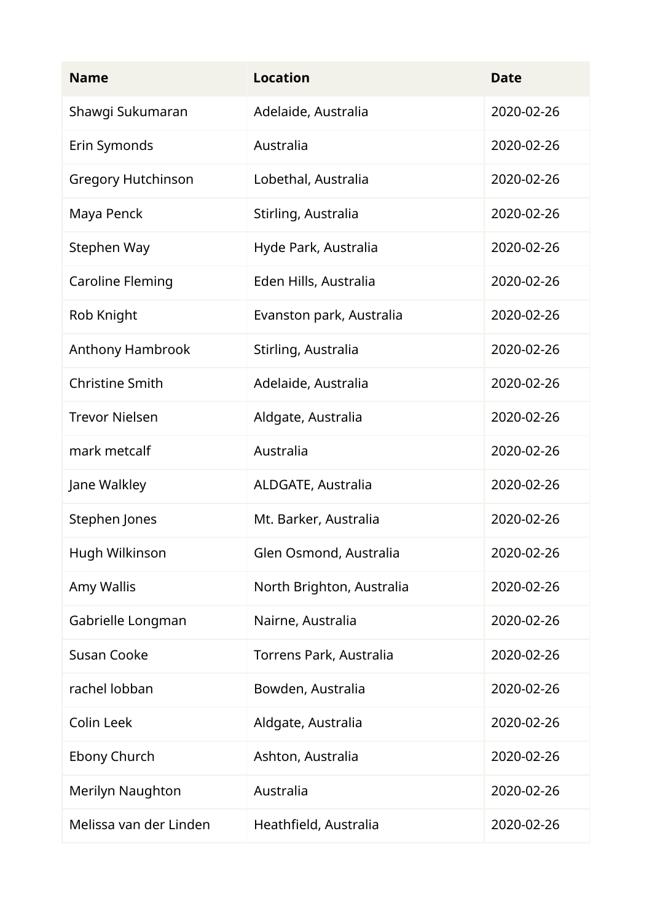| <b>Name</b>               | <b>Location</b>           | <b>Date</b> |
|---------------------------|---------------------------|-------------|
| Shawgi Sukumaran          | Adelaide, Australia       | 2020-02-26  |
| Erin Symonds              | Australia                 | 2020-02-26  |
| <b>Gregory Hutchinson</b> | Lobethal, Australia       | 2020-02-26  |
| Maya Penck                | Stirling, Australia       | 2020-02-26  |
| Stephen Way               | Hyde Park, Australia      | 2020-02-26  |
| <b>Caroline Fleming</b>   | Eden Hills, Australia     | 2020-02-26  |
| Rob Knight                | Evanston park, Australia  | 2020-02-26  |
| Anthony Hambrook          | Stirling, Australia       | 2020-02-26  |
| <b>Christine Smith</b>    | Adelaide, Australia       | 2020-02-26  |
| <b>Trevor Nielsen</b>     | Aldgate, Australia        | 2020-02-26  |
| mark metcalf              | Australia                 | 2020-02-26  |
| Jane Walkley              | ALDGATE, Australia        | 2020-02-26  |
| Stephen Jones             | Mt. Barker, Australia     | 2020-02-26  |
| Hugh Wilkinson            | Glen Osmond, Australia    | 2020-02-26  |
| Amy Wallis                | North Brighton, Australia | 2020-02-26  |
| Gabrielle Longman         | Nairne, Australia         | 2020-02-26  |
| <b>Susan Cooke</b>        | Torrens Park, Australia   | 2020-02-26  |
| rachel lobban             | Bowden, Australia         | 2020-02-26  |
| Colin Leek                | Aldgate, Australia        | 2020-02-26  |
| Ebony Church              | Ashton, Australia         | 2020-02-26  |
| Merilyn Naughton          | Australia                 | 2020-02-26  |
| Melissa van der Linden    | Heathfield, Australia     | 2020-02-26  |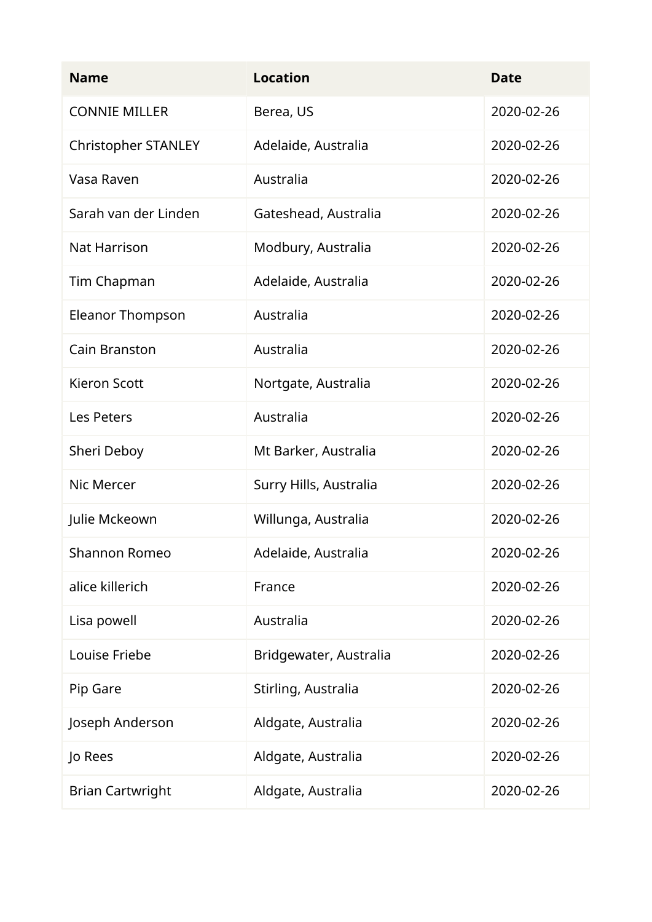| <b>Name</b>                | <b>Location</b>        | <b>Date</b> |
|----------------------------|------------------------|-------------|
| <b>CONNIE MILLER</b>       | Berea, US              | 2020-02-26  |
| <b>Christopher STANLEY</b> | Adelaide, Australia    | 2020-02-26  |
| Vasa Raven                 | Australia              | 2020-02-26  |
| Sarah van der Linden       | Gateshead, Australia   | 2020-02-26  |
| Nat Harrison               | Modbury, Australia     | 2020-02-26  |
| Tim Chapman                | Adelaide, Australia    | 2020-02-26  |
| <b>Eleanor Thompson</b>    | Australia              | 2020-02-26  |
| <b>Cain Branston</b>       | Australia              | 2020-02-26  |
| <b>Kieron Scott</b>        | Nortgate, Australia    | 2020-02-26  |
| Les Peters                 | Australia              | 2020-02-26  |
| Sheri Deboy                | Mt Barker, Australia   | 2020-02-26  |
| Nic Mercer                 | Surry Hills, Australia | 2020-02-26  |
| Julie Mckeown              | Willunga, Australia    | 2020-02-26  |
| Shannon Romeo              | Adelaide, Australia    | 2020-02-26  |
| alice killerich            | France                 | 2020-02-26  |
| Lisa powell                | Australia              | 2020-02-26  |
| Louise Friebe              | Bridgewater, Australia | 2020-02-26  |
| Pip Gare                   | Stirling, Australia    | 2020-02-26  |
| Joseph Anderson            | Aldgate, Australia     | 2020-02-26  |
| Jo Rees                    | Aldgate, Australia     | 2020-02-26  |
| <b>Brian Cartwright</b>    | Aldgate, Australia     | 2020-02-26  |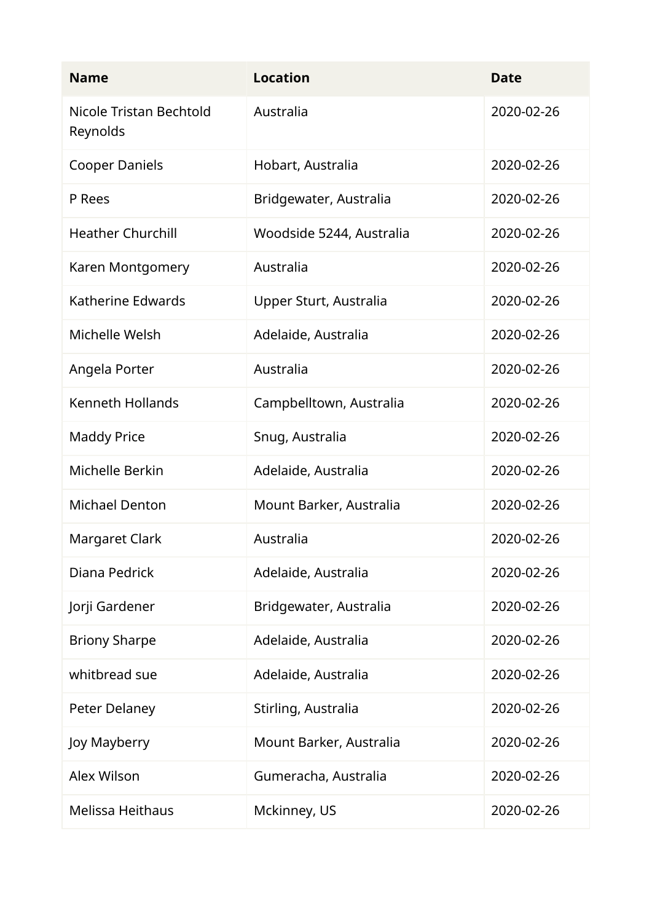| <b>Name</b>                         | <b>Location</b>          | <b>Date</b> |
|-------------------------------------|--------------------------|-------------|
| Nicole Tristan Bechtold<br>Reynolds | Australia                | 2020-02-26  |
| <b>Cooper Daniels</b>               | Hobart, Australia        | 2020-02-26  |
| P Rees                              | Bridgewater, Australia   | 2020-02-26  |
| <b>Heather Churchill</b>            | Woodside 5244, Australia | 2020-02-26  |
| Karen Montgomery                    | Australia                | 2020-02-26  |
| Katherine Edwards                   | Upper Sturt, Australia   | 2020-02-26  |
| Michelle Welsh                      | Adelaide, Australia      | 2020-02-26  |
| Angela Porter                       | Australia                | 2020-02-26  |
| <b>Kenneth Hollands</b>             | Campbelltown, Australia  | 2020-02-26  |
| <b>Maddy Price</b>                  | Snug, Australia          | 2020-02-26  |
| Michelle Berkin                     | Adelaide, Australia      | 2020-02-26  |
| <b>Michael Denton</b>               | Mount Barker, Australia  | 2020-02-26  |
| Margaret Clark                      | Australia                | 2020-02-26  |
| Diana Pedrick                       | Adelaide, Australia      | 2020-02-26  |
| Jorji Gardener                      | Bridgewater, Australia   | 2020-02-26  |
| <b>Briony Sharpe</b>                | Adelaide, Australia      | 2020-02-26  |
| whitbread sue                       | Adelaide, Australia      | 2020-02-26  |
| Peter Delaney                       | Stirling, Australia      | 2020-02-26  |
| Joy Mayberry                        | Mount Barker, Australia  | 2020-02-26  |
| Alex Wilson                         | Gumeracha, Australia     | 2020-02-26  |
| <b>Melissa Heithaus</b>             | Mckinney, US             | 2020-02-26  |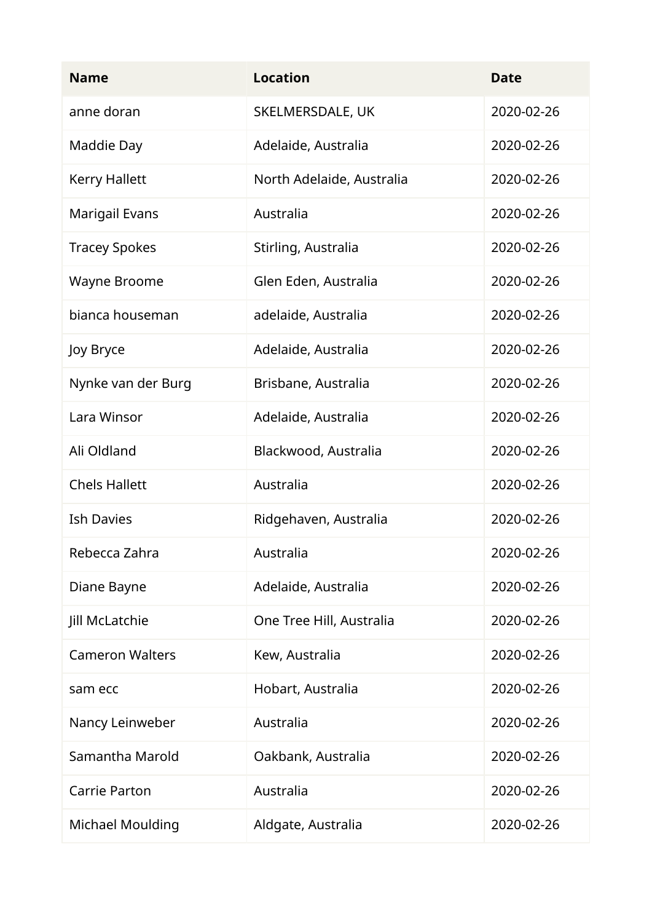| <b>Name</b>             | <b>Location</b>           | <b>Date</b> |
|-------------------------|---------------------------|-------------|
| anne doran              | SKELMERSDALE, UK          | 2020-02-26  |
| Maddie Day              | Adelaide, Australia       | 2020-02-26  |
| <b>Kerry Hallett</b>    | North Adelaide, Australia | 2020-02-26  |
| Marigail Evans          | Australia                 | 2020-02-26  |
| <b>Tracey Spokes</b>    | Stirling, Australia       | 2020-02-26  |
| Wayne Broome            | Glen Eden, Australia      | 2020-02-26  |
| bianca houseman         | adelaide, Australia       | 2020-02-26  |
| Joy Bryce               | Adelaide, Australia       | 2020-02-26  |
| Nynke van der Burg      | Brisbane, Australia       | 2020-02-26  |
| Lara Winsor             | Adelaide, Australia       | 2020-02-26  |
| Ali Oldland             | Blackwood, Australia      | 2020-02-26  |
| <b>Chels Hallett</b>    | Australia                 | 2020-02-26  |
| <b>Ish Davies</b>       | Ridgehaven, Australia     | 2020-02-26  |
| Rebecca Zahra           | Australia                 | 2020-02-26  |
| Diane Bayne             | Adelaide, Australia       | 2020-02-26  |
| Jill McLatchie          | One Tree Hill, Australia  | 2020-02-26  |
| <b>Cameron Walters</b>  | Kew, Australia            | 2020-02-26  |
| sam ecc                 | Hobart, Australia         | 2020-02-26  |
| Nancy Leinweber         | Australia                 | 2020-02-26  |
| Samantha Marold         | Oakbank, Australia        | 2020-02-26  |
| Carrie Parton           | Australia                 | 2020-02-26  |
| <b>Michael Moulding</b> | Aldgate, Australia        | 2020-02-26  |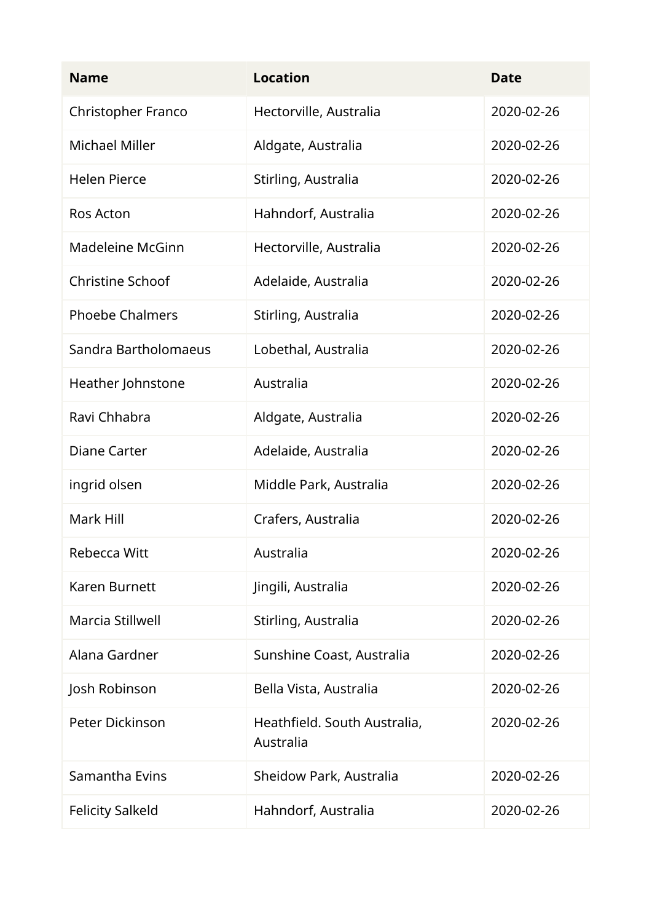| <b>Name</b>               | <b>Location</b>                           | <b>Date</b> |
|---------------------------|-------------------------------------------|-------------|
| <b>Christopher Franco</b> | Hectorville, Australia                    | 2020-02-26  |
| <b>Michael Miller</b>     | Aldgate, Australia                        | 2020-02-26  |
| <b>Helen Pierce</b>       | Stirling, Australia                       | 2020-02-26  |
| <b>Ros Acton</b>          | Hahndorf, Australia                       | 2020-02-26  |
| <b>Madeleine McGinn</b>   | Hectorville, Australia                    | 2020-02-26  |
| <b>Christine Schoof</b>   | Adelaide, Australia                       | 2020-02-26  |
| <b>Phoebe Chalmers</b>    | Stirling, Australia                       | 2020-02-26  |
| Sandra Bartholomaeus      | Lobethal, Australia                       | 2020-02-26  |
| Heather Johnstone         | Australia                                 | 2020-02-26  |
| Ravi Chhabra              | Aldgate, Australia                        | 2020-02-26  |
| <b>Diane Carter</b>       | Adelaide, Australia                       | 2020-02-26  |
| ingrid olsen              | Middle Park, Australia                    | 2020-02-26  |
| Mark Hill                 | Crafers, Australia                        | 2020-02-26  |
| Rebecca Witt              | Australia                                 | 2020-02-26  |
| <b>Karen Burnett</b>      | Jingili, Australia                        | 2020-02-26  |
| Marcia Stillwell          | Stirling, Australia                       | 2020-02-26  |
| Alana Gardner             | Sunshine Coast, Australia                 | 2020-02-26  |
| Josh Robinson             | Bella Vista, Australia                    | 2020-02-26  |
| Peter Dickinson           | Heathfield. South Australia,<br>Australia | 2020-02-26  |
| Samantha Evins            | Sheidow Park, Australia                   | 2020-02-26  |
| <b>Felicity Salkeld</b>   | Hahndorf, Australia                       | 2020-02-26  |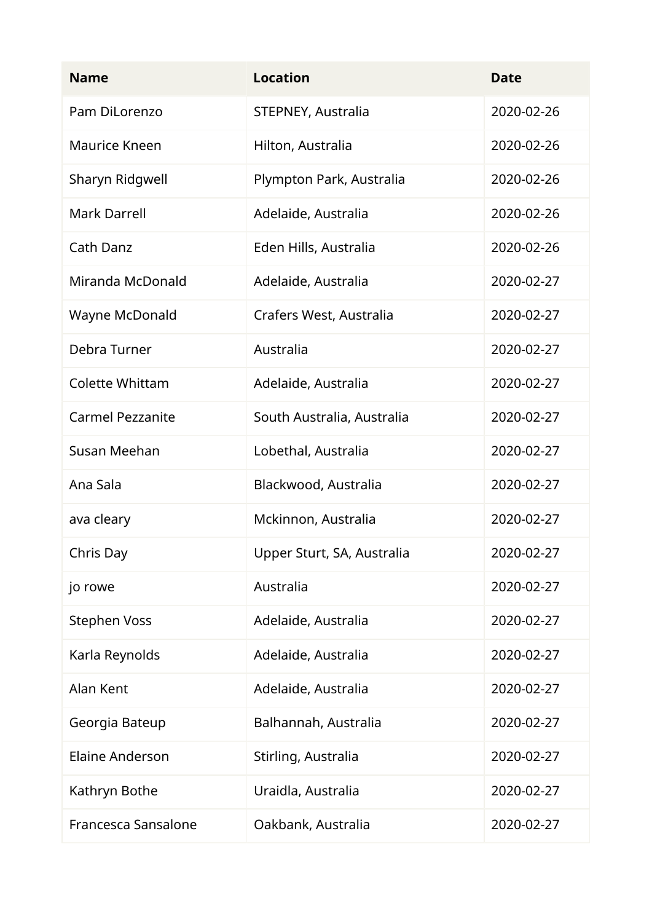| <b>Name</b>             | <b>Location</b>            | <b>Date</b> |
|-------------------------|----------------------------|-------------|
| Pam DiLorenzo           | STEPNEY, Australia         | 2020-02-26  |
| Maurice Kneen           | Hilton, Australia          | 2020-02-26  |
| Sharyn Ridgwell         | Plympton Park, Australia   | 2020-02-26  |
| <b>Mark Darrell</b>     | Adelaide, Australia        | 2020-02-26  |
| Cath Danz               | Eden Hills, Australia      | 2020-02-26  |
| Miranda McDonald        | Adelaide, Australia        | 2020-02-27  |
| Wayne McDonald          | Crafers West, Australia    | 2020-02-27  |
| Debra Turner            | Australia                  | 2020-02-27  |
| <b>Colette Whittam</b>  | Adelaide, Australia        | 2020-02-27  |
| <b>Carmel Pezzanite</b> | South Australia, Australia | 2020-02-27  |
| Susan Meehan            | Lobethal, Australia        | 2020-02-27  |
| Ana Sala                | Blackwood, Australia       | 2020-02-27  |
| ava cleary              | Mckinnon, Australia        | 2020-02-27  |
| Chris Day               | Upper Sturt, SA, Australia | 2020-02-27  |
| jo rowe                 | Australia                  | 2020-02-27  |
| <b>Stephen Voss</b>     | Adelaide, Australia        | 2020-02-27  |
| Karla Reynolds          | Adelaide, Australia        | 2020-02-27  |
| Alan Kent               | Adelaide, Australia        | 2020-02-27  |
| Georgia Bateup          | Balhannah, Australia       | 2020-02-27  |
| <b>Elaine Anderson</b>  | Stirling, Australia        | 2020-02-27  |
| Kathryn Bothe           | Uraidla, Australia         | 2020-02-27  |
| Francesca Sansalone     | Oakbank, Australia         | 2020-02-27  |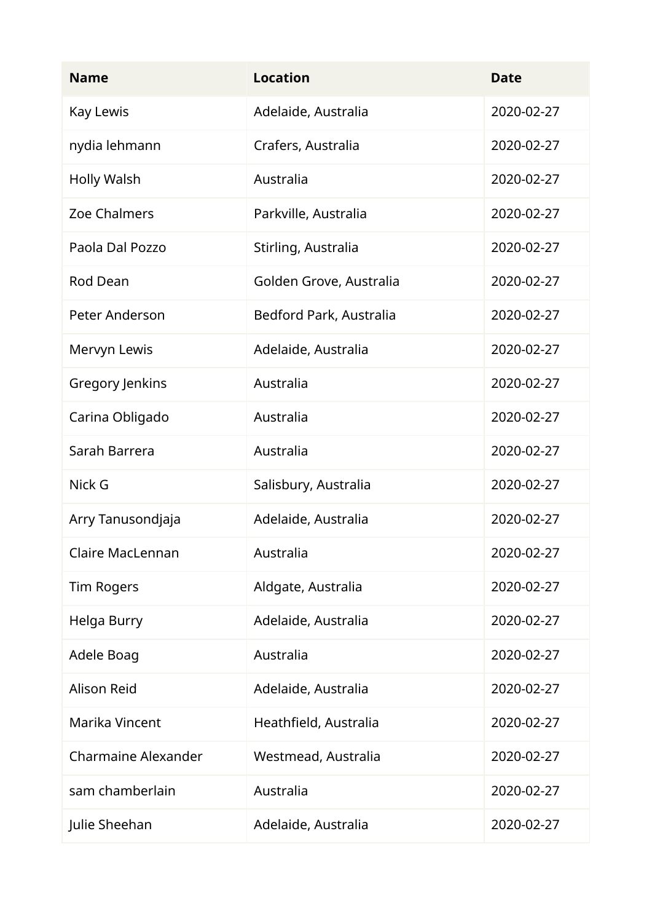| <b>Name</b>                | <b>Location</b>         | <b>Date</b> |
|----------------------------|-------------------------|-------------|
| Kay Lewis                  | Adelaide, Australia     | 2020-02-27  |
| nydia lehmann              | Crafers, Australia      | 2020-02-27  |
| <b>Holly Walsh</b>         | Australia               | 2020-02-27  |
| Zoe Chalmers               | Parkville, Australia    | 2020-02-27  |
| Paola Dal Pozzo            | Stirling, Australia     | 2020-02-27  |
| Rod Dean                   | Golden Grove, Australia | 2020-02-27  |
| Peter Anderson             | Bedford Park, Australia | 2020-02-27  |
| Mervyn Lewis               | Adelaide, Australia     | 2020-02-27  |
| Gregory Jenkins            | Australia               | 2020-02-27  |
| Carina Obligado            | Australia               | 2020-02-27  |
| Sarah Barrera              | Australia               | 2020-02-27  |
| Nick G                     | Salisbury, Australia    | 2020-02-27  |
| Arry Tanusondjaja          | Adelaide, Australia     | 2020-02-27  |
| Claire MacLennan           | Australia               | 2020-02-27  |
| <b>Tim Rogers</b>          | Aldgate, Australia      | 2020-02-27  |
| Helga Burry                | Adelaide, Australia     | 2020-02-27  |
| Adele Boag                 | Australia               | 2020-02-27  |
| <b>Alison Reid</b>         | Adelaide, Australia     | 2020-02-27  |
| Marika Vincent             | Heathfield, Australia   | 2020-02-27  |
| <b>Charmaine Alexander</b> | Westmead, Australia     | 2020-02-27  |
| sam chamberlain            | Australia               | 2020-02-27  |
| Julie Sheehan              | Adelaide, Australia     | 2020-02-27  |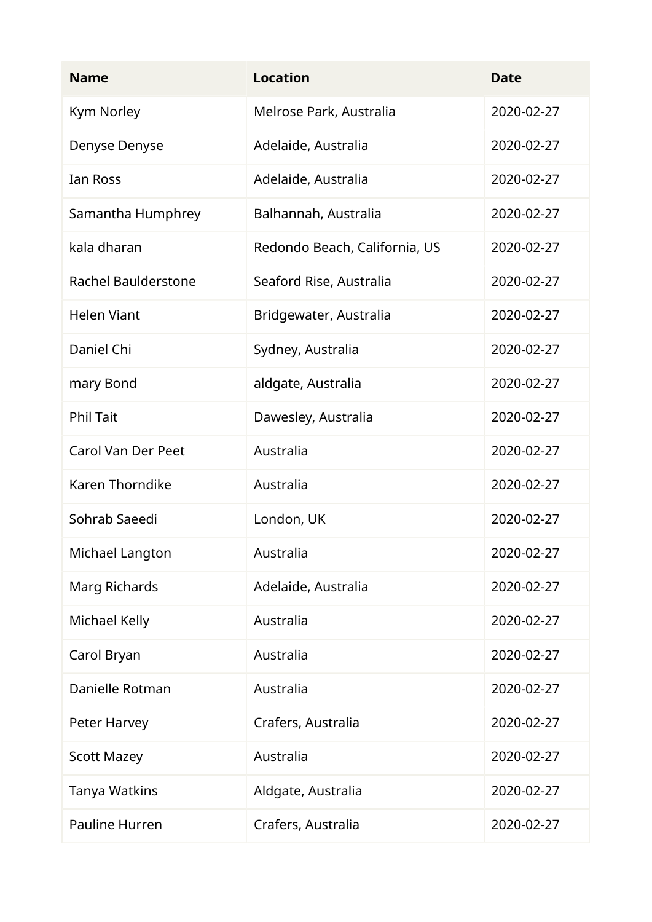| <b>Name</b>                | <b>Location</b>               | <b>Date</b> |
|----------------------------|-------------------------------|-------------|
| Kym Norley                 | Melrose Park, Australia       | 2020-02-27  |
| Denyse Denyse              | Adelaide, Australia           | 2020-02-27  |
| Ian Ross                   | Adelaide, Australia           | 2020-02-27  |
| Samantha Humphrey          | Balhannah, Australia          | 2020-02-27  |
| kala dharan                | Redondo Beach, California, US | 2020-02-27  |
| <b>Rachel Baulderstone</b> | Seaford Rise, Australia       | 2020-02-27  |
| <b>Helen Viant</b>         | Bridgewater, Australia        | 2020-02-27  |
| Daniel Chi                 | Sydney, Australia             | 2020-02-27  |
| mary Bond                  | aldgate, Australia            | 2020-02-27  |
| <b>Phil Tait</b>           | Dawesley, Australia           | 2020-02-27  |
| <b>Carol Van Der Peet</b>  | Australia                     | 2020-02-27  |
| <b>Karen Thorndike</b>     | Australia                     | 2020-02-27  |
| Sohrab Saeedi              | London, UK                    | 2020-02-27  |
| Michael Langton            | Australia                     | 2020-02-27  |
| Marg Richards              | Adelaide, Australia           | 2020-02-27  |
| Michael Kelly              | Australia                     | 2020-02-27  |
| Carol Bryan                | Australia                     | 2020-02-27  |
| Danielle Rotman            | Australia                     | 2020-02-27  |
| Peter Harvey               | Crafers, Australia            | 2020-02-27  |
| <b>Scott Mazey</b>         | Australia                     | 2020-02-27  |
| Tanya Watkins              | Aldgate, Australia            | 2020-02-27  |
| Pauline Hurren             | Crafers, Australia            | 2020-02-27  |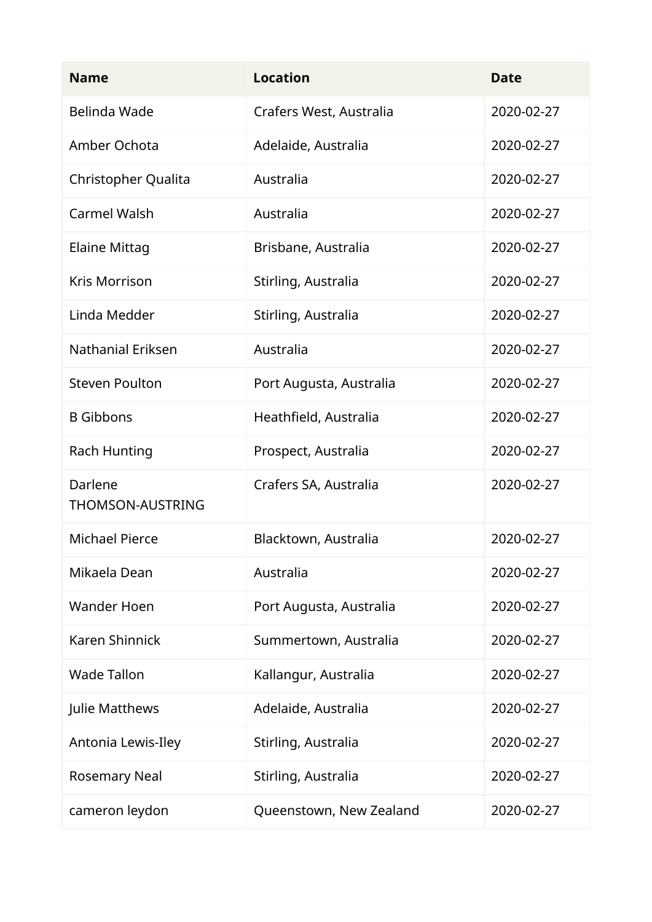| <b>Name</b>                        | <b>Location</b>         | <b>Date</b> |
|------------------------------------|-------------------------|-------------|
| Belinda Wade                       | Crafers West, Australia | 2020-02-27  |
| Amber Ochota                       | Adelaide, Australia     | 2020-02-27  |
| Christopher Qualita                | Australia               | 2020-02-27  |
| <b>Carmel Walsh</b>                | Australia               | 2020-02-27  |
| <b>Elaine Mittag</b>               | Brisbane, Australia     | 2020-02-27  |
| <b>Kris Morrison</b>               | Stirling, Australia     | 2020-02-27  |
| Linda Medder                       | Stirling, Australia     | 2020-02-27  |
| <b>Nathanial Eriksen</b>           | Australia               | 2020-02-27  |
| <b>Steven Poulton</b>              | Port Augusta, Australia | 2020-02-27  |
| <b>B</b> Gibbons                   | Heathfield, Australia   | 2020-02-27  |
| <b>Rach Hunting</b>                | Prospect, Australia     | 2020-02-27  |
| Darlene<br><b>THOMSON-AUSTRING</b> | Crafers SA, Australia   | 2020-02-27  |
| <b>Michael Pierce</b>              | Blacktown, Australia    | 2020-02-27  |
| Mikaela Dean                       | Australia               | 2020-02-27  |
| <b>Wander Hoen</b>                 | Port Augusta, Australia | 2020-02-27  |
| <b>Karen Shinnick</b>              | Summertown, Australia   | 2020-02-27  |
| <b>Wade Tallon</b>                 | Kallangur, Australia    | 2020-02-27  |
| Julie Matthews                     | Adelaide, Australia     | 2020-02-27  |
| Antonia Lewis-Iley                 | Stirling, Australia     | 2020-02-27  |
| <b>Rosemary Neal</b>               | Stirling, Australia     | 2020-02-27  |
| cameron leydon                     | Queenstown, New Zealand | 2020-02-27  |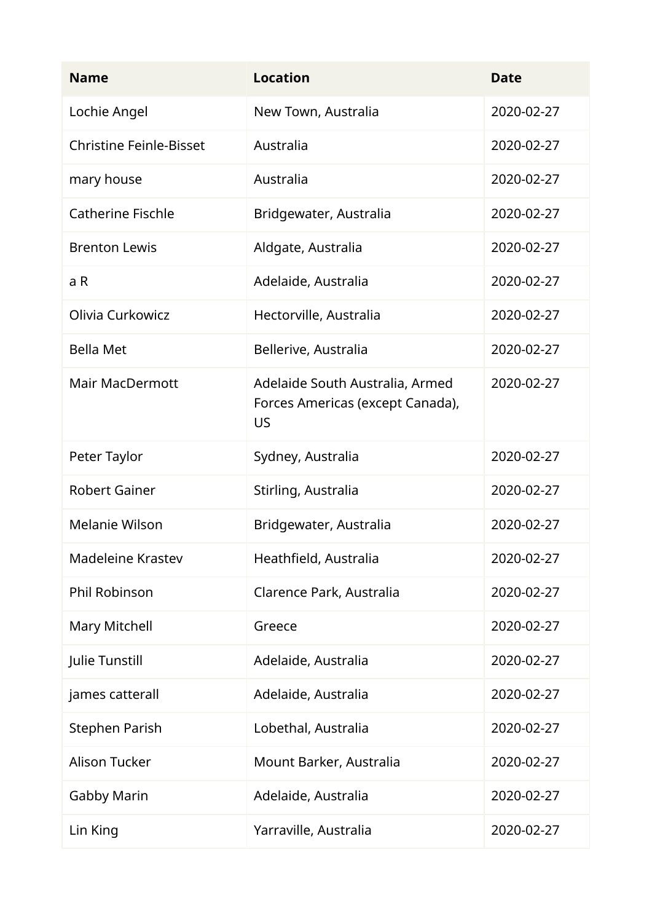| <b>Name</b>                    | <b>Location</b>                                                                  | <b>Date</b> |
|--------------------------------|----------------------------------------------------------------------------------|-------------|
| Lochie Angel                   | New Town, Australia                                                              | 2020-02-27  |
| <b>Christine Feinle-Bisset</b> | Australia                                                                        | 2020-02-27  |
| mary house                     | Australia                                                                        | 2020-02-27  |
| <b>Catherine Fischle</b>       | Bridgewater, Australia                                                           | 2020-02-27  |
| <b>Brenton Lewis</b>           | Aldgate, Australia                                                               | 2020-02-27  |
| a R                            | Adelaide, Australia                                                              | 2020-02-27  |
| Olivia Curkowicz               | Hectorville, Australia                                                           | 2020-02-27  |
| <b>Bella Met</b>               | Bellerive, Australia                                                             | 2020-02-27  |
| <b>Mair MacDermott</b>         | Adelaide South Australia, Armed<br>Forces Americas (except Canada),<br><b>US</b> | 2020-02-27  |
| Peter Taylor                   | Sydney, Australia                                                                | 2020-02-27  |
| <b>Robert Gainer</b>           | Stirling, Australia                                                              | 2020-02-27  |
| Melanie Wilson                 | Bridgewater, Australia                                                           | 2020-02-27  |
| Madeleine Krastev              | Heathfield, Australia                                                            | 2020-02-27  |
| Phil Robinson                  | Clarence Park, Australia                                                         | 2020-02-27  |
| Mary Mitchell                  | Greece                                                                           | 2020-02-27  |
| Julie Tunstill                 | Adelaide, Australia                                                              | 2020-02-27  |
| james catterall                | Adelaide, Australia                                                              | 2020-02-27  |
| <b>Stephen Parish</b>          | Lobethal, Australia                                                              | 2020-02-27  |
| <b>Alison Tucker</b>           | Mount Barker, Australia                                                          | 2020-02-27  |
| <b>Gabby Marin</b>             | Adelaide, Australia                                                              | 2020-02-27  |
| Lin King                       | Yarraville, Australia                                                            | 2020-02-27  |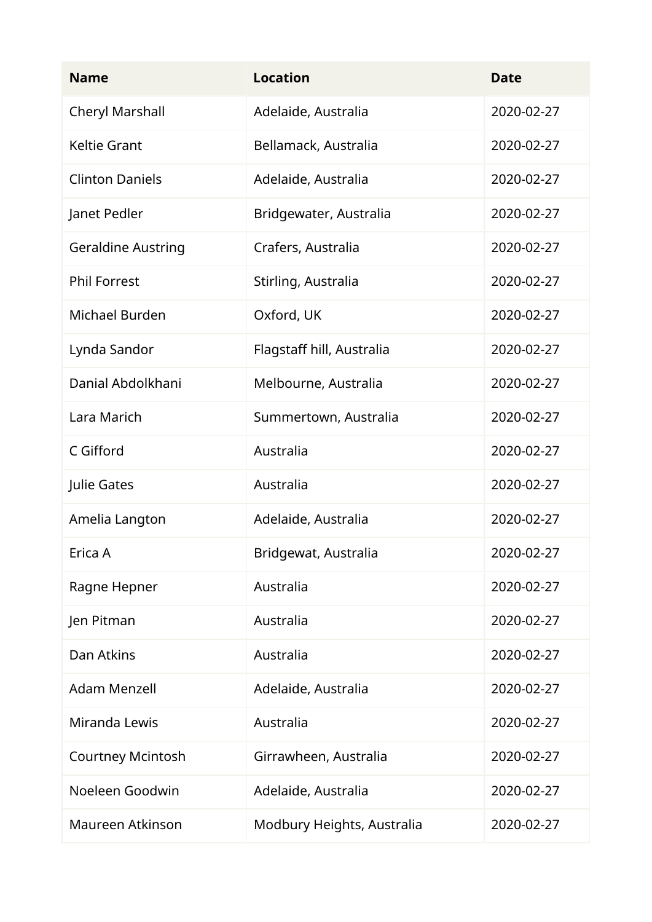| <b>Name</b>               | <b>Location</b>            | <b>Date</b> |
|---------------------------|----------------------------|-------------|
| Cheryl Marshall           | Adelaide, Australia        | 2020-02-27  |
| <b>Keltie Grant</b>       | Bellamack, Australia       | 2020-02-27  |
| <b>Clinton Daniels</b>    | Adelaide, Australia        | 2020-02-27  |
| Janet Pedler              | Bridgewater, Australia     | 2020-02-27  |
| <b>Geraldine Austring</b> | Crafers, Australia         | 2020-02-27  |
| <b>Phil Forrest</b>       | Stirling, Australia        | 2020-02-27  |
| Michael Burden            | Oxford, UK                 | 2020-02-27  |
| Lynda Sandor              | Flagstaff hill, Australia  | 2020-02-27  |
| Danial Abdolkhani         | Melbourne, Australia       | 2020-02-27  |
| Lara Marich               | Summertown, Australia      | 2020-02-27  |
| C Gifford                 | Australia                  | 2020-02-27  |
| Julie Gates               | Australia                  | 2020-02-27  |
| Amelia Langton            | Adelaide, Australia        | 2020-02-27  |
| Erica A                   | Bridgewat, Australia       | 2020-02-27  |
| Ragne Hepner              | Australia                  | 2020-02-27  |
| Jen Pitman                | Australia                  | 2020-02-27  |
| Dan Atkins                | Australia                  | 2020-02-27  |
| <b>Adam Menzell</b>       | Adelaide, Australia        | 2020-02-27  |
| Miranda Lewis             | Australia                  | 2020-02-27  |
| <b>Courtney Mcintosh</b>  | Girrawheen, Australia      | 2020-02-27  |
| Noeleen Goodwin           | Adelaide, Australia        | 2020-02-27  |
| Maureen Atkinson          | Modbury Heights, Australia | 2020-02-27  |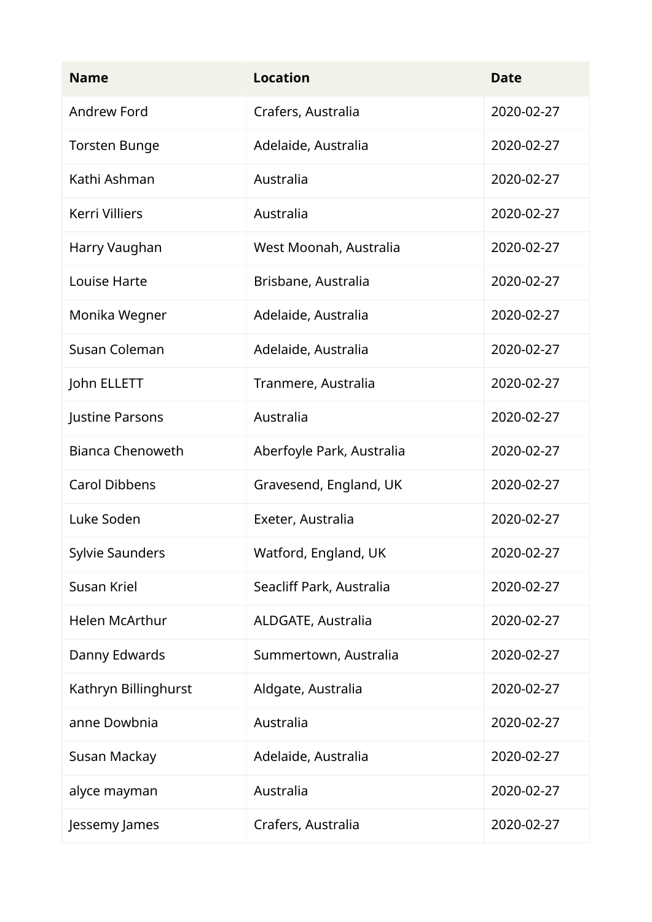| <b>Name</b>             | <b>Location</b>           | <b>Date</b> |
|-------------------------|---------------------------|-------------|
| <b>Andrew Ford</b>      | Crafers, Australia        | 2020-02-27  |
| <b>Torsten Bunge</b>    | Adelaide, Australia       | 2020-02-27  |
| Kathi Ashman            | Australia                 | 2020-02-27  |
| <b>Kerri Villiers</b>   | Australia                 | 2020-02-27  |
| Harry Vaughan           | West Moonah, Australia    | 2020-02-27  |
| Louise Harte            | Brisbane, Australia       | 2020-02-27  |
| Monika Wegner           | Adelaide, Australia       | 2020-02-27  |
| Susan Coleman           | Adelaide, Australia       | 2020-02-27  |
| John ELLETT             | Tranmere, Australia       | 2020-02-27  |
| Justine Parsons         | Australia                 | 2020-02-27  |
| <b>Bianca Chenoweth</b> | Aberfoyle Park, Australia | 2020-02-27  |
| <b>Carol Dibbens</b>    | Gravesend, England, UK    | 2020-02-27  |
| Luke Soden              | Exeter, Australia         | 2020-02-27  |
| <b>Sylvie Saunders</b>  | Watford, England, UK      | 2020-02-27  |
| Susan Kriel             | Seacliff Park, Australia  | 2020-02-27  |
| <b>Helen McArthur</b>   | ALDGATE, Australia        | 2020-02-27  |
| Danny Edwards           | Summertown, Australia     | 2020-02-27  |
| Kathryn Billinghurst    | Aldgate, Australia        | 2020-02-27  |
| anne Dowbnia            | Australia                 | 2020-02-27  |
| Susan Mackay            | Adelaide, Australia       | 2020-02-27  |
| alyce mayman            | Australia                 | 2020-02-27  |
| Jessemy James           | Crafers, Australia        | 2020-02-27  |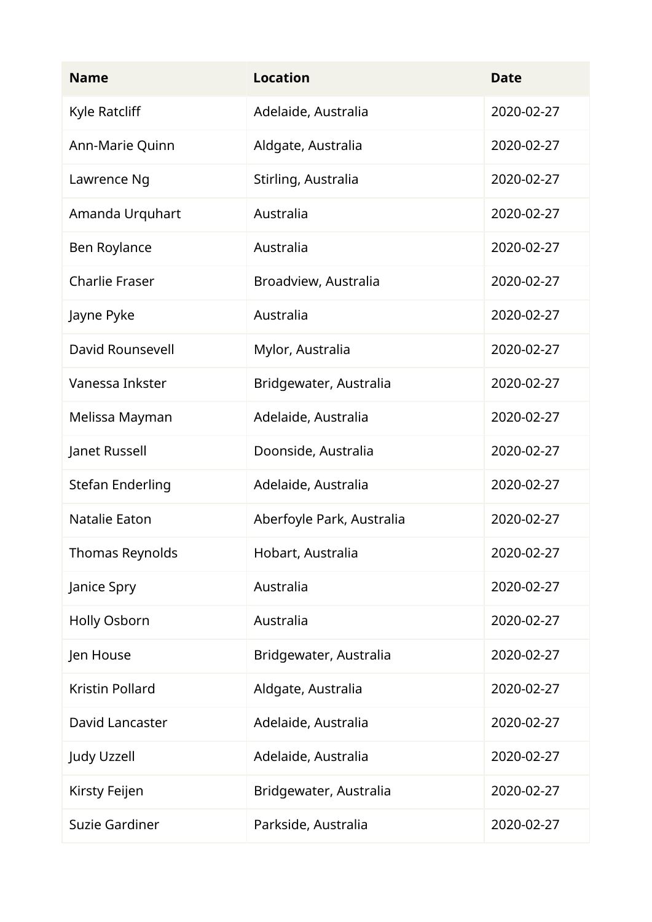| <b>Name</b>             | <b>Location</b>           | <b>Date</b> |
|-------------------------|---------------------------|-------------|
| Kyle Ratcliff           | Adelaide, Australia       | 2020-02-27  |
| Ann-Marie Quinn         | Aldgate, Australia        | 2020-02-27  |
| Lawrence Ng             | Stirling, Australia       | 2020-02-27  |
| Amanda Urquhart         | Australia                 | 2020-02-27  |
| Ben Roylance            | Australia                 | 2020-02-27  |
| <b>Charlie Fraser</b>   | Broadview, Australia      | 2020-02-27  |
| Jayne Pyke              | Australia                 | 2020-02-27  |
| <b>David Rounsevell</b> | Mylor, Australia          | 2020-02-27  |
| Vanessa Inkster         | Bridgewater, Australia    | 2020-02-27  |
| Melissa Mayman          | Adelaide, Australia       | 2020-02-27  |
| Janet Russell           | Doonside, Australia       | 2020-02-27  |
| <b>Stefan Enderling</b> | Adelaide, Australia       | 2020-02-27  |
| Natalie Eaton           | Aberfoyle Park, Australia | 2020-02-27  |
| Thomas Reynolds         | Hobart, Australia         | 2020-02-27  |
| Janice Spry             | Australia                 | 2020-02-27  |
| Holly Osborn            | Australia                 | 2020-02-27  |
| Jen House               | Bridgewater, Australia    | 2020-02-27  |
| <b>Kristin Pollard</b>  | Aldgate, Australia        | 2020-02-27  |
| David Lancaster         | Adelaide, Australia       | 2020-02-27  |
| <b>Judy Uzzell</b>      | Adelaide, Australia       | 2020-02-27  |
| Kirsty Feijen           | Bridgewater, Australia    | 2020-02-27  |
| <b>Suzie Gardiner</b>   | Parkside, Australia       | 2020-02-27  |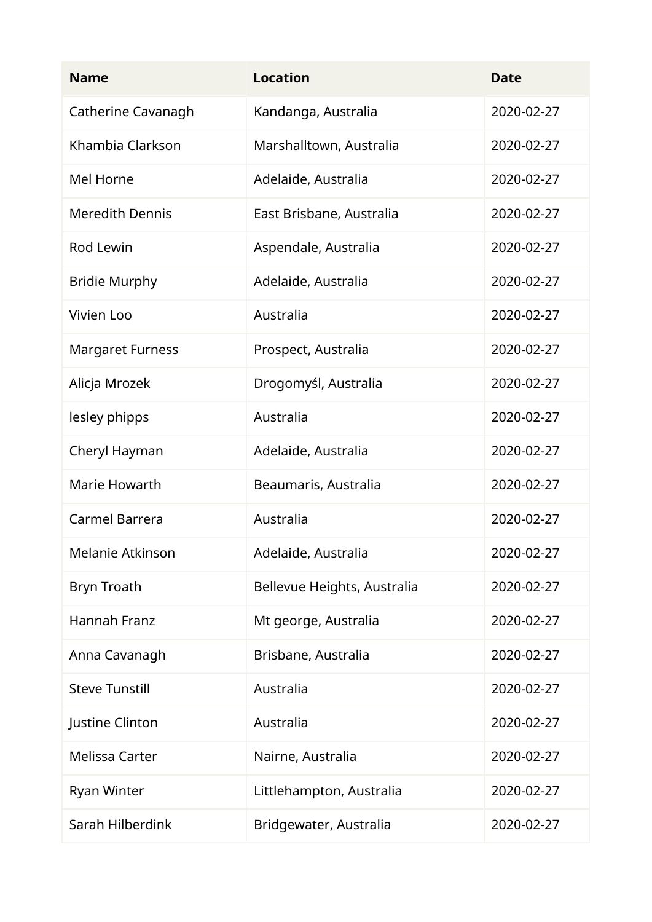| <b>Name</b>             | <b>Location</b>             | <b>Date</b> |
|-------------------------|-----------------------------|-------------|
| Catherine Cavanagh      | Kandanga, Australia         | 2020-02-27  |
| Khambia Clarkson        | Marshalltown, Australia     | 2020-02-27  |
| Mel Horne               | Adelaide, Australia         | 2020-02-27  |
| <b>Meredith Dennis</b>  | East Brisbane, Australia    | 2020-02-27  |
| Rod Lewin               | Aspendale, Australia        | 2020-02-27  |
| <b>Bridie Murphy</b>    | Adelaide, Australia         | 2020-02-27  |
| Vivien Loo              | Australia                   | 2020-02-27  |
| <b>Margaret Furness</b> | Prospect, Australia         | 2020-02-27  |
| Alicja Mrozek           | Drogomyśl, Australia        | 2020-02-27  |
| lesley phipps           | Australia                   | 2020-02-27  |
| Cheryl Hayman           | Adelaide, Australia         | 2020-02-27  |
| Marie Howarth           | Beaumaris, Australia        | 2020-02-27  |
| Carmel Barrera          | Australia                   | 2020-02-27  |
| Melanie Atkinson        | Adelaide, Australia         | 2020-02-27  |
| <b>Bryn Troath</b>      | Bellevue Heights, Australia | 2020-02-27  |
| Hannah Franz            | Mt george, Australia        | 2020-02-27  |
| Anna Cavanagh           | Brisbane, Australia         | 2020-02-27  |
| <b>Steve Tunstill</b>   | Australia                   | 2020-02-27  |
| Justine Clinton         | Australia                   | 2020-02-27  |
| <b>Melissa Carter</b>   | Nairne, Australia           | 2020-02-27  |
| <b>Ryan Winter</b>      | Littlehampton, Australia    | 2020-02-27  |
| Sarah Hilberdink        | Bridgewater, Australia      | 2020-02-27  |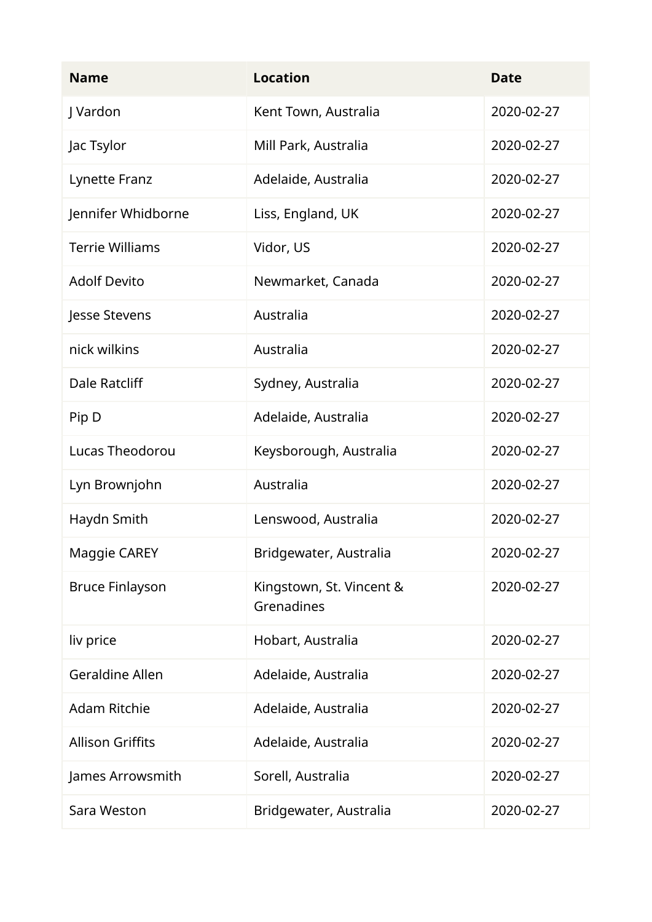| <b>Name</b>             | <b>Location</b>                        | <b>Date</b> |
|-------------------------|----------------------------------------|-------------|
| J Vardon                | Kent Town, Australia                   | 2020-02-27  |
| Jac Tsylor              | Mill Park, Australia                   | 2020-02-27  |
| Lynette Franz           | Adelaide, Australia                    | 2020-02-27  |
| Jennifer Whidborne      | Liss, England, UK                      | 2020-02-27  |
| <b>Terrie Williams</b>  | Vidor, US                              | 2020-02-27  |
| <b>Adolf Devito</b>     | Newmarket, Canada                      | 2020-02-27  |
| Jesse Stevens           | Australia                              | 2020-02-27  |
| nick wilkins            | Australia                              | 2020-02-27  |
| <b>Dale Ratcliff</b>    | Sydney, Australia                      | 2020-02-27  |
| Pip D                   | Adelaide, Australia                    | 2020-02-27  |
| Lucas Theodorou         | Keysborough, Australia                 | 2020-02-27  |
| Lyn Brownjohn           | Australia                              | 2020-02-27  |
| Haydn Smith             | Lenswood, Australia                    | 2020-02-27  |
| Maggie CAREY            | Bridgewater, Australia                 | 2020-02-27  |
| <b>Bruce Finlayson</b>  | Kingstown, St. Vincent &<br>Grenadines | 2020-02-27  |
| liv price               | Hobart, Australia                      | 2020-02-27  |
| <b>Geraldine Allen</b>  | Adelaide, Australia                    | 2020-02-27  |
| <b>Adam Ritchie</b>     | Adelaide, Australia                    | 2020-02-27  |
| <b>Allison Griffits</b> | Adelaide, Australia                    | 2020-02-27  |
| James Arrowsmith        | Sorell, Australia                      | 2020-02-27  |
| Sara Weston             | Bridgewater, Australia                 | 2020-02-27  |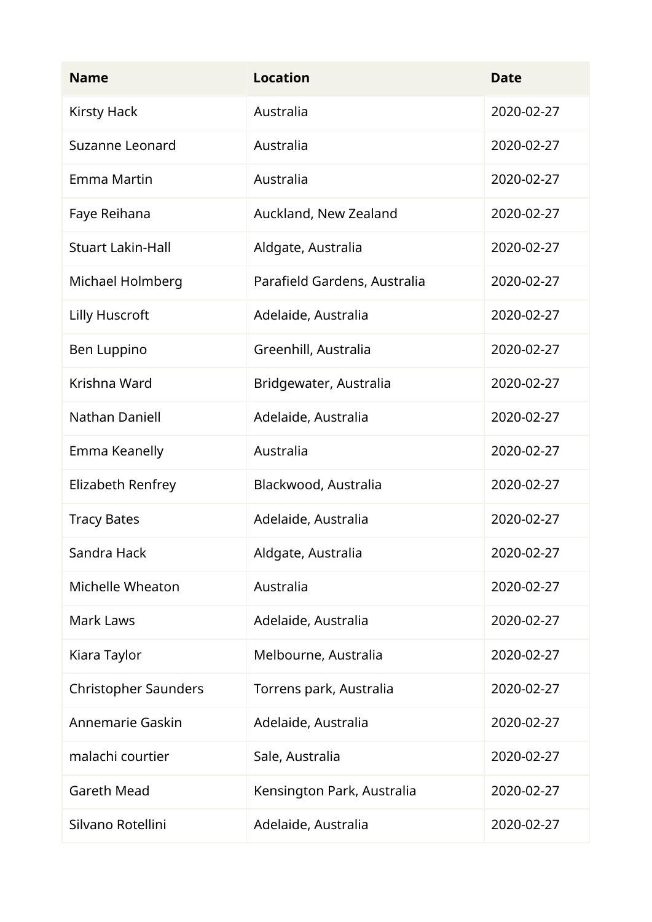| <b>Name</b>                 | <b>Location</b>              | <b>Date</b> |
|-----------------------------|------------------------------|-------------|
| <b>Kirsty Hack</b>          | Australia                    | 2020-02-27  |
| Suzanne Leonard             | Australia                    | 2020-02-27  |
| Emma Martin                 | Australia                    | 2020-02-27  |
| Faye Reihana                | Auckland, New Zealand        | 2020-02-27  |
| <b>Stuart Lakin-Hall</b>    | Aldgate, Australia           | 2020-02-27  |
| Michael Holmberg            | Parafield Gardens, Australia | 2020-02-27  |
| Lilly Huscroft              | Adelaide, Australia          | 2020-02-27  |
| Ben Luppino                 | Greenhill, Australia         | 2020-02-27  |
| Krishna Ward                | Bridgewater, Australia       | 2020-02-27  |
| <b>Nathan Daniell</b>       | Adelaide, Australia          | 2020-02-27  |
| Emma Keanelly               | Australia                    | 2020-02-27  |
| Elizabeth Renfrey           | Blackwood, Australia         | 2020-02-27  |
| <b>Tracy Bates</b>          | Adelaide, Australia          | 2020-02-27  |
| Sandra Hack                 | Aldgate, Australia           | 2020-02-27  |
| <b>Michelle Wheaton</b>     | Australia                    | 2020-02-27  |
| <b>Mark Laws</b>            | Adelaide, Australia          | 2020-02-27  |
| Kiara Taylor                | Melbourne, Australia         | 2020-02-27  |
| <b>Christopher Saunders</b> | Torrens park, Australia      | 2020-02-27  |
| Annemarie Gaskin            | Adelaide, Australia          | 2020-02-27  |
| malachi courtier            | Sale, Australia              | 2020-02-27  |
| <b>Gareth Mead</b>          | Kensington Park, Australia   | 2020-02-27  |
| Silvano Rotellini           | Adelaide, Australia          | 2020-02-27  |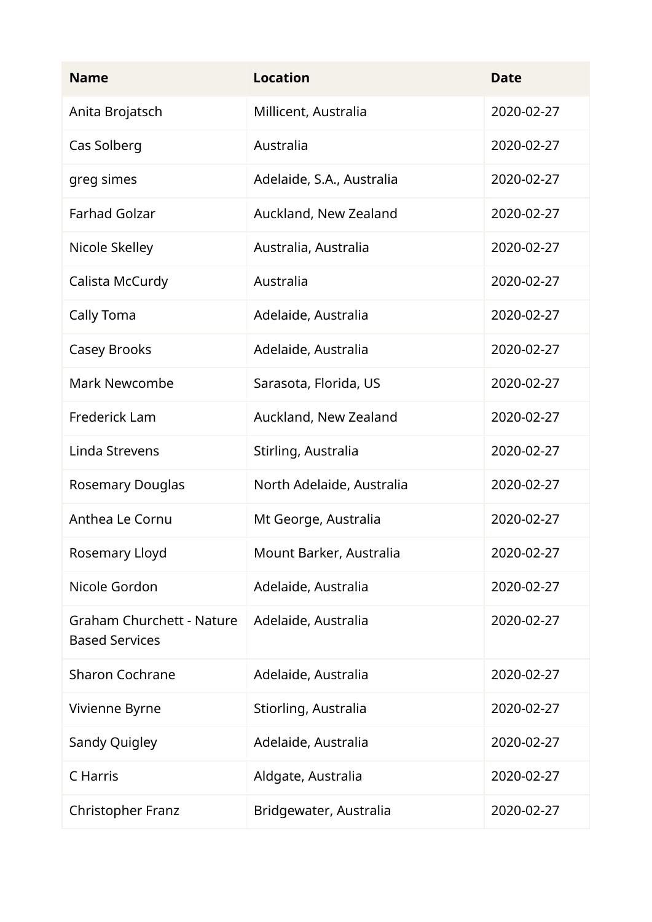| <b>Name</b>                                               | <b>Location</b>           | <b>Date</b> |
|-----------------------------------------------------------|---------------------------|-------------|
| Anita Brojatsch                                           | Millicent, Australia      | 2020-02-27  |
| Cas Solberg                                               | Australia                 | 2020-02-27  |
| greg simes                                                | Adelaide, S.A., Australia | 2020-02-27  |
| <b>Farhad Golzar</b>                                      | Auckland, New Zealand     | 2020-02-27  |
| Nicole Skelley                                            | Australia, Australia      | 2020-02-27  |
| Calista McCurdy                                           | Australia                 | 2020-02-27  |
| Cally Toma                                                | Adelaide, Australia       | 2020-02-27  |
| Casey Brooks                                              | Adelaide, Australia       | 2020-02-27  |
| <b>Mark Newcombe</b>                                      | Sarasota, Florida, US     | 2020-02-27  |
| Frederick Lam                                             | Auckland, New Zealand     | 2020-02-27  |
| Linda Strevens                                            | Stirling, Australia       | 2020-02-27  |
| <b>Rosemary Douglas</b>                                   | North Adelaide, Australia | 2020-02-27  |
| Anthea Le Cornu                                           | Mt George, Australia      | 2020-02-27  |
| Rosemary Lloyd                                            | Mount Barker, Australia   | 2020-02-27  |
| Nicole Gordon                                             | Adelaide, Australia       | 2020-02-27  |
| <b>Graham Churchett - Nature</b><br><b>Based Services</b> | Adelaide, Australia       | 2020-02-27  |
| <b>Sharon Cochrane</b>                                    | Adelaide, Australia       | 2020-02-27  |
| Vivienne Byrne                                            | Stiorling, Australia      | 2020-02-27  |
| Sandy Quigley                                             | Adelaide, Australia       | 2020-02-27  |
| C Harris                                                  | Aldgate, Australia        | 2020-02-27  |
| <b>Christopher Franz</b>                                  | Bridgewater, Australia    | 2020-02-27  |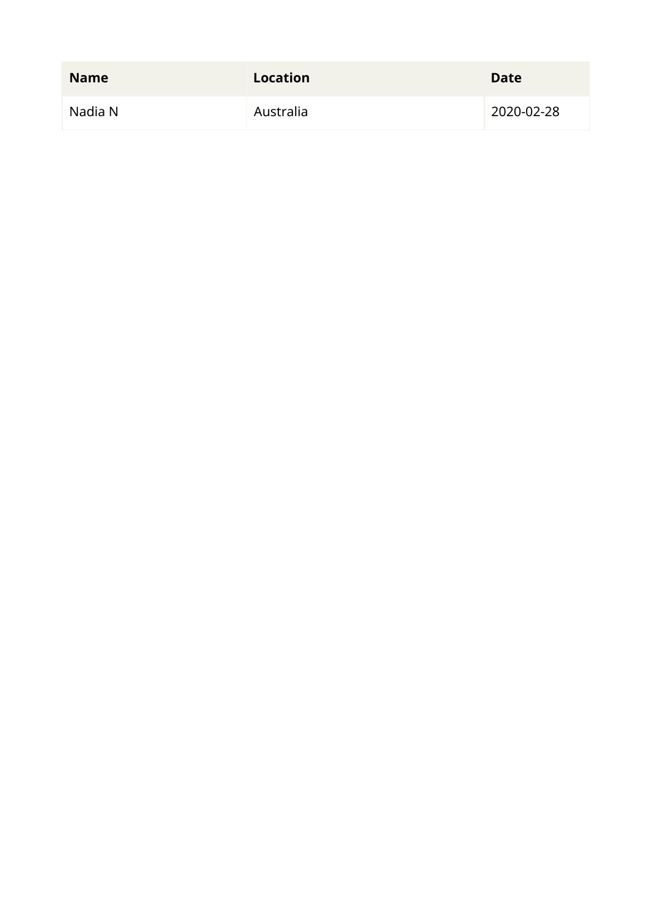| <b>Name</b> | <b>Location</b> | <b>Date</b> |
|-------------|-----------------|-------------|
| Nadia N     | Australia       | 2020-02-28  |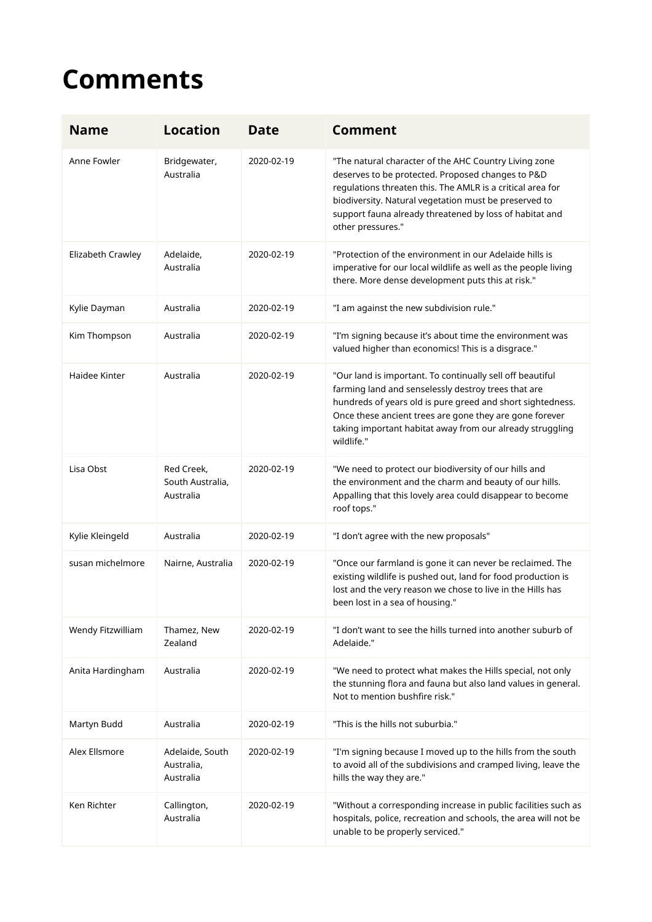## **Comments**

| <b>Name</b>       | <b>Location</b>                             | <b>Date</b> | <b>Comment</b>                                                                                                                                                                                                                                                                                                       |
|-------------------|---------------------------------------------|-------------|----------------------------------------------------------------------------------------------------------------------------------------------------------------------------------------------------------------------------------------------------------------------------------------------------------------------|
| Anne Fowler       | Bridgewater,<br>Australia                   | 2020-02-19  | "The natural character of the AHC Country Living zone<br>deserves to be protected. Proposed changes to P&D<br>regulations threaten this. The AMLR is a critical area for<br>biodiversity. Natural vegetation must be preserved to<br>support fauna already threatened by loss of habitat and<br>other pressures."    |
| Elizabeth Crawley | Adelaide,<br>Australia                      | 2020-02-19  | "Protection of the environment in our Adelaide hills is<br>imperative for our local wildlife as well as the people living<br>there. More dense development puts this at risk."                                                                                                                                       |
| Kylie Dayman      | Australia                                   | 2020-02-19  | "I am against the new subdivision rule."                                                                                                                                                                                                                                                                             |
| Kim Thompson      | Australia                                   | 2020-02-19  | "I'm signing because it's about time the environment was<br>valued higher than economics! This is a disgrace."                                                                                                                                                                                                       |
| Haidee Kinter     | Australia                                   | 2020-02-19  | "Our land is important. To continually sell off beautiful<br>farming land and senselessly destroy trees that are<br>hundreds of years old is pure greed and short sightedness.<br>Once these ancient trees are gone they are gone forever<br>taking important habitat away from our already struggling<br>wildlife." |
| Lisa Obst         | Red Creek,<br>South Australia,<br>Australia | 2020-02-19  | "We need to protect our biodiversity of our hills and<br>the environment and the charm and beauty of our hills.<br>Appalling that this lovely area could disappear to become<br>roof tops."                                                                                                                          |
| Kylie Kleingeld   | Australia                                   | 2020-02-19  | "I don't agree with the new proposals"                                                                                                                                                                                                                                                                               |
| susan michelmore  | Nairne, Australia                           | 2020-02-19  | "Once our farmland is gone it can never be reclaimed. The<br>existing wildlife is pushed out, land for food production is<br>lost and the very reason we chose to live in the Hills has<br>been lost in a sea of housing."                                                                                           |
| Wendy Fitzwilliam | Thamez, New<br>Zealand                      | 2020-02-19  | "I don't want to see the hills turned into another suburb of<br>Adelaide."                                                                                                                                                                                                                                           |
| Anita Hardingham  | Australia                                   | 2020-02-19  | "We need to protect what makes the Hills special, not only<br>the stunning flora and fauna but also land values in general.<br>Not to mention bushfire risk."                                                                                                                                                        |
| Martyn Budd       | Australia                                   | 2020-02-19  | "This is the hills not suburbia."                                                                                                                                                                                                                                                                                    |
| Alex Ellsmore     | Adelaide, South<br>Australia,<br>Australia  | 2020-02-19  | "I'm signing because I moved up to the hills from the south<br>to avoid all of the subdivisions and cramped living, leave the<br>hills the way they are."                                                                                                                                                            |
| Ken Richter       | Callington,<br>Australia                    | 2020-02-19  | "Without a corresponding increase in public facilities such as<br>hospitals, police, recreation and schools, the area will not be<br>unable to be properly serviced."                                                                                                                                                |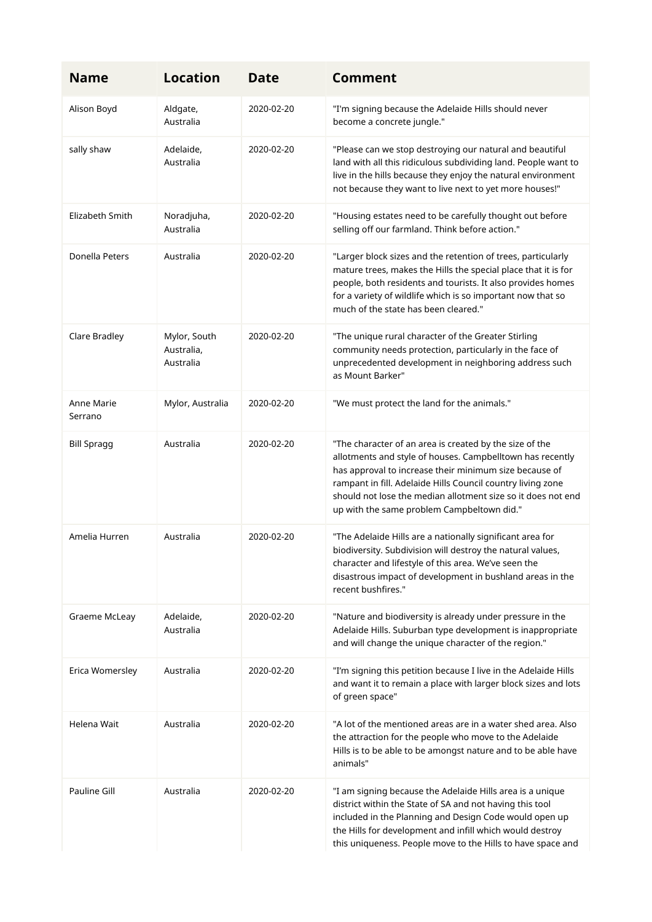| <b>Name</b>           | <b>Location</b>                         | <b>Date</b> | <b>Comment</b>                                                                                                                                                                                                                                                                                                                                              |
|-----------------------|-----------------------------------------|-------------|-------------------------------------------------------------------------------------------------------------------------------------------------------------------------------------------------------------------------------------------------------------------------------------------------------------------------------------------------------------|
| Alison Boyd           | Aldgate,<br>Australia                   | 2020-02-20  | "I'm signing because the Adelaide Hills should never<br>become a concrete jungle."                                                                                                                                                                                                                                                                          |
| sally shaw            | Adelaide,<br>Australia                  | 2020-02-20  | "Please can we stop destroying our natural and beautiful<br>land with all this ridiculous subdividing land. People want to<br>live in the hills because they enjoy the natural environment<br>not because they want to live next to yet more houses!"                                                                                                       |
| Elizabeth Smith       | Noradjuha,<br>Australia                 | 2020-02-20  | "Housing estates need to be carefully thought out before<br>selling off our farmland. Think before action."                                                                                                                                                                                                                                                 |
| Donella Peters        | Australia                               | 2020-02-20  | "Larger block sizes and the retention of trees, particularly<br>mature trees, makes the Hills the special place that it is for<br>people, both residents and tourists. It also provides homes<br>for a variety of wildlife which is so important now that so<br>much of the state has been cleared."                                                        |
| Clare Bradley         | Mylor, South<br>Australia,<br>Australia | 2020-02-20  | "The unique rural character of the Greater Stirling<br>community needs protection, particularly in the face of<br>unprecedented development in neighboring address such<br>as Mount Barker"                                                                                                                                                                 |
| Anne Marie<br>Serrano | Mylor, Australia                        | 2020-02-20  | "We must protect the land for the animals."                                                                                                                                                                                                                                                                                                                 |
| <b>Bill Spragg</b>    | Australia                               | 2020-02-20  | "The character of an area is created by the size of the<br>allotments and style of houses. Campbelltown has recently<br>has approval to increase their minimum size because of<br>rampant in fill. Adelaide Hills Council country living zone<br>should not lose the median allotment size so it does not end<br>up with the same problem Campbeltown did." |
| Amelia Hurren         | Australia                               | 2020-02-20  | "The Adelaide Hills are a nationally significant area for<br>biodiversity. Subdivision will destroy the natural values,<br>character and lifestyle of this area. We've seen the<br>disastrous impact of development in bushland areas in the<br>recent bushfires."                                                                                          |
| Graeme McLeay         | Adelaide,<br>Australia                  | 2020-02-20  | "Nature and biodiversity is already under pressure in the<br>Adelaide Hills. Suburban type development is inappropriate<br>and will change the unique character of the region."                                                                                                                                                                             |
| Erica Womersley       | Australia                               | 2020-02-20  | "I'm signing this petition because I live in the Adelaide Hills<br>and want it to remain a place with larger block sizes and lots<br>of green space"                                                                                                                                                                                                        |
| Helena Wait           | Australia                               | 2020-02-20  | "A lot of the mentioned areas are in a water shed area. Also<br>the attraction for the people who move to the Adelaide<br>Hills is to be able to be amongst nature and to be able have<br>animals"                                                                                                                                                          |
| Pauline Gill          | Australia                               | 2020-02-20  | "I am signing because the Adelaide Hills area is a unique<br>district within the State of SA and not having this tool<br>included in the Planning and Design Code would open up<br>the Hills for development and infill which would destroy<br>this uniqueness. People move to the Hills to have space and                                                  |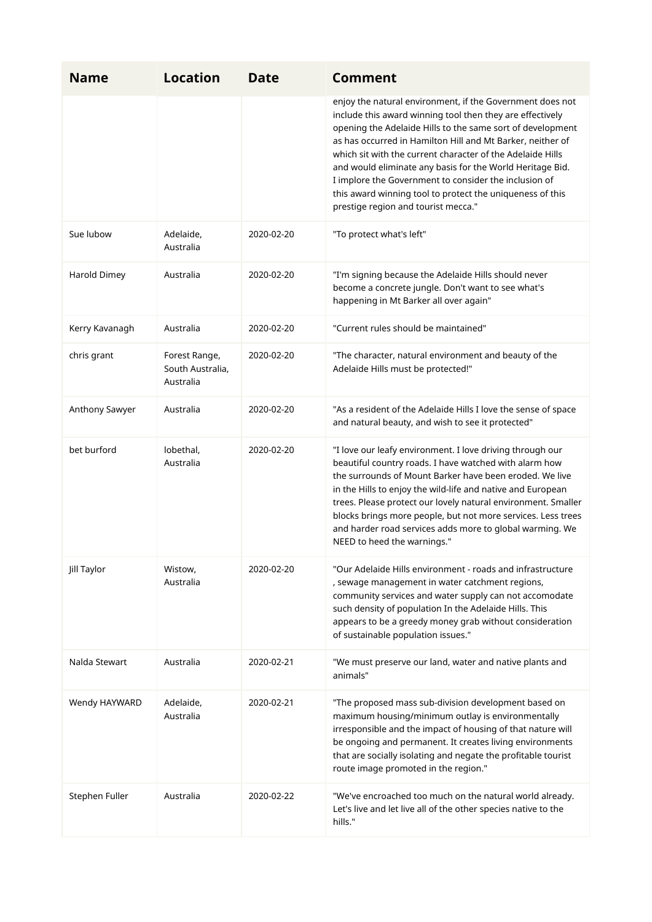| <b>Name</b>    | <b>Location</b>                                | <b>Date</b> | <b>Comment</b>                                                                                                                                                                                                                                                                                                                                                                                                                                                                                                                             |
|----------------|------------------------------------------------|-------------|--------------------------------------------------------------------------------------------------------------------------------------------------------------------------------------------------------------------------------------------------------------------------------------------------------------------------------------------------------------------------------------------------------------------------------------------------------------------------------------------------------------------------------------------|
|                |                                                |             | enjoy the natural environment, if the Government does not<br>include this award winning tool then they are effectively<br>opening the Adelaide Hills to the same sort of development<br>as has occurred in Hamilton Hill and Mt Barker, neither of<br>which sit with the current character of the Adelaide Hills<br>and would eliminate any basis for the World Heritage Bid.<br>I implore the Government to consider the inclusion of<br>this award winning tool to protect the uniqueness of this<br>prestige region and tourist mecca." |
| Sue lubow      | Adelaide,<br>Australia                         | 2020-02-20  | "To protect what's left"                                                                                                                                                                                                                                                                                                                                                                                                                                                                                                                   |
| Harold Dimey   | Australia                                      | 2020-02-20  | "I'm signing because the Adelaide Hills should never<br>become a concrete jungle. Don't want to see what's<br>happening in Mt Barker all over again"                                                                                                                                                                                                                                                                                                                                                                                       |
| Kerry Kavanagh | Australia                                      | 2020-02-20  | "Current rules should be maintained"                                                                                                                                                                                                                                                                                                                                                                                                                                                                                                       |
| chris grant    | Forest Range,<br>South Australia,<br>Australia | 2020-02-20  | "The character, natural environment and beauty of the<br>Adelaide Hills must be protected!"                                                                                                                                                                                                                                                                                                                                                                                                                                                |
| Anthony Sawyer | Australia                                      | 2020-02-20  | "As a resident of the Adelaide Hills I love the sense of space<br>and natural beauty, and wish to see it protected"                                                                                                                                                                                                                                                                                                                                                                                                                        |
| bet burford    | lobethal,<br>Australia                         | 2020-02-20  | "I love our leafy environment. I love driving through our<br>beautiful country roads. I have watched with alarm how<br>the surrounds of Mount Barker have been eroded. We live<br>in the Hills to enjoy the wild-life and native and European<br>trees. Please protect our lovely natural environment. Smaller<br>blocks brings more people, but not more services. Less trees<br>and harder road services adds more to global warming. We<br>NEED to heed the warnings."                                                                  |
| Jill Taylor    | Wistow,<br>Australia                           | 2020-02-20  | "Our Adelaide Hills environment - roads and infrastructure<br>, sewage management in water catchment regions,<br>community services and water supply can not accomodate<br>such density of population In the Adelaide Hills. This<br>appears to be a greedy money grab without consideration<br>of sustainable population issues."                                                                                                                                                                                                         |
| Nalda Stewart  | Australia                                      | 2020-02-21  | "We must preserve our land, water and native plants and<br>animals"                                                                                                                                                                                                                                                                                                                                                                                                                                                                        |
| Wendy HAYWARD  | Adelaide,<br>Australia                         | 2020-02-21  | "The proposed mass sub-division development based on<br>maximum housing/minimum outlay is environmentally<br>irresponsible and the impact of housing of that nature will<br>be ongoing and permanent. It creates living environments<br>that are socially isolating and negate the profitable tourist<br>route image promoted in the region."                                                                                                                                                                                              |
| Stephen Fuller | Australia                                      | 2020-02-22  | "We've encroached too much on the natural world already.<br>Let's live and let live all of the other species native to the<br>hills."                                                                                                                                                                                                                                                                                                                                                                                                      |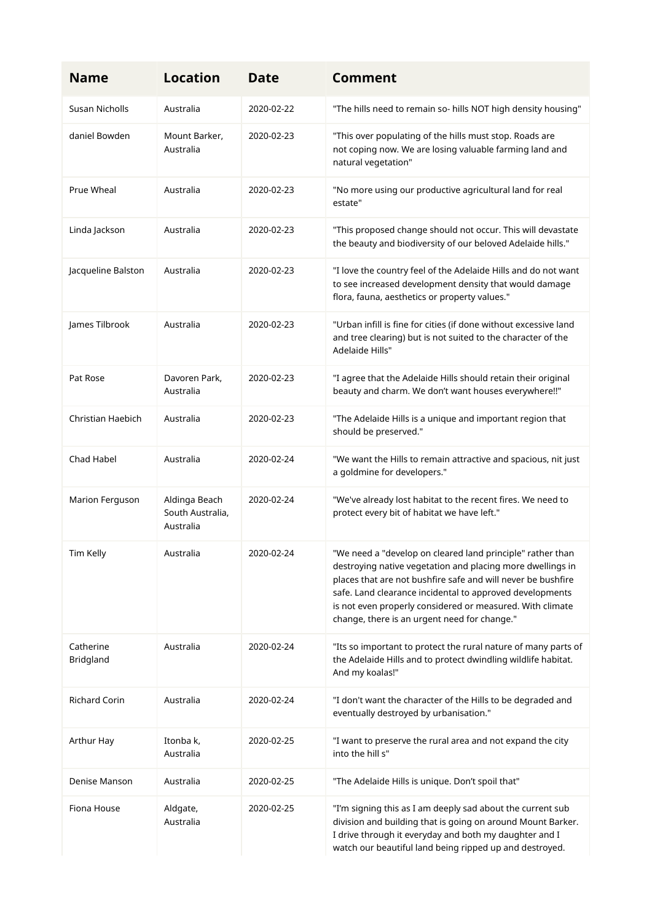| <b>Name</b>            | <b>Location</b>                                | <b>Date</b> | <b>Comment</b>                                                                                                                                                                                                                                                                                                                                                    |
|------------------------|------------------------------------------------|-------------|-------------------------------------------------------------------------------------------------------------------------------------------------------------------------------------------------------------------------------------------------------------------------------------------------------------------------------------------------------------------|
| Susan Nicholls         | Australia                                      | 2020-02-22  | "The hills need to remain so- hills NOT high density housing"                                                                                                                                                                                                                                                                                                     |
| daniel Bowden          | Mount Barker,<br>Australia                     | 2020-02-23  | "This over populating of the hills must stop. Roads are<br>not coping now. We are losing valuable farming land and<br>natural vegetation"                                                                                                                                                                                                                         |
| Prue Wheal             | Australia                                      | 2020-02-23  | "No more using our productive agricultural land for real<br>estate"                                                                                                                                                                                                                                                                                               |
| Linda Jackson          | Australia                                      | 2020-02-23  | "This proposed change should not occur. This will devastate<br>the beauty and biodiversity of our beloved Adelaide hills."                                                                                                                                                                                                                                        |
| Jacqueline Balston     | Australia                                      | 2020-02-23  | "I love the country feel of the Adelaide Hills and do not want<br>to see increased development density that would damage<br>flora, fauna, aesthetics or property values."                                                                                                                                                                                         |
| James Tilbrook         | Australia                                      | 2020-02-23  | "Urban infill is fine for cities (if done without excessive land<br>and tree clearing) but is not suited to the character of the<br>Adelaide Hills"                                                                                                                                                                                                               |
| Pat Rose               | Davoren Park,<br>Australia                     | 2020-02-23  | "I agree that the Adelaide Hills should retain their original<br>beauty and charm. We don't want houses everywhere!!"                                                                                                                                                                                                                                             |
| Christian Haebich      | Australia                                      | 2020-02-23  | "The Adelaide Hills is a unique and important region that<br>should be preserved."                                                                                                                                                                                                                                                                                |
| Chad Habel             | Australia                                      | 2020-02-24  | "We want the Hills to remain attractive and spacious, nit just<br>a goldmine for developers."                                                                                                                                                                                                                                                                     |
| Marion Ferguson        | Aldinga Beach<br>South Australia,<br>Australia | 2020-02-24  | "We've already lost habitat to the recent fires. We need to<br>protect every bit of habitat we have left."                                                                                                                                                                                                                                                        |
| Tim Kelly              | Australia                                      | 2020-02-24  | "We need a "develop on cleared land principle" rather than<br>destroying native vegetation and placing more dwellings in<br>places that are not bushfire safe and will never be bushfire<br>safe. Land clearance incidental to approved developments<br>is not even properly considered or measured. With climate<br>change, there is an urgent need for change." |
| Catherine<br>Bridgland | Australia                                      | 2020-02-24  | "Its so important to protect the rural nature of many parts of<br>the Adelaide Hills and to protect dwindling wildlife habitat.<br>And my koalas!"                                                                                                                                                                                                                |
| <b>Richard Corin</b>   | Australia                                      | 2020-02-24  | "I don't want the character of the Hills to be degraded and<br>eventually destroyed by urbanisation."                                                                                                                                                                                                                                                             |
| Arthur Hay             | Itonba k,<br>Australia                         | 2020-02-25  | "I want to preserve the rural area and not expand the city<br>into the hill s"                                                                                                                                                                                                                                                                                    |
| Denise Manson          | Australia                                      | 2020-02-25  | "The Adelaide Hills is unique. Don't spoil that"                                                                                                                                                                                                                                                                                                                  |
| Fiona House            | Aldgate,<br>Australia                          | 2020-02-25  | "I'm signing this as I am deeply sad about the current sub<br>division and building that is going on around Mount Barker.<br>I drive through it everyday and both my daughter and I<br>watch our beautiful land being ripped up and destroyed.                                                                                                                    |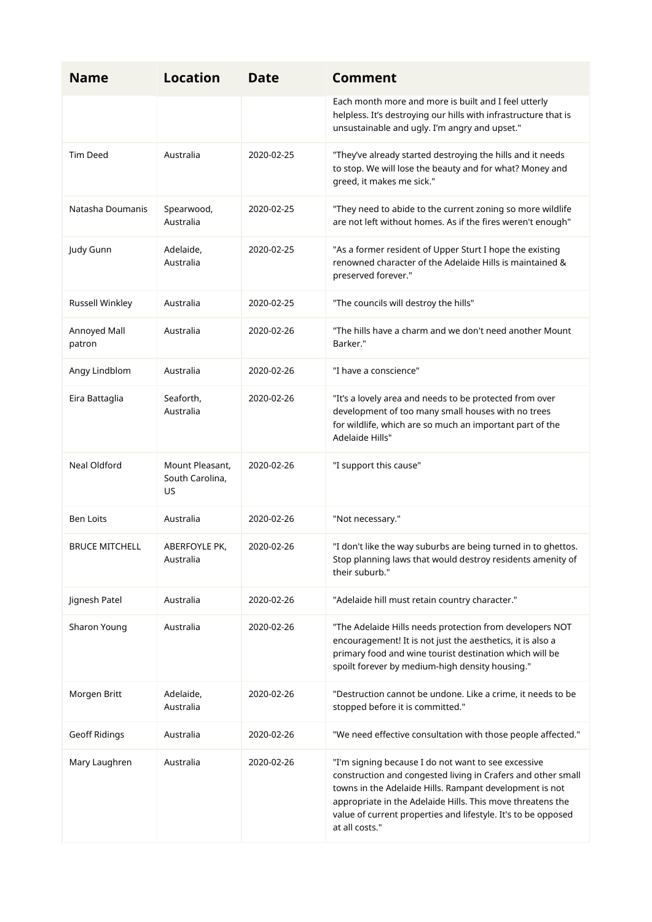| <b>Name</b>            | <b>Location</b>                          | <b>Date</b> | Comment                                                                                                                                                                                                                                                                                                                         |
|------------------------|------------------------------------------|-------------|---------------------------------------------------------------------------------------------------------------------------------------------------------------------------------------------------------------------------------------------------------------------------------------------------------------------------------|
|                        |                                          |             | Each month more and more is built and I feel utterly<br>helpless. It's destroying our hills with infrastructure that is<br>unsustainable and ugly. I'm angry and upset."                                                                                                                                                        |
| <b>Tim Deed</b>        | Australia                                | 2020-02-25  | "They've already started destroying the hills and it needs<br>to stop. We will lose the beauty and for what? Money and<br>greed, it makes me sick."                                                                                                                                                                             |
| Natasha Doumanis       | Spearwood,<br>Australia                  | 2020-02-25  | "They need to abide to the current zoning so more wildlife<br>are not left without homes. As if the fires weren't enough"                                                                                                                                                                                                       |
| Judy Gunn              | Adelaide,<br>Australia                   | 2020-02-25  | "As a former resident of Upper Sturt I hope the existing<br>renowned character of the Adelaide Hills is maintained &<br>preserved forever."                                                                                                                                                                                     |
| Russell Winkley        | Australia                                | 2020-02-25  | "The councils will destroy the hills"                                                                                                                                                                                                                                                                                           |
| Annoyed Mall<br>patron | Australia                                | 2020-02-26  | "The hills have a charm and we don't need another Mount<br>Barker."                                                                                                                                                                                                                                                             |
| Angy Lindblom          | Australia                                | 2020-02-26  | "I have a conscience"                                                                                                                                                                                                                                                                                                           |
| Eira Battaglia         | Seaforth,<br>Australia                   | 2020-02-26  | "It's a lovely area and needs to be protected from over<br>development of too many small houses with no trees<br>for wildlife, which are so much an important part of the<br>Adelaide Hills"                                                                                                                                    |
| Neal Oldford           | Mount Pleasant,<br>South Carolina,<br>US | 2020-02-26  | "I support this cause"                                                                                                                                                                                                                                                                                                          |
| <b>Ben Loits</b>       | Australia                                | 2020-02-26  | "Not necessary."                                                                                                                                                                                                                                                                                                                |
| <b>BRUCE MITCHELL</b>  | ABERFOYLE PK,<br>Australia               | 2020-02-26  | "I don't like the way suburbs are being turned in to ghettos.<br>Stop planning laws that would destroy residents amenity of<br>their suburb."                                                                                                                                                                                   |
| Jignesh Patel          | Australia                                | 2020-02-26  | "Adelaide hill must retain country character."                                                                                                                                                                                                                                                                                  |
| Sharon Young           | Australia                                | 2020-02-26  | "The Adelaide Hills needs protection from developers NOT<br>encouragement! It is not just the aesthetics, it is also a<br>primary food and wine tourist destination which will be<br>spoilt forever by medium-high density housing."                                                                                            |
| Morgen Britt           | Adelaide,<br>Australia                   | 2020-02-26  | "Destruction cannot be undone. Like a crime, it needs to be<br>stopped before it is committed."                                                                                                                                                                                                                                 |
| Geoff Ridings          | Australia                                | 2020-02-26  | "We need effective consultation with those people affected."                                                                                                                                                                                                                                                                    |
| Mary Laughren          | Australia                                | 2020-02-26  | "I'm signing because I do not want to see excessive<br>construction and congested living in Crafers and other small<br>towns in the Adelaide Hills. Rampant development is not<br>appropriate in the Adelaide Hills. This move threatens the<br>value of current properties and lifestyle. It's to be opposed<br>at all costs." |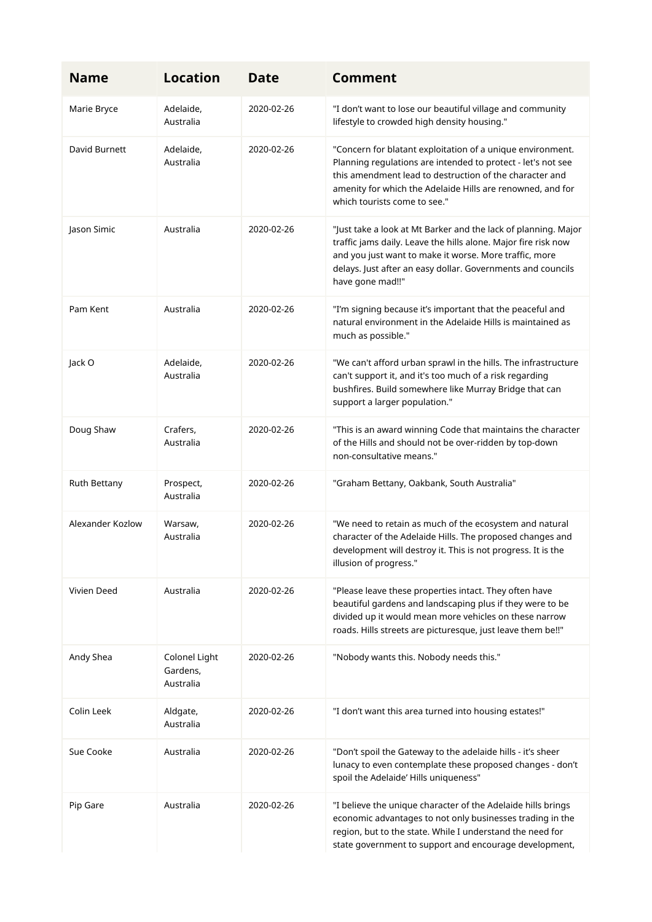| <b>Name</b>      | <b>Location</b>                        | <b>Date</b> | <b>Comment</b>                                                                                                                                                                                                                                                                      |
|------------------|----------------------------------------|-------------|-------------------------------------------------------------------------------------------------------------------------------------------------------------------------------------------------------------------------------------------------------------------------------------|
| Marie Bryce      | Adelaide,<br>Australia                 | 2020-02-26  | "I don't want to lose our beautiful village and community<br>lifestyle to crowded high density housing."                                                                                                                                                                            |
| David Burnett    | Adelaide,<br>Australia                 | 2020-02-26  | "Concern for blatant exploitation of a unique environment.<br>Planning regulations are intended to protect - let's not see<br>this amendment lead to destruction of the character and<br>amenity for which the Adelaide Hills are renowned, and for<br>which tourists come to see." |
| Jason Simic      | Australia                              | 2020-02-26  | "Just take a look at Mt Barker and the lack of planning. Major<br>traffic jams daily. Leave the hills alone. Major fire risk now<br>and you just want to make it worse. More traffic, more<br>delays. Just after an easy dollar. Governments and councils<br>have gone mad!!"       |
| Pam Kent         | Australia                              | 2020-02-26  | "I'm signing because it's important that the peaceful and<br>natural environment in the Adelaide Hills is maintained as<br>much as possible."                                                                                                                                       |
| Jack O           | Adelaide,<br>Australia                 | 2020-02-26  | "We can't afford urban sprawl in the hills. The infrastructure<br>can't support it, and it's too much of a risk regarding<br>bushfires. Build somewhere like Murray Bridge that can<br>support a larger population."                                                                |
| Doug Shaw        | Crafers,<br>Australia                  | 2020-02-26  | "This is an award winning Code that maintains the character<br>of the Hills and should not be over-ridden by top-down<br>non-consultative means."                                                                                                                                   |
| Ruth Bettany     | Prospect,<br>Australia                 | 2020-02-26  | "Graham Bettany, Oakbank, South Australia"                                                                                                                                                                                                                                          |
| Alexander Kozlow | Warsaw,<br>Australia                   | 2020-02-26  | "We need to retain as much of the ecosystem and natural<br>character of the Adelaide Hills. The proposed changes and<br>development will destroy it. This is not progress. It is the<br>illusion of progress."                                                                      |
| Vivien Deed      | Australia                              | 2020-02-26  | "Please leave these properties intact. They often have<br>beautiful gardens and landscaping plus if they were to be<br>divided up it would mean more vehicles on these narrow<br>roads. Hills streets are picturesque, just leave them be!!"                                        |
| Andy Shea        | Colonel Light<br>Gardens,<br>Australia | 2020-02-26  | "Nobody wants this. Nobody needs this."                                                                                                                                                                                                                                             |
| Colin Leek       | Aldgate,<br>Australia                  | 2020-02-26  | "I don't want this area turned into housing estates!"                                                                                                                                                                                                                               |
| Sue Cooke        | Australia                              | 2020-02-26  | "Don't spoil the Gateway to the adelaide hills - it's sheer<br>lunacy to even contemplate these proposed changes - don't<br>spoil the Adelaide' Hills uniqueness"                                                                                                                   |
| Pip Gare         | Australia                              | 2020-02-26  | "I believe the unique character of the Adelaide hills brings<br>economic advantages to not only businesses trading in the<br>region, but to the state. While I understand the need for<br>state government to support and encourage development,                                    |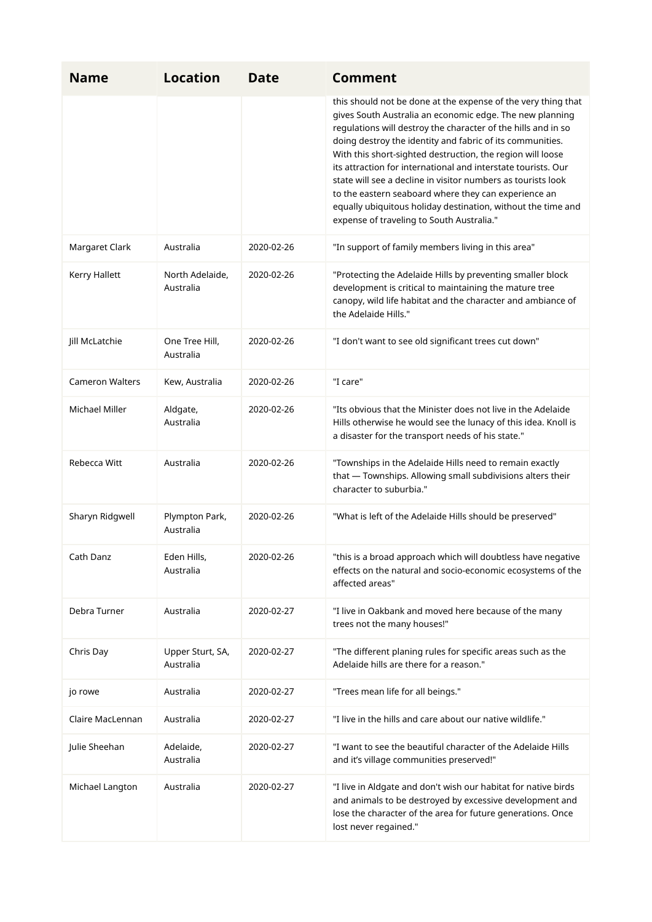| <b>Name</b>            | <b>Location</b>               | <b>Date</b> | <b>Comment</b>                                                                                                                                                                                                                                                                                                                                                                                                                                                                                                                                                                                                              |
|------------------------|-------------------------------|-------------|-----------------------------------------------------------------------------------------------------------------------------------------------------------------------------------------------------------------------------------------------------------------------------------------------------------------------------------------------------------------------------------------------------------------------------------------------------------------------------------------------------------------------------------------------------------------------------------------------------------------------------|
|                        |                               |             | this should not be done at the expense of the very thing that<br>gives South Australia an economic edge. The new planning<br>regulations will destroy the character of the hills and in so<br>doing destroy the identity and fabric of its communities.<br>With this short-sighted destruction, the region will loose<br>its attraction for international and interstate tourists. Our<br>state will see a decline in visitor numbers as tourists look<br>to the eastern seaboard where they can experience an<br>equally ubiquitous holiday destination, without the time and<br>expense of traveling to South Australia." |
| Margaret Clark         | Australia                     | 2020-02-26  | "In support of family members living in this area"                                                                                                                                                                                                                                                                                                                                                                                                                                                                                                                                                                          |
| Kerry Hallett          | North Adelaide,<br>Australia  | 2020-02-26  | "Protecting the Adelaide Hills by preventing smaller block<br>development is critical to maintaining the mature tree<br>canopy, wild life habitat and the character and ambiance of<br>the Adelaide Hills."                                                                                                                                                                                                                                                                                                                                                                                                                 |
| Jill McLatchie         | One Tree Hill,<br>Australia   | 2020-02-26  | "I don't want to see old significant trees cut down"                                                                                                                                                                                                                                                                                                                                                                                                                                                                                                                                                                        |
| <b>Cameron Walters</b> | Kew, Australia                | 2020-02-26  | "I care"                                                                                                                                                                                                                                                                                                                                                                                                                                                                                                                                                                                                                    |
| Michael Miller         | Aldgate,<br>Australia         | 2020-02-26  | "Its obvious that the Minister does not live in the Adelaide<br>Hills otherwise he would see the lunacy of this idea. Knoll is<br>a disaster for the transport needs of his state."                                                                                                                                                                                                                                                                                                                                                                                                                                         |
| Rebecca Witt           | Australia                     | 2020-02-26  | "Townships in the Adelaide Hills need to remain exactly<br>that - Townships. Allowing small subdivisions alters their<br>character to suburbia."                                                                                                                                                                                                                                                                                                                                                                                                                                                                            |
| Sharyn Ridgwell        | Plympton Park,<br>Australia   | 2020-02-26  | "What is left of the Adelaide Hills should be preserved"                                                                                                                                                                                                                                                                                                                                                                                                                                                                                                                                                                    |
| Cath Danz              | Eden Hills,<br>Australia      | 2020-02-26  | "this is a broad approach which will doubtless have negative<br>effects on the natural and socio-economic ecosystems of the<br>affected areas"                                                                                                                                                                                                                                                                                                                                                                                                                                                                              |
| Debra Turner           | Australia                     | 2020-02-27  | "I live in Oakbank and moved here because of the many<br>trees not the many houses!"                                                                                                                                                                                                                                                                                                                                                                                                                                                                                                                                        |
| Chris Day              | Upper Sturt, SA,<br>Australia | 2020-02-27  | "The different planing rules for specific areas such as the<br>Adelaide hills are there for a reason."                                                                                                                                                                                                                                                                                                                                                                                                                                                                                                                      |
| jo rowe                | Australia                     | 2020-02-27  | "Trees mean life for all beings."                                                                                                                                                                                                                                                                                                                                                                                                                                                                                                                                                                                           |
| Claire MacLennan       | Australia                     | 2020-02-27  | "I live in the hills and care about our native wildlife."                                                                                                                                                                                                                                                                                                                                                                                                                                                                                                                                                                   |
| Julie Sheehan          | Adelaide,<br>Australia        | 2020-02-27  | "I want to see the beautiful character of the Adelaide Hills<br>and it's village communities preserved!"                                                                                                                                                                                                                                                                                                                                                                                                                                                                                                                    |
| Michael Langton        | Australia                     | 2020-02-27  | "I live in Aldgate and don't wish our habitat for native birds<br>and animals to be destroyed by excessive development and<br>lose the character of the area for future generations. Once<br>lost never regained."                                                                                                                                                                                                                                                                                                                                                                                                          |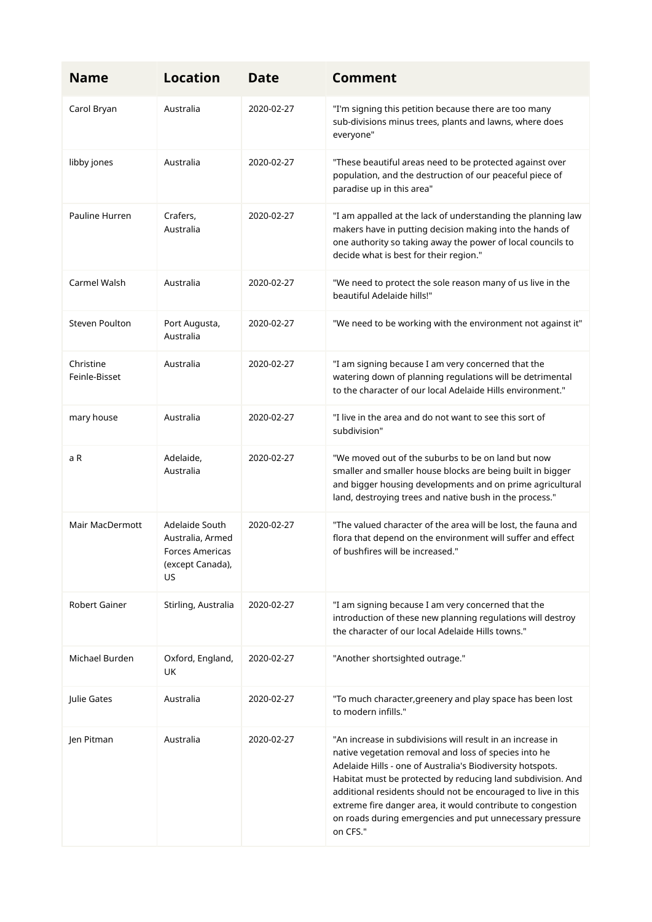| <b>Name</b>                | <b>Location</b>                                                                 | <b>Date</b> | <b>Comment</b>                                                                                                                                                                                                                                                                                                                                                                                                                                           |
|----------------------------|---------------------------------------------------------------------------------|-------------|----------------------------------------------------------------------------------------------------------------------------------------------------------------------------------------------------------------------------------------------------------------------------------------------------------------------------------------------------------------------------------------------------------------------------------------------------------|
| Carol Bryan                | Australia                                                                       | 2020-02-27  | "I'm signing this petition because there are too many<br>sub-divisions minus trees, plants and lawns, where does<br>everyone"                                                                                                                                                                                                                                                                                                                            |
| libby jones                | Australia                                                                       | 2020-02-27  | "These beautiful areas need to be protected against over<br>population, and the destruction of our peaceful piece of<br>paradise up in this area"                                                                                                                                                                                                                                                                                                        |
| Pauline Hurren             | Crafers.<br>Australia                                                           | 2020-02-27  | "I am appalled at the lack of understanding the planning law<br>makers have in putting decision making into the hands of<br>one authority so taking away the power of local councils to<br>decide what is best for their region."                                                                                                                                                                                                                        |
| Carmel Walsh               | Australia                                                                       | 2020-02-27  | "We need to protect the sole reason many of us live in the<br>beautiful Adelaide hills!"                                                                                                                                                                                                                                                                                                                                                                 |
| <b>Steven Poulton</b>      | Port Augusta,<br>Australia                                                      | 2020-02-27  | "We need to be working with the environment not against it"                                                                                                                                                                                                                                                                                                                                                                                              |
| Christine<br>Feinle-Bisset | Australia                                                                       | 2020-02-27  | "I am signing because I am very concerned that the<br>watering down of planning regulations will be detrimental<br>to the character of our local Adelaide Hills environment."                                                                                                                                                                                                                                                                            |
| mary house                 | Australia                                                                       | 2020-02-27  | "I live in the area and do not want to see this sort of<br>subdivision"                                                                                                                                                                                                                                                                                                                                                                                  |
| a R                        | Adelaide,<br>Australia                                                          | 2020-02-27  | "We moved out of the suburbs to be on land but now<br>smaller and smaller house blocks are being built in bigger<br>and bigger housing developments and on prime agricultural<br>land, destroying trees and native bush in the process."                                                                                                                                                                                                                 |
| Mair MacDermott            | Adelaide South<br>Australia, Armed<br>Forces Americas<br>(except Canada),<br>US | 2020-02-27  | "The valued character of the area will be lost, the fauna and<br>flora that depend on the environment will suffer and effect<br>of bushfires will be increased."                                                                                                                                                                                                                                                                                         |
| Robert Gainer              | Stirling, Australia                                                             | 2020-02-27  | "I am signing because I am very concerned that the<br>introduction of these new planning regulations will destroy<br>the character of our local Adelaide Hills towns."                                                                                                                                                                                                                                                                                   |
| Michael Burden             | Oxford, England,<br>UK                                                          | 2020-02-27  | "Another shortsighted outrage."                                                                                                                                                                                                                                                                                                                                                                                                                          |
| Julie Gates                | Australia                                                                       | 2020-02-27  | "To much character, greenery and play space has been lost<br>to modern infills."                                                                                                                                                                                                                                                                                                                                                                         |
| Jen Pitman                 | Australia                                                                       | 2020-02-27  | "An increase in subdivisions will result in an increase in<br>native vegetation removal and loss of species into he<br>Adelaide Hills - one of Australia's Biodiversity hotspots.<br>Habitat must be protected by reducing land subdivision. And<br>additional residents should not be encouraged to live in this<br>extreme fire danger area, it would contribute to congestion<br>on roads during emergencies and put unnecessary pressure<br>on CFS." |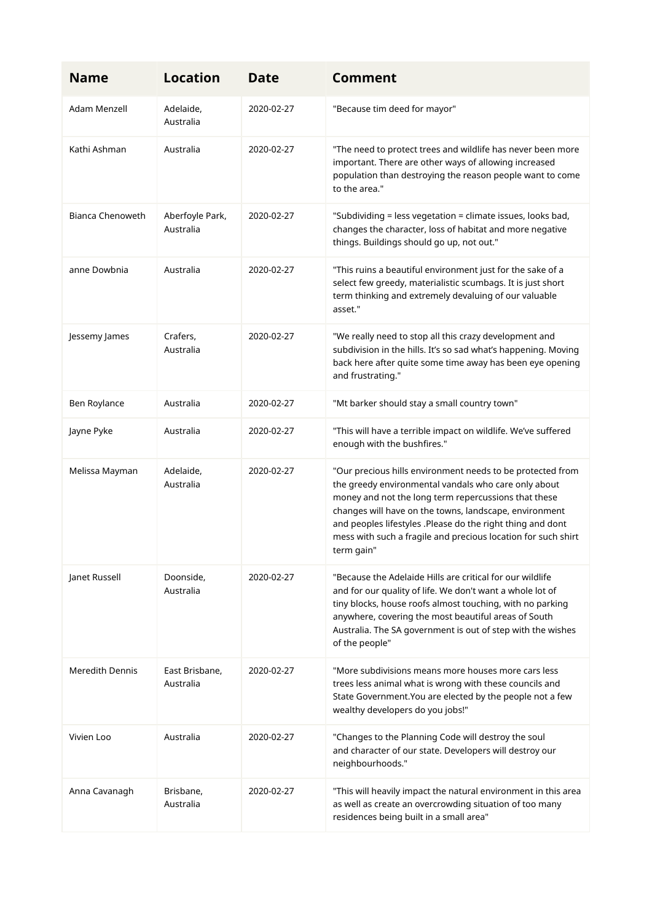| <b>Name</b>             | <b>Location</b>              | <b>Date</b> | <b>Comment</b>                                                                                                                                                                                                                                                                                                                                                                    |
|-------------------------|------------------------------|-------------|-----------------------------------------------------------------------------------------------------------------------------------------------------------------------------------------------------------------------------------------------------------------------------------------------------------------------------------------------------------------------------------|
| Adam Menzell            | Adelaide,<br>Australia       | 2020-02-27  | "Because tim deed for mayor"                                                                                                                                                                                                                                                                                                                                                      |
| Kathi Ashman            | Australia                    | 2020-02-27  | "The need to protect trees and wildlife has never been more<br>important. There are other ways of allowing increased<br>population than destroying the reason people want to come<br>to the area."                                                                                                                                                                                |
| <b>Bianca Chenoweth</b> | Aberfoyle Park,<br>Australia | 2020-02-27  | "Subdividing = less vegetation = climate issues, looks bad,<br>changes the character, loss of habitat and more negative<br>things. Buildings should go up, not out."                                                                                                                                                                                                              |
| anne Dowbnia            | Australia                    | 2020-02-27  | "This ruins a beautiful environment just for the sake of a<br>select few greedy, materialistic scumbags. It is just short<br>term thinking and extremely devaluing of our valuable<br>asset."                                                                                                                                                                                     |
| Jessemy James           | Crafers,<br>Australia        | 2020-02-27  | "We really need to stop all this crazy development and<br>subdivision in the hills. It's so sad what's happening. Moving<br>back here after quite some time away has been eye opening<br>and frustrating."                                                                                                                                                                        |
| Ben Roylance            | Australia                    | 2020-02-27  | "Mt barker should stay a small country town"                                                                                                                                                                                                                                                                                                                                      |
| Jayne Pyke              | Australia                    | 2020-02-27  | "This will have a terrible impact on wildlife. We've suffered<br>enough with the bushfires."                                                                                                                                                                                                                                                                                      |
| Melissa Mayman          | Adelaide,<br>Australia       | 2020-02-27  | "Our precious hills environment needs to be protected from<br>the greedy environmental vandals who care only about<br>money and not the long term repercussions that these<br>changes will have on the towns, landscape, environment<br>and peoples lifestyles .Please do the right thing and dont<br>mess with such a fragile and precious location for such shirt<br>term gain" |
| Janet Russell           | Doonside,<br>Australia       | 2020-02-27  | "Because the Adelaide Hills are critical for our wildlife<br>and for our quality of life. We don't want a whole lot of<br>tiny blocks, house roofs almost touching, with no parking<br>anywhere, covering the most beautiful areas of South<br>Australia. The SA government is out of step with the wishes<br>of the people"                                                      |
| <b>Meredith Dennis</b>  | East Brisbane,<br>Australia  | 2020-02-27  | "More subdivisions means more houses more cars less<br>trees less animal what is wrong with these councils and<br>State Government. You are elected by the people not a few<br>wealthy developers do you jobs!"                                                                                                                                                                   |
| Vivien Loo              | Australia                    | 2020-02-27  | "Changes to the Planning Code will destroy the soul<br>and character of our state. Developers will destroy our<br>neighbourhoods."                                                                                                                                                                                                                                                |
| Anna Cavanagh           | Brisbane,<br>Australia       | 2020-02-27  | "This will heavily impact the natural environment in this area<br>as well as create an overcrowding situation of too many<br>residences being built in a small area"                                                                                                                                                                                                              |